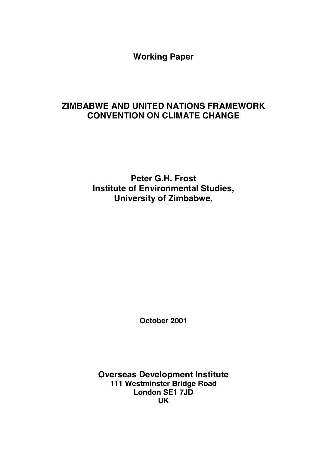**Working Paper**

# **ZIMBABWE AND UNITED NATIONS FRAMEWORK CONVENTION ON CLIMATE CHANGE**

**Peter G.H. Frost Institute of Environmental Studies, University of Zimbabwe,**

**October 2001**

**Overseas Development Institute 111 Westminster Bridge Road London SE1 7JD UK**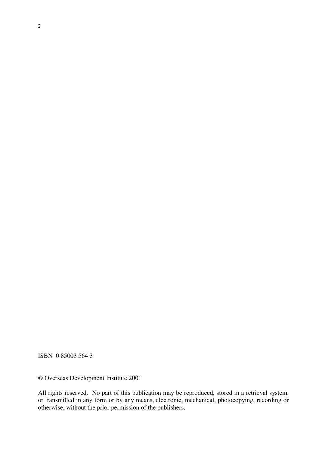ISBN 0 85003 564 3

© Overseas Development Institute 2001

All rights reserved. No part of this publication may be reproduced, stored in a retrieval system, or transmitted in any form or by any means, electronic, mechanical, photocopying, recording or otherwise, without the prior permission of the publishers.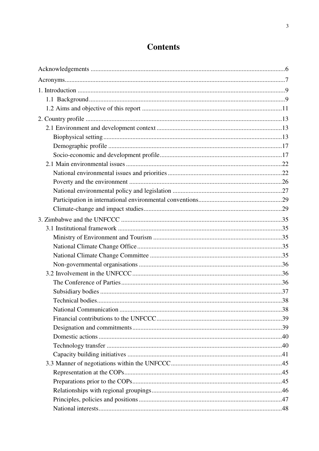# **Contents**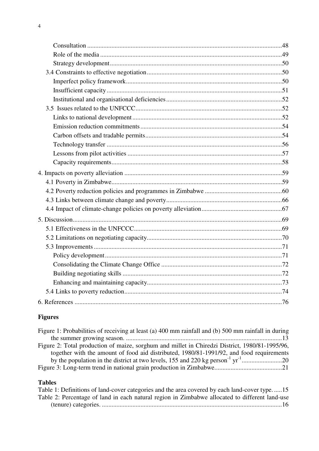# **Figures**

| Figure 1: Probabilities of receiving at least (a) 400 mm rainfall and (b) 500 mm rainfall in during |  |
|-----------------------------------------------------------------------------------------------------|--|
|                                                                                                     |  |
| Figure 2: Total production of maize, sorghum and millet in Chiredzi District, 1980/81-1995/96,      |  |
| together with the amount of food aid distributed, 1980/81-1991/92, and food requirements            |  |
|                                                                                                     |  |
|                                                                                                     |  |
|                                                                                                     |  |

## **Tables**

| Table 1: Definitions of land-cover categories and the area covered by each land-cover type15   |  |
|------------------------------------------------------------------------------------------------|--|
| Table 2: Percentage of land in each natural region in Zimbabwe allocated to different land-use |  |
|                                                                                                |  |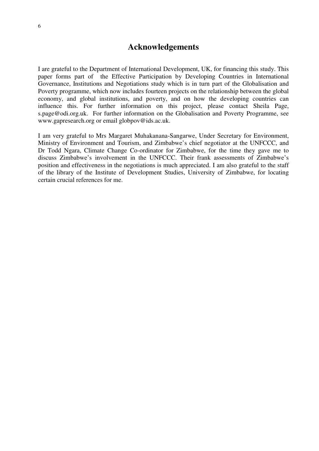# **Acknowledgements**

I are grateful to the Department of International Development, UK, for financing this study. This paper forms part of the Effective Participation by Developing Countries in International Governance, Institutions and Negotiations study which is in turn part of the Globalisation and Poverty programme, which now includes fourteen projects on the relationship between the global economy, and global institutions, and poverty, and on how the developing countries can influence this. For further information on this project, please contact Sheila Page, s.page@odi.org.uk. For further information on the Globalisation and Poverty Programme, see www.gapresearch.org or email globpov@ids.ac.uk.

I am very grateful to Mrs Margaret Muhakanana-Sangarwe, Under Secretary for Environment, Ministry of Environment and Tourism, and Zimbabwe's chief negotiator at the UNFCCC, and Dr Todd Ngara, Climate Change Co-ordinator for Zimbabwe, for the time they gave me to discuss Zimbabwe's involvement in the UNFCCC. Their frank assessments of Zimbabwe's position and effectiveness in the negotiations is much appreciated. I am also grateful to the staff of the library of the Institute of Development Studies, University of Zimbabwe, for locating certain crucial references for me.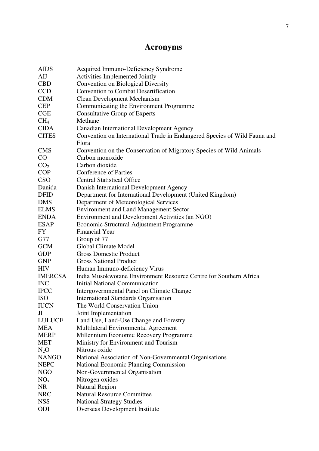# **Acronyms**

| <b>AIDS</b>     | Acquired Immuno-Deficiency Syndrome                                       |
|-----------------|---------------------------------------------------------------------------|
| AIJ             | Activities Implemented Jointly                                            |
| <b>CBD</b>      | Convention on Biological Diversity                                        |
| <b>CCD</b>      | <b>Convention to Combat Desertification</b>                               |
| <b>CDM</b>      | <b>Clean Development Mechanism</b>                                        |
| <b>CEP</b>      | Communicating the Environment Programme                                   |
| CGE             | <b>Consultative Group of Experts</b>                                      |
| CH <sub>4</sub> | Methane                                                                   |
| <b>CIDA</b>     | Canadian International Development Agency                                 |
| <b>CITES</b>    | Convention on International Trade in Endangered Species of Wild Fauna and |
|                 | Flora                                                                     |
| <b>CMS</b>      | Convention on the Conservation of Migratory Species of Wild Animals       |
| $\rm CO$        | Carbon monoxide                                                           |
| CO <sub>2</sub> | Carbon dioxide                                                            |
| <b>COP</b>      | <b>Conference of Parties</b>                                              |
| CSO             | <b>Central Statistical Office</b>                                         |
| Danida          | Danish International Development Agency                                   |
| <b>DFID</b>     | Department for International Development (United Kingdom)                 |
| <b>DMS</b>      | Department of Meteorological Services                                     |
| <b>ELMS</b>     | <b>Environment and Land Management Sector</b>                             |
| <b>ENDA</b>     | Environment and Development Activities (an NGO)                           |
| <b>ESAP</b>     | Economic Structural Adjustment Programme                                  |
| FY              | Financial Year                                                            |
| G77             | Group of 77                                                               |
| <b>GCM</b>      | Global Climate Model                                                      |
| <b>GDP</b>      | <b>Gross Domestic Product</b>                                             |
| <b>GNP</b>      | <b>Gross National Product</b>                                             |
| <b>HIV</b>      | Human Immuno-deficiency Virus                                             |
| <b>IMERCSA</b>  | India Musokwotane Environment Resource Centre for Southern Africa         |
| <b>INC</b>      | <b>Initial National Communication</b>                                     |
| <b>IPCC</b>     | Intergovernmental Panel on Climate Change                                 |
| <b>ISO</b>      | <b>International Standards Organisation</b>                               |
| <b>IUCN</b>     | The World Conservation Union                                              |
| Л               | Joint Implementation                                                      |
| <b>LULUCF</b>   | Land Use, Land-Use Change and Forestry                                    |
| <b>MEA</b>      | Multilateral Environmental Agreement                                      |
| <b>MERP</b>     | Millennium Economic Recovery Programme                                    |
| <b>MET</b>      | Ministry for Environment and Tourism                                      |
| $N_2O$          | Nitrous oxide                                                             |
| <b>NANGO</b>    | National Association of Non-Governmental Organisations                    |
| <b>NEPC</b>     | <b>National Economic Planning Commission</b>                              |
| <b>NGO</b>      | Non-Governmental Organisation                                             |
| NO <sub>x</sub> | Nitrogen oxides                                                           |
| <b>NR</b>       | <b>Natural Region</b>                                                     |
| <b>NRC</b>      | <b>Natural Resource Committee</b>                                         |
| <b>NSS</b>      | <b>National Strategy Studies</b>                                          |
| ODI             | Overseas Development Institute                                            |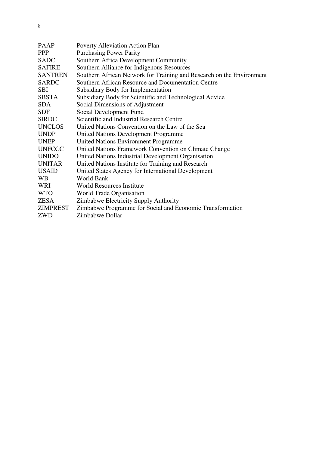| <b>PAAP</b>    | Poverty Alleviation Action Plan                                       |
|----------------|-----------------------------------------------------------------------|
| <b>PPP</b>     | <b>Purchasing Power Parity</b>                                        |
| <b>SADC</b>    | Southern Africa Development Community                                 |
| <b>SAFIRE</b>  | Southern Alliance for Indigenous Resources                            |
| <b>SANTREN</b> | Southern African Network for Training and Research on the Environment |
| <b>SARDC</b>   | Southern African Resource and Documentation Centre                    |
| <b>SBI</b>     | Subsidiary Body for Implementation                                    |
| <b>SBSTA</b>   | Subsidiary Body for Scientific and Technological Advice               |
| <b>SDA</b>     | Social Dimensions of Adjustment                                       |
| <b>SDF</b>     | Social Development Fund                                               |
| <b>SIRDC</b>   | Scientific and Industrial Research Centre                             |
| <b>UNCLOS</b>  | United Nations Convention on the Law of the Sea                       |
| <b>UNDP</b>    | <b>United Nations Development Programme</b>                           |
| <b>UNEP</b>    | <b>United Nations Environment Programme</b>                           |
| <b>UNFCCC</b>  | United Nations Framework Convention on Climate Change                 |
| <b>UNIDO</b>   | United Nations Industrial Development Organisation                    |
| <b>UNITAR</b>  | United Nations Institute for Training and Research                    |
| <b>USAID</b>   | United States Agency for International Development                    |
| <b>WB</b>      | World Bank                                                            |
| WRI            | <b>World Resources Institute</b>                                      |
| <b>WTO</b>     | World Trade Organisation                                              |
| ZESA           | Zimbabwe Electricity Supply Authority                                 |
| ZIMPREST       | Zimbabwe Programme for Social and Economic Transformation             |
| <b>ZWD</b>     | Zimbabwe Dollar                                                       |
|                |                                                                       |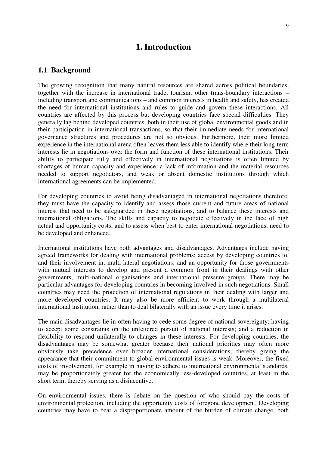## **1. Introduction**

#### **1.1 Background**

The growing recognition that many natural resources are shared across political boundaries, together with the increase in international trade, tourism, other trans-boundary interactions – including transport and communications – and common interests in health and safety, has created the need for international institutions and rules to guide and govern these interactions. All countries are affected by this process but developing countries face special difficulties. They generally lag behind developed countries, both in their use of global environmental goods and in their participation in international transactions, so that their immediate needs for international governance structures and procedures are not so obvious. Furthermore, their more limited experience in the international arena often leaves them less able to identify where their long-term interests lie in negotiations over the form and function of these international institutions. Their ability to participate fully and effectively in international negotiations is often limited by shortages of human capacity and experience, a lack of information and the material resources needed to support negotiators, and weak or absent domestic institutions through which international agreements can be implemented.

For developing countries to avoid being disadvantaged in international negotiations therefore, they must have the capacity to identify and assess those current and future areas of national interest that need to be safeguarded in these negotiations, and to balance these interests and international obligations. The skills and capacity to negotiate effectively in the face of high actual and opportunity costs, and to assess when best to enter international negotiations, need to be developed and enhanced.

International institutions have both advantages and disadvantages. Advantages include having agreed frameworks for dealing with international problems; access by developing countries to, and their involvement in, multi-lateral negotiations; and an opportunity for those governments with mutual interests to develop and present a common front in their dealings with other governments, multi-national organisations and international pressure groups. There may be particular advantages for developing countries in becoming involved in such negotiations. Small countries may need the protection of international regulations in their dealing with larger and more developed countries. It may also be more efficient to work through a multilateral international institution, rather than to deal bilaterally with an issue every time it arises.

The main disadvantages lie in often having to cede some degree of national sovereignty; having to accept some constraints on the unfettered pursuit of national interests; and a reduction in flexibility to respond unilaterally to changes in these interests. For developing countries, the disadvantages may be somewhat greater because their national priorities may often more obviously take precedence over broader international considerations, thereby giving the appearance that their commitment to global environmental issues is weak. Moreover, the fixed costs of involvement, for example in having to adhere to international environmental standards, may be proportionately greater for the economically less-developed countries, at least in the short term, thereby serving as a disincentive.

On environmental issues, there is debate on the question of who should pay the costs of environmental protection, including the opportunity costs of foregone development. Developing countries may have to bear a disproportionate amount of the burden of climate change, both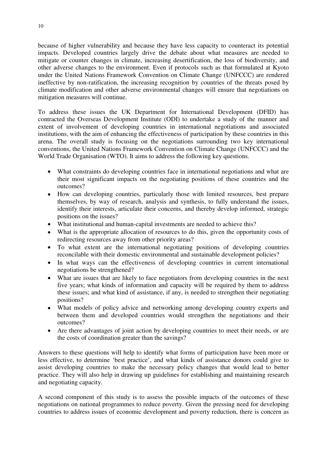because of higher vulnerability and because they have less capacity to counteract its potential impacts. Developed countries largely drive the debate about what measures are needed to mitigate or counter changes in climate, increasing desertification, the loss of biodiversity, and other adverse changes to the environment. Even if protocols such as that formulated at Kyoto under the United Nations Framework Convention on Climate Change (UNFCCC) are rendered ineffective by non-ratification, the increasing recognition by countries of the threats posed by climate modification and other adverse environmental changes will ensure that negotiations on mitigation measures will continue.

To address these issues the UK Department for International Development (DFID) has contracted the Overseas Development Institute (ODI) to undertake a study of the manner and extent of involvement of developing countries in international negotiations and associated institutions, with the aim of enhancing the effectiveness of participation by these countries in this arena. The overall study is focusing on the negotiations surrounding two key international conventions, the United Nations Framework Convention on Climate Change (UNFCCC) and the World Trade Organisation (WTO). It aims to address the following key questions.

- What constraints do developing countries face in international negotiations and what are their most significant impacts on the negotiating positions of these countries and the outcomes?
- How can developing countries, particularly those with limited resources, best prepare themselves, by way of research, analysis and synthesis, to fully understand the issues, identify their interests, articulate their concerns, and thereby develop informed, strategic positions on the issues?
- What institutional and human-capital investments are needed to achieve this?
- What is the appropriate allocation of resources to do this, given the opportunity costs of redirecting resources away from other priority areas?
- To what extent are the international negotiating positions of developing countries reconcilable with their domestic environmental and sustainable development policies?
- In what ways can the effectiveness of developing countries in current international negotiations be strengthened?
- What are issues that are likely to face negotiators from developing countries in the next five years; what kinds of information and capacity will be required by them to address these issues; and what kind of assistance, if any, is needed to strengthen their negotiating positions?
- What models of policy advice and networking among developing country experts and between them and developed countries would strengthen the negotiations and their outcomes?
- Are there advantages of joint action by developing countries to meet their needs, or are the costs of coordination greater than the savings?

Answers to these questions will help to identify what forms of participation have been more or less effective, to determine 'best practice', and what kinds of assistance donors could give to assist developing countries to make the necessary policy changes that would lead to better practice. They will also help in drawing up guidelines for establishing and maintaining research and negotiating capacity.

A second component of this study is to assess the possible impacts of the outcomes of these negotiations on national programmes to reduce poverty. Given the pressing need for developing countries to address issues of economic development and poverty reduction, there is concern as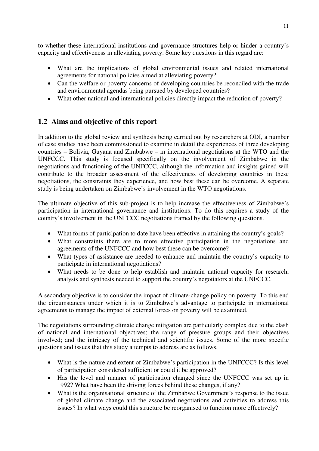to whether these international institutions and governance structures help or hinder a country's capacity and effectiveness in alleviating poverty. Some key questions in this regard are:

- What are the implications of global environmental issues and related international agreements for national policies aimed at alleviating poverty?
- Can the welfare or poverty concerns of developing countries be reconciled with the trade and environmental agendas being pursued by developed countries?
- What other national and international policies directly impact the reduction of poverty?

## **1.2 Aims and objective of this report**

In addition to the global review and synthesis being carried out by researchers at ODI, a number of case studies have been commissioned to examine in detail the experiences of three developing countries – Bolivia, Guyana and Zimbabwe – in international negotiations at the WTO and the UNFCCC. This study is focused specifically on the involvement of Zimbabwe in the negotiations and functioning of the UNFCCC, although the information and insights gained will contribute to the broader assessment of the effectiveness of developing countries in these negotiations, the constraints they experience, and how best these can be overcome. A separate study is being undertaken on Zimbabwe's involvement in the WTO negotiations.

The ultimate objective of this sub-project is to help increase the effectiveness of Zimbabwe's participation in international governance and institutions. To do this requires a study of the country's involvement in the UNFCCC negotiations framed by the following questions.

- What forms of participation to date have been effective in attaining the country's goals?
- What constraints there are to more effective participation in the negotiations and agreements of the UNFCCC and how best these can be overcome?
- What types of assistance are needed to enhance and maintain the country's capacity to participate in international negotiations?
- What needs to be done to help establish and maintain national capacity for research, analysis and synthesis needed to support the country's negotiators at the UNFCCC.

A secondary objective is to consider the impact of climate-change policy on poverty. To this end the circumstances under which it is to Zimbabwe's advantage to participate in international agreements to manage the impact of external forces on poverty will be examined.

The negotiations surrounding climate change mitigation are particularly complex due to the clash of national and international objectives; the range of pressure groups and their objectives involved; and the intricacy of the technical and scientific issues. Some of the more specific questions and issues that this study attempts to address are as follows.

- What is the nature and extent of Zimbabwe's participation in the UNFCCC? Is this level of participation considered sufficient or could it be approved?
- Has the level and manner of participation changed since the UNFCCC was set up in 1992? What have been the driving forces behind these changes, if any?
- What is the organisational structure of the Zimbabwe Government's response to the issue of global climate change and the associated negotiations and activities to address this issues? In what ways could this structure be reorganised to function more effectively?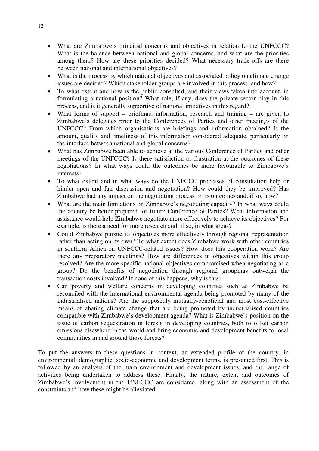- What are Zimbabwe's principal concerns and objectives in relation to the UNFCCC? What is the balance between national and global concerns, and what are the priorities among them? How are these priorities decided? What necessary trade-offs are there between national and international objectives?
- What is the process by which national objectives and associated policy on climate change issues are decided? Which stakeholder groups are involved in this process, and how?
- To what extent and how is the public consulted, and their views taken into account, in formulating a national position? What role, if any, does the private sector play in this process, and is it generally supportive of national initiatives in this regard?
- What forms of support briefings, information, research and training are given to Zimbabwe's delegates prior to the Conferences of Parties and other meetings of the UNFCCC? From which organisations are briefings and information obtained? Is the amount, quality and timeliness of this information considered adequate, particularly on the interface between national and global concerns?
- What has Zimbabwe been able to achieve at the various Conference of Parties and other meetings of the UNFCCC? Is there satisfaction or frustration at the outcomes of these negotiations? In what ways could the outcomes be more favourable to Zimbabwe's interests?
- To what extent and in what ways do the UNFCCC processes of consultation help or hinder open and fair discussion and negotiation? How could they be improved? Has Zimbabwe had any impact on the negotiating process or its outcomes and, if so, how?
- What are the main limitations on Zimbabwe's negotiating capacity? In what ways could the country be better prepared for future Conference of Parties? What information and assistance would help Zimbabwe negotiate more effectively to achieve its objectives? For example, is there a need for more research and, if so, in what areas?
- Could Zimbabwe pursue its objectives more effectively through regional representation rather than acting on its own? To what extent does Zimbabwe work with other countries in southern Africa on UNFCCC-related issues? How does this cooperation work? Are there any preparatory meetings? How are differences in objectives within this group resolved? Are the more specific national objectives compromised when negotiating as a group? Do the benefits of negotiation through regional groupings outweigh the transaction costs involved? If none of this happens, why is this?
- Can poverty and welfare concerns in developing countries such as Zimbabwe be reconciled with the international environmental agenda being promoted by many of the industrialised nations? Are the supposedly mutually-beneficial and most cost-effective means of abating climate change that are being promoted by industrialised countries compatible with Zimbabwe's development agenda? What is Zimbabwe's position on the issue of carbon sequestration in forests in developing countries, both to offset carbon emissions elsewhere in the world and bring economic and development benefits to local communities in and around those forests?

To put the answers to these questions in context, an extended profile of the country, in environmental, demographic, socio-economic and development terms, is presented first. This is followed by an analysis of the main environment and development issues, and the range of activities being undertaken to address these. Finally, the nature, extent and outcomes of Zimbabwe's involvement in the UNFCCC are considered, along with an assessment of the constraints and how these might be alleviated.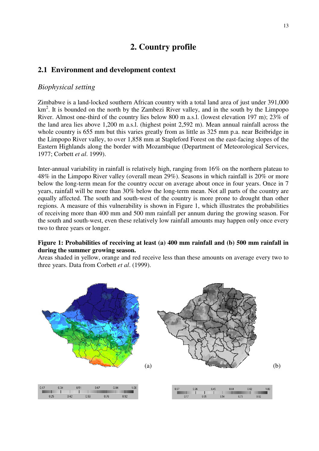# **2. Country profile**

#### **2.1 Environment and development context**

#### *Biophysical setting*

Zimbabwe is a land-locked southern African country with a total land area of just under 391,000 km<sup>2</sup>. It is bounded on the north by the Zambezi River valley, and in the south by the Limpopo River. Almost one-third of the country lies below 800 m a.s.l. (lowest elevation 197 m); 23% of the land area lies above 1,200 m a.s.l. (highest point 2,592 m). Mean annual rainfall across the whole country is 655 mm but this varies greatly from as little as 325 mm p.a. near Beitbridge in the Limpopo River valley, to over 1,858 mm at Stapleford Forest on the east-facing slopes of the Eastern Highlands along the border with Mozambique (Department of Meteorological Services, 1977; Corbett *et al*. 1999).

Inter-annual variability in rainfall is relatively high, ranging from 16% on the northern plateau to 48% in the Limpopo River valley (overall mean 29%). Seasons in which rainfall is 20% or more below the long-term mean for the country occur on average about once in four years. Once in 7 years, rainfall will be more than 30% below the long-term mean. Not all parts of the country are equally affected. The south and south-west of the country is more prone to drought than other regions. A measure of this vulnerability is shown in Figure 1, which illustrates the probabilities of receiving more than 400 mm and 500 mm rainfall per annum during the growing season. For the south and south-west, even these relatively low rainfall amounts may happen only once every two to three years or longer.

#### **Figure 1: Probabilities of receiving at least (a) 400 mm rainfall and (b) 500 mm rainfall in during the summer growing season.**

Areas shaded in yellow, orange and red receive less than these amounts on average every two to three years. Data from Corbett *et al*. (1999).

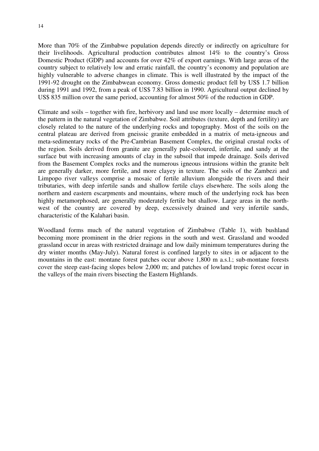More than 70% of the Zimbabwe population depends directly or indirectly on agriculture for their livelihoods. Agricultural production contributes almost 14% to the country's Gross Domestic Product (GDP) and accounts for over 42% of export earnings. With large areas of the country subject to relatively low and erratic rainfall, the country's economy and population are highly vulnerable to adverse changes in climate. This is well illustrated by the impact of the 1991-92 drought on the Zimbabwean economy. Gross domestic product fell by US\$ 1.7 billion during 1991 and 1992, from a peak of US\$ 7.83 billion in 1990. Agricultural output declined by US\$ 835 million over the same period, accounting for almost 50% of the reduction in GDP.

Climate and soils – together with fire, herbivory and land use more locally – determine much of the pattern in the natural vegetation of Zimbabwe. Soil attributes (texture, depth and fertility) are closely related to the nature of the underlying rocks and topography. Most of the soils on the central plateau are derived from gneissic granite embedded in a matrix of meta-igneous and meta-sedimentary rocks of the Pre-Cambrian Basement Complex, the original crustal rocks of the region. Soils derived from granite are generally pale-coloured, infertile, and sandy at the surface but with increasing amounts of clay in the subsoil that impede drainage. Soils derived from the Basement Complex rocks and the numerous igneous intrusions within the granite belt are generally darker, more fertile, and more clayey in texture. The soils of the Zambezi and Limpopo river valleys comprise a mosaic of fertile alluvium alongside the rivers and their tributaries, with deep infertile sands and shallow fertile clays elsewhere. The soils along the northern and eastern escarpments and mountains, where much of the underlying rock has been highly metamorphosed, are generally moderately fertile but shallow. Large areas in the northwest of the country are covered by deep, excessively drained and very infertile sands, characteristic of the Kalahari basin.

Woodland forms much of the natural vegetation of Zimbabwe (Table 1), with bushland becoming more prominent in the drier regions in the south and west. Grassland and wooded grassland occur in areas with restricted drainage and low daily minimum temperatures during the dry winter months (May-July). Natural forest is confined largely to sites in or adjacent to the mountains in the east: montane forest patches occur above 1,800 m a.s.l.; sub-montane forests cover the steep east-facing slopes below 2,000 m; and patches of lowland tropic forest occur in the valleys of the main rivers bisecting the Eastern Highlands.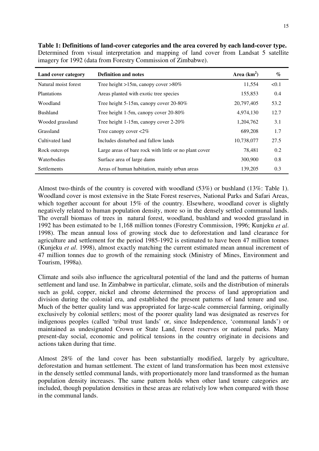| Land cover category  | <b>Definition and notes</b>                            | Area $(km^2)$ | $\%$  |
|----------------------|--------------------------------------------------------|---------------|-------|
| Natural moist forest | Tree height >15m, can opy cover >80%                   | 11,554        | < 0.1 |
| <b>Plantations</b>   | Areas planted with exotic tree species                 | 155,853       | 0.4   |
| Woodland             | Tree height 5-15m, canopy cover 20-80%                 | 20,797,405    | 53.2  |
| <b>Bushland</b>      | Tree height 1-5m, canopy cover 20-80%                  | 4,974,130     | 12.7  |
| Wooded grassland     | Tree height 1-15m, can opy cover $2-20\%$              | 1,204,762     | 3.1   |
| Grassland            | Tree canopy cover $\langle 2\%$                        | 689,208       | 1.7   |
| Cultivated land      | Includes disturbed and fallow lands                    | 10,738,077    | 27.5  |
| Rock outcrops        | Large areas of bare rock with little or no plant cover | 78,481        | 0.2   |
| Waterbodies          | Surface area of large dams                             | 300,900       | 0.8   |
| <b>Settlements</b>   | Areas of human habitation, mainly urban areas          | 139,205       | 0.3   |

**Table 1: Definitions of land-cover categories and the area covered by each land-cover type.** Determined from visual interpretation and mapping of land cover from Landsat 5 satellite imagery for 1992 (data from Forestry Commission of Zimbabwe).

Almost two-thirds of the country is covered with woodland (53%) or bushland (13%: Table 1). Woodland cover is most extensive in the State Forest reserves, National Parks and Safari Areas, which together account for about 15% of the country. Elsewhere, woodland cover is slightly negatively related to human population density, more so in the densely settled communal lands. The overall biomass of trees in natural forest, woodland, bushland and wooded grassland in 1992 has been estimated to be 1,168 million tonnes (Forestry Commission, 1996; Kunjeku *et al*. 1998). The mean annual loss of growing stock due to deforestation and land clearance for agriculture and settlement for the period 1985-1992 is estimated to have been 47 million tonnes (Kunjeku *et al*. 1998), almost exactly matching the current estimated mean annual increment of 47 million tonnes due to growth of the remaining stock (Ministry of Mines, Environment and Tourism, 1998a).

Climate and soils also influence the agricultural potential of the land and the patterns of human settlement and land use. In Zimbabwe in particular, climate, soils and the distribution of minerals such as gold, copper, nickel and chrome determined the process of land appropriation and division during the colonial era, and established the present patterns of land tenure and use. Much of the better quality land was appropriated for large-scale commercial farming, originally exclusively by colonial settlers; most of the poorer quality land was designated as reserves for indigenous peoples (called 'tribal trust lands' or, since Independence, 'communal lands') or maintained as undesignated Crown or State Land, forest reserves or national parks. Many present-day social, economic and political tensions in the country originate in decisions and actions taken during that time.

Almost 28% of the land cover has been substantially modified, largely by agriculture, deforestation and human settlement. The extent of land transformation has been most extensive in the densely settled communal lands, with proportionately more land transformed as the human population density increases. The same pattern holds when other land tenure categories are included, though population densities in these areas are relatively low when compared with those in the communal lands.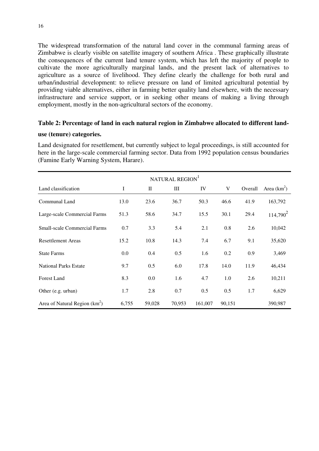The widespread transformation of the natural land cover in the communal farming areas of Zimbabwe is clearly visible on satellite imagery of southern Africa . These graphically illustrate the consequences of the current land tenure system, which has left the majority of people to cultivate the more agriculturally marginal lands, and the present lack of alternatives to agriculture as a source of livelihood. They define clearly the challenge for both rural and urban/industrial development: to relieve pressure on land of limited agricultural potential by providing viable alternatives, either in farming better quality land elsewhere, with the necessary infrastructure and service support, or in seeking other means of making a living through employment, mostly in the non-agricultural sectors of the economy.

#### **Table 2: Percentage of land in each natural region in Zimbabwe allocated to different land-**

#### **use (tenure) categories.**

Land designated for resettlement, but currently subject to legal proceedings, is still accounted for here in the large-scale commercial farming sector. Data from 1992 population census boundaries (Famine Early Warning System, Harare).

| NATURAL REGION                      |          |         |        |         |        |         |               |
|-------------------------------------|----------|---------|--------|---------|--------|---------|---------------|
| Land classification                 | $\bf{I}$ | П       | Ш      | IV      | V      | Overall | Area $(km^2)$ |
| Communal Land                       | 13.0     | 23.6    | 36.7   | 50.3    | 46.6   | 41.9    | 163,792       |
| Large-scale Commercial Farms        | 51.3     | 58.6    | 34.7   | 15.5    | 30.1   | 29.4    | $114,790^2$   |
| <b>Small-scale Commercial Farms</b> | 0.7      | 3.3     | 5.4    | 2.1     | 0.8    | 2.6     | 10,042        |
| <b>Resettlement Areas</b>           | 15.2     | 10.8    | 14.3   | 7.4     | 6.7    | 9.1     | 35,620        |
| <b>State Farms</b>                  | 0.0      | 0.4     | 0.5    | 1.6     | 0.2    | 0.9     | 3,469         |
| <b>National Parks Estate</b>        | 9.7      | 0.5     | 6.0    | 17.8    | 14.0   | 11.9    | 46,434        |
| <b>Forest Land</b>                  | 8.3      | $0.0\,$ | 1.6    | 4.7     | 1.0    | 2.6     | 10,211        |
| Other (e.g. urban)                  | 1.7      | 2.8     | 0.7    | 0.5     | 0.5    | 1.7     | 6,629         |
| Area of Natural Region $(km^2)$     | 6,755    | 59,028  | 70,953 | 161,007 | 90,151 |         | 390,987       |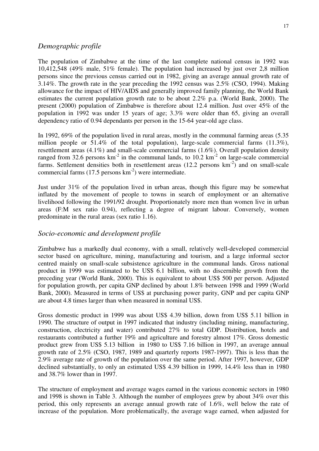#### *Demographic profile*

The population of Zimbabwe at the time of the last complete national census in 1992 was 10,412,548 (49% male, 51% female). The population had increased by just over 2,8 million persons since the previous census carried out in 1982, giving an average annual growth rate of 3.14%. The growth rate in the year preceding the 1992 census was 2.5% (CSO, 1994). Making allowance for the impact of HIV/AIDS and generally improved family planning, the World Bank estimates the current population growth rate to be about 2.2% p.a. (World Bank, 2000). The present (2000) population of Zimbabwe is therefore about 12.4 million. Just over 45% of the population in 1992 was under 15 years of age; 3.3% were older than 65, giving an overall dependency ratio of 0.94 dependants per person in the 15-64 year-old age class.

In 1992, 69% of the population lived in rural areas, mostly in the communal farming areas (5.35 million people or  $51.4\%$  of the total population), large-scale commercial farms  $(11.3\%)$ , resettlement areas (4.1%) and small-scale commercial farms (1.6%). Overall population density ranged from 32.6 persons  $km^{-2}$  in the communal lands, to 10.2  $km^{-2}$  on large-scale commercial farms. Settlement densities both in resettlement areas  $(12.2 \text{ persons km}^{-2})$  and on small-scale commercial farms  $(17.5 \text{ persons km}^{-2})$  were intermediate.

Just under 31% of the population lived in urban areas, though this figure may be somewhat inflated by the movement of people to towns in search of employment or an alternative livelihood following the 1991/92 drought. Proportionately more men than women live in urban areas (F:M sex ratio 0.94), reflecting a degree of migrant labour. Conversely, women predominate in the rural areas (sex ratio 1.16).

#### *Socio-economic and development profile*

Zimbabwe has a markedly dual economy, with a small, relatively well-developed commercial sector based on agriculture, mining, manufacturing and tourism, and a large informal sector centred mainly on small-scale subsistence agriculture in the communal lands. Gross national product in 1999 was estimated to be US\$ 6.1 billion, with no discernible growth from the preceding year (World Bank, 2000). This is equivalent to about US\$ 500 per person. Adjusted for population growth, per capita GNP declined by about 1.8% between 1998 and 1999 (World Bank, 2000). Measured in terms of US\$ at purchasing power parity, GNP and per capita GNP are about 4.8 times larger than when measured in nominal US\$.

Gross domestic product in 1999 was about US\$ 4.39 billion, down from US\$ 5.11 billion in 1990. The structure of output in 1997 indicated that industry (including mining, manufacturing, construction, electricity and water) contributed 27% to total GDP. Distribution, hotels and restaurants contributed a further 19% and agriculture and forestry almost 17%. Gross domestic product grew from US\$ 5.13 billion in 1980 to US\$ 7.16 billion in 1997, an average annual growth rate of 2.5% (CSO, 1987, 1989 and quarterly reports 1987-1997). This is less than the 2.9% average rate of growth of the population over the same period. After 1997, however, GDP declined substantially, to only an estimated US\$ 4.39 billion in 1999, 14.4% less than in 1980 and 38.7% lower than in 1997.

The structure of employment and average wages earned in the various economic sectors in 1980 and 1998 is shown in Table 3. Although the number of employees grew by about 34% over this period, this only represents an average annual growth rate of 1.6%, well below the rate of increase of the population. More problematically, the average wage earned, when adjusted for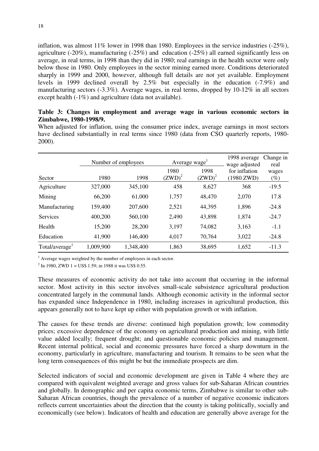inflation, was almost 11% lower in 1998 than 1980. Employees in the service industries (-25%), agriculture (-20%), manufacturing (-25%) and education (-25%) all earned significantly less on average, in real terms, in 1998 than they did in 1980; real earnings in the health sector were only below those in 1980. Only employees in the sector mining earned more. Conditions deteriorated sharply in 1999 and 2000, however, although full details are not yet available. Employment levels in 1999 declined overall by 2.5% but especially in the education (-7.9%) and manufacturing sectors (-3.3%). Average wages, in real terms, dropped by 10-12% in all sectors except health (-1%) and agriculture (data not available).

#### **Table 3: Changes in employment and average wage in various economic sectors in Zimbabwe, 1980-1998/9.**

When adjusted for inflation, using the consumer price index, average earnings in most sectors have declined substantially in real terms since 1980 (data from CSO quarterly reports, 1980- 2000).

|                            |           | Number of employees |                   | Average wage <sup>1</sup> | 1998 average<br>wage adjusted | Change in<br>real |  |
|----------------------------|-----------|---------------------|-------------------|---------------------------|-------------------------------|-------------------|--|
| Sector                     | 1980      | 1998                | 1980<br>$(ZWD)^2$ | 1998<br>$(ZWD)^2$         | for inflation<br>(1980 ZWD)   | wages<br>$(\%)$   |  |
| Agriculture                | 327,000   | 345,100             | 458               | 8,627                     | 368                           | $-19.5$           |  |
| Mining                     | 66,200    | 61,000              | 1,757             | 48,470                    | 2,070                         | 17.8              |  |
| Manufacturing              | 159,400   | 207,600             | 2,521             | 44,395                    | 1,896                         | $-24.8$           |  |
| <b>Services</b>            | 400,200   | 560,100             | 2,490             | 43,898                    | 1,874                         | $-24.7$           |  |
| Health                     | 15,200    | 28,200              | 3,197             | 74,082                    | 3,163                         | $-1.1$            |  |
| Education                  | 41,900    | 146,400             | 4,017             | 70,764                    | 3,022                         | $-24.8$           |  |
| Total/average <sup>1</sup> | 1,009,900 | 1,348,400           | 1,863             | 38,695                    | 1,652                         | $-11.3$           |  |

 $<sup>1</sup>$  Average wages weighted by the number of employees in each sector.</sup>

<sup>2</sup> In 1980, ZWD 1 = US\$ 1.59; in 1988 it was US\$ 0.55.

These measures of economic activity do not take into account that occurring in the informal sector. Most activity in this sector involves small-scale subsistence agricultural production concentrated largely in the communal lands. Although economic activity in the informal sector has expanded since Independence in 1980, including increases in agricultural production, this appears generally not to have kept up either with population growth or with inflation.

The causes for these trends are diverse: continued high population growth; low commodity prices; excessive dependence of the economy on agricultural production and mining, with little value added locally; frequent drought; and questionable economic policies and management. Recent internal political, social and economic pressures have forced a sharp downturn in the economy, particularly in agriculture, manufacturing and tourism. It remains to be seen what the long term consequences of this might be but the immediate prospects are dim.

Selected indicators of social and economic development are given in Table 4 where they are compared with equivalent weighted average and gross values for sub-Saharan African countries and globally. In demographic and per capita economic terms, Zimbabwe is similar to other sub-Saharan African countries, though the prevalence of a number of negative economic indicators reflects current uncertainties about the direction that the county is taking politically, socially and economically (see below). Indicators of health and education are generally above average for the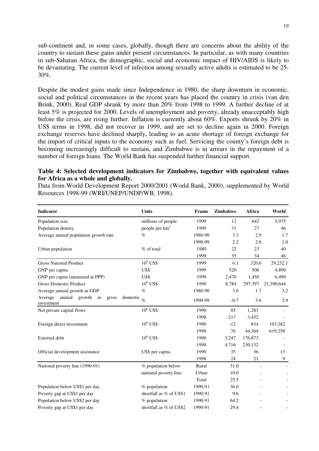sub-continent and, in some cases, globally, though there are concerns about the ability of the country to sustain these gains under present circumstances. In particular, as with many countries in sub-Saharan Africa, the demographic, social and economic impact of HIV/AIDS is likely to be devastating. The current level of infection among sexually active adults is estimated to be 25- 30%.

Despite the modest gains made since Independence in 1980, the sharp downturn in economic, social and political circumstances in the recent years has placed the country in crisis (van den Brink, 2000). Real GDP shrank by more than 20% from 1998 to 1999. A further decline of at least 5% is projected for 2000. Levels of unemployment and poverty, already unacceptably high before the crisis, are rising further. Inflation is currently about 60%. Exports shrunk by 20% in US\$ terms in 1998, did not recover in 1999, and are set to decline again in 2000. Foreign exchange reserves have declined sharply, leading to an acute shortage of foreign exchange for the import of critical inputs to the economy such as fuel. Servicing the county's foreign debt is becoming increasingly difficult to sustain, and Zimbabwe is in arrears in the repayment of a number of foreign loans. The World Bank has suspended further financial support.

#### **Table 4: Selected development indicators for Zimbabwe, together with equivalent values for Africa as a whole and globally.**

Data from World Development Report 2000/2001 (World Bank, 2000), supplemented by World Resources 1998-99 (WRI/UNEP/UNDP/WB, 1998).

| <b>Indicator</b>                                                              | <b>Units</b>               | Frame   | Zimbabwe | Africa            | World            |
|-------------------------------------------------------------------------------|----------------------------|---------|----------|-------------------|------------------|
| Population size                                                               | millions of people         | 1999    | 12       | 642               | 5,975            |
| Population density                                                            | people per km <sup>2</sup> | 1999    | 31       | 27                | 46               |
| Average annual population growth rate                                         | $\%$                       | 1980-90 | 3.3      | 2.9               | 1.7              |
|                                                                               |                            | 1990-99 | 2.2      | 2.6               | 1.0              |
| Urban population                                                              | % of total                 | 1980    | 22       | 23                | 40               |
|                                                                               |                            | 1999    | 35       | 34                | 46               |
| <b>Gross National Product</b>                                                 | $10^9$ US\$                | 1999    | 6.1      | 320.6             | 29,232.1         |
| GNP per capita                                                                | US\$                       | 1999    | 520      | 500               | 4,890            |
| GNP per capita (measured at PPP)                                              | US\$                       | 1999    | 2,470    | 1,450             | 6,490            |
| <b>Gross Domestic Product</b>                                                 | $10^6$ US\$                | 1990    | 8,784    | 297,397           | 21,390,644       |
| Average annual growth in GDP                                                  | $\%$                       | 1980-90 | 3.6      | 1.7               | 3.2              |
| Average<br>annual growth in<br>domestic $\frac{1}{\%}$<br>gross<br>investment |                            | 1990-99 | $-0.7$   | 3.6               | 2.9              |
| Net private capital flows                                                     | $10^6$ US\$                | 1990    | 85       | 1,283             |                  |
|                                                                               |                            | 1998    | $-217$   | 3,452             |                  |
| Foreign direct investment                                                     | $10^6$ US\$                | 1990    | $-12$    | 834               | 193,382          |
|                                                                               |                            | 1998    | 76       | 44,364            | 619,258          |
| External debt                                                                 | $10^6$ US\$                | 1990    | 3,247    | 176,873           |                  |
|                                                                               |                            | 1998    | 4,716    | 230,132           |                  |
| Official development assistance                                               | US\$ per capita            | 1990    | 35       | 36                | 13               |
|                                                                               |                            | 1998    | 24       | 21                | $\boldsymbol{9}$ |
| National poverty line (1990-91)                                               | % population below         | Rural   | 31.0     |                   |                  |
|                                                                               | national poverty line      | Urban   | 10.0     |                   |                  |
|                                                                               |                            | Total   | 25.5     |                   |                  |
| Population below US\$1 per day                                                | % population               | 1990-91 | 36.0     |                   |                  |
| Poverty gap at US\$1 per day                                                  | shortfall as % of US\$1    | 1990-91 | 9.6      |                   |                  |
| Population below US\$2 per day                                                | % population               | 1990-91 | 64.2     |                   |                  |
| Poverty gap at US\$1 per day                                                  | shortfall as % of US\$2    | 1990-91 | 29.4     | $\qquad \qquad -$ |                  |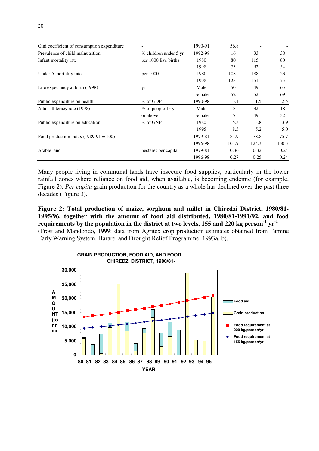| Gini coefficient of consumption expenditure | $\overline{\phantom{a}}$ | 1990-91 | 56.8  |       |       |
|---------------------------------------------|--------------------------|---------|-------|-------|-------|
| Prevalence of child malnutrition            | % children under 5 yr    | 1992-98 | 16    | 33    | 30    |
| Infant mortality rate                       | per 1000 live births     | 1980    | 80    | 115   | 80    |
|                                             |                          | 1998    | 73    | 92    | 54    |
| Under-5 mortality rate                      | per 1000                 | 1980    | 108   | 188   | 123   |
|                                             |                          | 1998    | 125   | 151   | 75    |
| Life expectancy at birth (1998)             | yr                       | Male    | 50    | 49    | 65    |
|                                             |                          | Female  | 52    | 52    | 69    |
| Public expenditure on health                | $\%$ of GDP              | 1990-98 | 3.1   | 1.5   | 2.5   |
| Adult illiteracy rate (1998)                | $%$ of people 15 yr      | Male    | 8     | 32    | 18    |
|                                             | or above                 | Female  | 17    | 49    | 32    |
| Public expenditure on education             | $%$ of GNP               | 1980    | 5.3   | 3.8   | 3.9   |
|                                             |                          | 1995    | 8.5   | 5.2   | 5.0   |
| Food production index $(1989-91 = 100)$     |                          | 1979-81 | 81.9  | 78.8  | 75.7  |
|                                             |                          | 1996-98 | 101.9 | 124.3 | 130.3 |
| Arable land                                 | hectares per capita      | 1979-81 | 0.36  | 0.32  | 0.24  |
|                                             |                          | 1996-98 | 0.27  | 0.25  | 0.24  |

Many people living in communal lands have insecure food supplies, particularly in the lower rainfall zones where reliance on food aid, when available, is becoming endemic (for example, Figure 2). *Per capita* grain production for the country as a whole has declined over the past three decades (Figure 3).

**Figure 2: Total production of maize, sorghum and millet in Chiredzi District, 1980/81- 1995/96, together with the amount of food aid distributed, 1980/81-1991/92, and food** requirements by the population in the district at two levels, 155 and 220 kg person<sup>-1</sup> yr<sup>-1</sup> (Frost and Mandondo, 1999: data from Agritex crop production estimates obtained from Famine Early Warning System, Harare, and Drought Relief Programme, 1993a, b).

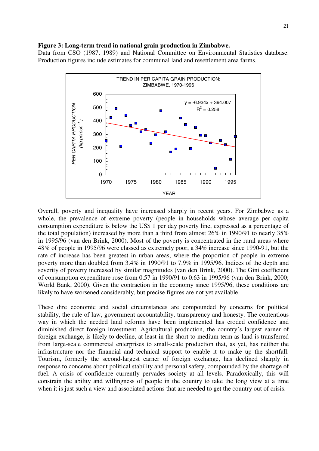#### **Figure 3: Long-term trend in national grain production in Zimbabwe.**

Data from CSO (1987, 1989) and National Committee on Environmental Statistics database. Production figures include estimates for communal land and resettlement area farms.



Overall, poverty and inequality have increased sharply in recent years. For Zimbabwe as a whole, the prevalence of extreme poverty (people in households whose average per capita consumption expenditure is below the US\$ 1 per day poverty line, expressed as a percentage of the total population) increased by more than a third from almost 26% in 1990/91 to nearly 35% in 1995/96 (van den Brink, 2000). Most of the poverty is concentrated in the rural areas where 48% of people in 1995/96 were classed as extremely poor, a 34% increase since 1990-91, but the rate of increase has been greatest in urban areas, where the proportion of people in extreme poverty more than doubled from 3.4% in 1990/91 to 7.9% in 1995/96. Indices of the depth and severity of poverty increased by similar magnitudes (van den Brink, 2000). The Gini coefficient of consumption expenditure rose from 0.57 in 1990/91 to 0.63 in 1995/96 (van den Brink, 2000; World Bank, 2000). Given the contraction in the economy since 1995/96, these conditions are likely to have worsened considerably, but precise figures are not yet available.

These dire economic and social circumstances are compounded by concerns for political stability, the rule of law, government accountability, transparency and honesty. The contentious way in which the needed land reforms have been implemented has eroded confidence and diminished direct foreign investment. Agricultural production, the country's largest earner of foreign exchange, is likely to decline, at least in the short to medium term as land is transferred from large-scale commercial enterprises to small-scale production that, as yet, has neither the infrastructure nor the financial and technical support to enable it to make up the shortfall. Tourism, formerly the second-largest earner of foreign exchange, has declined sharply in response to concerns about political stability and personal safety, compounded by the shortage of fuel. A crisis of confidence currently pervades society at all levels. Paradoxically, this will constrain the ability and willingness of people in the country to take the long view at a time when it is just such a view and associated actions that are needed to get the country out of crisis.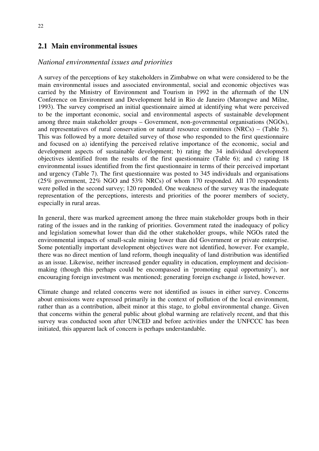#### **2.1 Main environmental issues**

#### *National environmental issues and priorities*

A survey of the perceptions of key stakeholders in Zimbabwe on what were considered to be the main environmental issues and associated environmental, social and economic objectives was carried by the Ministry of Environment and Tourism in 1992 in the aftermath of the UN Conference on Environment and Development held in Rio de Janeiro (Marongwe and Milne, 1993). The survey comprised an initial questionnaire aimed at identifying what were perceived to be the important economic, social and environmental aspects of sustainable development among three main stakeholder groups – Government, non-governmental organisations (NGOs), and representatives of rural conservation or natural resource committees (NRCs) – (Table 5). This was followed by a more detailed survey of those who responded to the first questionnaire and focused on a) identifying the perceived relative importance of the economic, social and development aspects of sustainable development; b) rating the 34 individual development objectives identified from the results of the first questionnaire (Table 6); and c) rating 18 environmental issues identified from the first questionnaire in terms of their perceived important and urgency (Table 7). The first questionnaire was posted to 345 individuals and organisations (25% government, 22% NGO and 53% NRCs) of whom 170 responded. All 170 respondents were polled in the second survey; 120 reponded. One weakness of the survey was the inadequate representation of the perceptions, interests and priorities of the poorer members of society, especially in rural areas.

In general, there was marked agreement among the three main stakeholder groups both in their rating of the issues and in the ranking of priorities. Government rated the inadequacy of policy and legislation somewhat lower than did the other stakeholder groups, while NGOs rated the environmental impacts of small-scale mining lower than did Government or private enterprise. Some potentially important development objectives were not identified, however. For example, there was no direct mention of land reform, though inequality of land distribution was identified as an issue. Likewise, neither increased gender equality in education, employment and decisionmaking (though this perhaps could be encompassed in 'promoting equal opportunity'), nor encouraging foreign investment was mentioned; generating foreign exchange *is* listed, however.

Climate change and related concerns were not identified as issues in either survey. Concerns about emissions were expressed primarily in the context of pollution of the local environment, rather than as a contribution, albeit minor at this stage, to global environmental change. Given that concerns within the general public about global warming are relatively recent, and that this survey was conducted soon after UNCED and before activities under the UNFCCC has been initiated, this apparent lack of concern is perhaps understandable.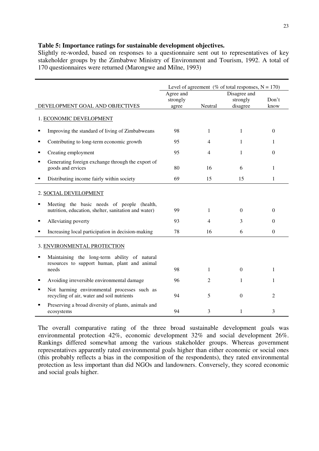#### **Table 5: Importance ratings for sustainable development objectives.**

Slightly re-worded, based on responses to a questionnaire sent out to representatives of key stakeholder groups by the Zimbabwe Ministry of Environment and Tourism, 1992. A total of 170 questionnaires were returned (Marongwe and Milne, 1993)

|                                                                                                         | Level of agreement (% of total responses, $N = 170$ )<br>Disagree and |         |              |                  |  |
|---------------------------------------------------------------------------------------------------------|-----------------------------------------------------------------------|---------|--------------|------------------|--|
|                                                                                                         | Agree and                                                             |         |              |                  |  |
|                                                                                                         | strongly                                                              |         | strongly     | Don't            |  |
| DEVELOPMENT GOAL AND OBJECTIVES                                                                         | agree                                                                 | Neutral | disagree     | know             |  |
| 1. ECONOMIC DEVELOPMENT                                                                                 |                                                                       |         |              |                  |  |
| Improving the standard of living of Zimbabweans<br>П                                                    | 98                                                                    | 1       | 1            | $\Omega$         |  |
| Contributing to long-term economic growth<br>п                                                          | 95                                                                    | 4       | 1            | 1                |  |
| Creating employment<br>п                                                                                | 95                                                                    | 4       | 1            | 0                |  |
| Generating foreign exchange through the export of<br>п<br>goods and ervices                             | 80                                                                    | 16      | 6            | 1                |  |
| Distributing income fairly within society<br>п                                                          | 69                                                                    | 15      | 15           | 1                |  |
| 2. SOCIAL DEVELOPMENT                                                                                   |                                                                       |         |              |                  |  |
| Meeting the basic needs of people (health,<br>п<br>nutrition, education, shelter, sanitation and water) | 99                                                                    | 1       | $\Omega$     | $\Omega$         |  |
| Alleviating poverty<br>٠                                                                                | 93                                                                    | 4       | 3            | $\Omega$         |  |
| Increasing local participation in decision-making<br>П                                                  | 78                                                                    | 16      | 6            | $\boldsymbol{0}$ |  |
| 3. ENVIRONMENTAL PROTECTION                                                                             |                                                                       |         |              |                  |  |
| Maintaining the long-term ability of natural<br>resources to support human, plant and animal<br>needs   | 98                                                                    | 1       | $\mathbf{0}$ | 1                |  |
| Avoiding irreversible environmental damage<br>п                                                         | 96                                                                    | 2       | 1            | 1                |  |
| Not harming environmental processes such as<br>П<br>recycling of air, water and soil nutrients          | 94                                                                    | 5       | $\theta$     | 2                |  |
| Preserving a broad diversity of plants, animals and<br>п<br>ecosystems                                  | 94                                                                    | 3       | 1            | 3                |  |

The overall comparative rating of the three broad sustainable development goals was environmental protection 42%, economic development 32% and social development 26%. Rankings differed somewhat among the various stakeholder groups. Whereas government representatives apparently rated environmental goals higher than either economic or social ones (this probably reflects a bias in the composition of the respondents), they rated environmental protection as less important than did NGOs and landowners. Conversely, they scored economic and social goals higher.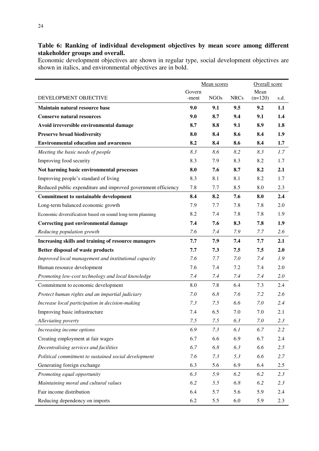#### **Table 6: Ranking of individual development objectives by mean score among different stakeholder groups and overall.**

Economic development objectives are shown in regular type, social development objectives are shown in italics, and environmental objectives are in bold.

|                                                               | Mean scores |             |             | Overall score |      |
|---------------------------------------------------------------|-------------|-------------|-------------|---------------|------|
|                                                               | Govern      |             |             |               |      |
| DEVELOPMENT OBJECTIVE                                         | -ment       | <b>NGOs</b> | <b>NRCs</b> | $(n=120)$     | s.d. |
| Maintain natural resource base                                | 9.0         | 9.1         | 9.5         | 9.2           | 1.1  |
| <b>Conserve natural resources</b>                             | 9.0         | 8.7         | 9.4         | 9.1           | 1.4  |
| Avoid irreversible environmental damage                       | 8.7         | 8.8         | 9.1         | 8.9           | 1.8  |
| <b>Preserve broad biodiversity</b>                            | 8.0         | 8.4         | 8.6         | 8.4           | 1.9  |
| <b>Environmental education and awareness</b>                  | 8.2         | 8.4         | 8.6         | 8.4           | 1.7  |
| Meeting the basic needs of people                             | 8.3         | 8.6         | 8.2         | 8.3           | 1.7  |
| Improving food security                                       | 8.3         | 7.9         | 8.3         | 8.2           | 1.7  |
| Not harming basic environmental processes                     | 8.0         | 7.6         | 8.7         | 8.2           | 2.1  |
| Improving people's standard of living                         | 8.3         | 8.1         | 8.1         | 8.2           | 1.7  |
| Reduced public expenditure and improved government efficiency | 7.8         | 7.7         | 8.5         | 8.0           | 2.3  |
| <b>Commitment to sustainable development</b>                  | 8.4         | 8.2         | 7.6         | 8.0           | 2.4  |
| Long-term balanced economic growth                            | 7.9         | 7.7         | 7.8         | 7.8           | 2.0  |
| Economic diversification based on sound long-term planning    | 8.2         | 7.4         | 7.8         | 7.8           | 1.9  |
| <b>Correcting past environmental damage</b>                   | 7.4         | 7.6         | 8.3         | 7.8           | 1.9  |
| Reducing population growth                                    | 7.6         | 7.4         | 7.9         | 7.7           | 2.6  |
| Increasing skills and training of resource managers           | 7.7         | 7.9         | 7.4         | 7.7           | 2.1  |
| Better disposal of waste products                             | 7.7         | 7.3         | 7.5         | 7.5           | 2.0  |
| Improved local management and institutional capacity          | 7.6         | 7.7         | 7.0         | 7.4           | 1.9  |
| Human resource development                                    | 7.6         | 7.4         | 7.2         | 7.4           | 2.0  |
| Promoting low-cost technology and local knowledge             | 7.4         | 7.4         | 7.4         | 7.4           | 2.0  |
| Commitment to economic development                            | 8.0         | 7.8         | 6.4         | 7.3           | 2.4  |
| Protect human rights and an impartial judiciary               | 7.0         | 6.8         | 7.6         | 7.2           | 2.6  |
| Increase local participation in decision-making               | 7.3         | 7.5         | 6.6         | 7.0           | 2.4  |
| Improving basic infrastructure                                | 7.4         | 6.5         | 7.0         | 7.0           | 2.1  |
| Alleviating poverty                                           | 7.5         | 7.5         | 6.3         | 7.0           | 2.3  |
| Increasing income options                                     | 6.9         | 7.3         | 6.1         | 6.7           | 2.2  |
| Creating employment at fair wages                             | 6.7         | 6.6         | 6.9         | 6.7           | 2.4  |
| Decentralising services and facilities                        | 6.7         | 6.8         | 6.3         | 6.6           | 2.5  |
| Political commitment to sustained social development          | 7.6         | 7.3         | 5.3         | 6.6           | 2.7  |
| Generating foreign exchange                                   | 6.3         | 5.6         | 6.9         | 6.4           | 2.5  |
| Promoting equal opportunity                                   | 6.3         | 5.9         | 6.2         | 6.2           | 2.3  |
| Maintaining moral and cultural values                         | 6.2         | 5.5         | 6.8         | 6.2           | 2.3  |
| Fair income distribution                                      | 6.4         | 5.7         | 5.6         | 5.9           | 2.4  |
| Reducing dependency on imports                                | 6.2         | 5.5         | 6.0         | 5.9           | 2.3  |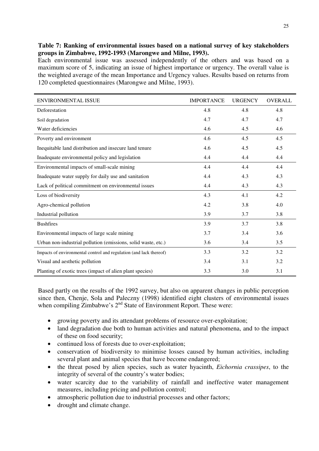#### **Table 7: Ranking of environmental issues based on a national survey of key stakeholders groups in Zimbabwe, 1992-1993 (Marongwe and Milne, 1993).**

Each environmental issue was assessed independently of the others and was based on a maximum score of 5, indicating an issue of highest importance or urgency. The overall value is the weighted average of the mean Importance and Urgency values. Results based on returns from 120 completed questionnaires (Marongwe and Milne, 1993).

| ENVIRONMENTAL ISSUE                                                | <b>IMPORTANCE</b> | <b>URGENCY</b> | <b>OVERALL</b> |
|--------------------------------------------------------------------|-------------------|----------------|----------------|
| Deforestation                                                      | 4.8               | 4.8            | 4.8            |
| Soil degradation                                                   | 4.7               | 4.7            | 4.7            |
| Water deficiencies                                                 | 4.6               | 4.5            | 4.6            |
| Poverty and environment                                            | 4.6               | 4.5            | 4.5            |
| Inequitable land distribution and insecure land tenure             | 4.6               | 4.5            | 4.5            |
| Inadequate environmental policy and legislation                    | 4.4               | 4.4            | 4.4            |
| Environmental impacts of small-scale mining                        | 4.4               | 4.4            | 4.4            |
| Inadequate water supply for daily use and sanitation               | 4.4               | 4.3            | 4.3            |
| Lack of political commitment on environmental issues               | 4.4               | 4.3            | 4.3            |
| Loss of biodiversity                                               | 4.3               | 4.1            | 4.2            |
| Agro-chemical pollution                                            | 4.2               | 3.8            | 4.0            |
| Industrial pollution                                               | 3.9               | 3.7            | 3.8            |
| <b>Bushfires</b>                                                   | 3.9               | 3.7            | 3.8            |
| Environmental impacts of large scale mining                        | 3.7               | 3.4            | 3.6            |
| Urban non-industrial pollution (emissions, solid waste, etc.)      | 3.6               | 3.4            | 3.5            |
| Impacts of environmental control and regulation (and lack thereof) | 3.3               | 3.2            | 3.2            |
| Visual and aesthetic pollution                                     | 3.4               | 3.1            | 3.2            |
| Planting of exotic trees (impact of alien plant species)           | 3.3               | 3.0            | 3.1            |

Based partly on the results of the 1992 survey, but also on apparent changes in public perception since then, Chenje, Sola and Paleczny (1998) identified eight clusters of environmental issues when compiling Zimbabwe's  $2<sup>nd</sup>$  State of Environment Report. These were:

- growing poverty and its attendant problems of resource over-exploitation;
- land degradation due both to human activities and natural phenomena, and to the impact of these on food security;
- continued loss of forests due to over-exploitation:
- conservation of biodiversity to minimise losses caused by human activities, including several plant and animal species that have become endangered;
- the threat posed by alien species, such as water hyacinth, *Eichornia crassipes*, to the integrity of several of the country's water bodies;
- water scarcity due to the variability of rainfall and ineffective water management measures, including pricing and pollution control;
- atmospheric pollution due to industrial processes and other factors;
- drought and climate change.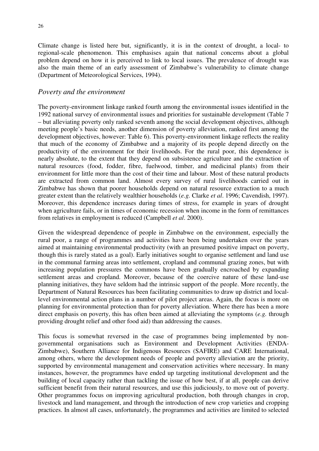Climate change is listed here but, significantly, it is in the context of drought, a local- to regional-scale phenomenon. This emphasises again that national concerns about a global problem depend on how it is perceived to link to local issues. The prevalence of drought was also the main theme of an early assessment of Zimbabwe's vulnerability to climate change (Department of Meteorological Services, 1994).

#### *Poverty and the environment*

The poverty-environment linkage ranked fourth among the environmental issues identified in the 1992 national survey of environmental issues and priorities for sustainable development (Table 7 – but alleviating poverty only ranked seventh among the social development objectives, although meeting people's basic needs, another dimension of poverty alleviation, ranked first among the development objectives, however: Table 6). This poverty-environment linkage reflects the reality that much of the economy of Zimbabwe and a majority of its people depend directly on the productivity of the environment for their livelihoods. For the rural poor, this dependence is nearly absolute, to the extent that they depend on subsistence agriculture and the extraction of natural resources (food, fodder, fibre, fuelwood, timber, and medicinal plants) from their environment for little more than the cost of their time and labour. Most of these natural products are extracted from common land. Almost every survey of rural livelihoods carried out in Zimbabwe has shown that poorer households depend on natural resource extraction to a much greater extent than the relatively wealthier households (*e.g.* Clarke *et al*. 1996; Cavendish, 1997). Moreover, this dependence increases during times of stress, for example in years of drought when agriculture fails, or in times of economic recession when income in the form of remittances from relatives in employment is reduced (Campbell *et al*. 2000).

Given the widespread dependence of people in Zimbabwe on the environment, especially the rural poor, a range of programmes and activities have been being undertaken over the years aimed at maintaining environmental productivity (with an presumed positive impact on poverty, though this is rarely stated as a goal). Early initiatives sought to organise settlement and land use in the communal farming areas into settlement, cropland and communal grazing zones, but with increasing population pressures the commons have been gradually encroached by expanding settlement areas and cropland. Moreover, because of the coercive nature of these land-use planning initiatives, they have seldom had the intrinsic support of the people. More recently, the Department of Natural Resources has been facilitating communities to draw up district and locallevel environmental action plans in a number of pilot project areas. Again, the focus is more on planning for environmental protection than for poverty alleviation. Where there has been a more direct emphasis on poverty, this has often been aimed at alleviating the symptoms (*e.g.* through providing drought relief and other food aid) than addressing the causes.

This focus is somewhat reversed in the case of programmes being implemented by nongovernmental organisations such as Environment and Development Activities (ENDA-Zimbabwe), Southern Alliance for Indigenous Resources (SAFIRE) and CARE International, among others, where the development needs of people and poverty alleviation are the priority, supported by environmental management and conservation activities where necessary. In many instances, however, the programmes have ended up targeting institutional development and the building of local capacity rather than tackling the issue of how best, if at all, people can derive sufficient benefit from their natural resources, and use this judiciously, to move out of poverty. Other programmes focus on improving agricultural production, both through changes in crop, livestock and land management, and through the introduction of new crop varieties and cropping practices. In almost all cases, unfortunately, the programmes and activities are limited to selected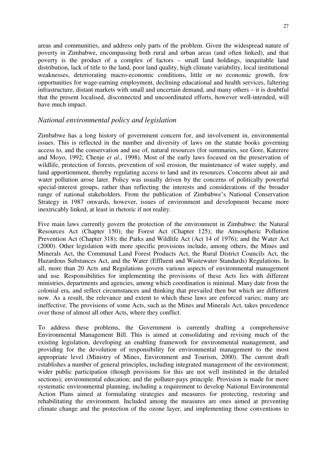areas and communities, and address only parts of the problem. Given the widespread nature of poverty in Zimbabwe, encompassing both rural and urban areas (and often linked), and that poverty is the product of a complex of factors – small land holdings, inequitable land distribution, lack of title to the land, poor land quality, high climate variability, local institutional weaknesses, deteriorating macro-economic conditions, little or no economic growth, few opportunities for wage-earning employment, declining educational and health services, faltering infrastructure, distant markets with small and uncertain demand, and many others – it is doubtful that the present localised, disconnected and uncoordinated efforts, however well-intended, will have much impact.

#### *National environmental policy and legislation*

Zimbabwe has a long history of government concern for, and involvement in, environmental issues. This is reflected in the number and diversity of laws on the statute books governing access to, and the conservation and use of, natural resources (for summaries, see Gore, Katerere and Moyo, 1992; Chenje *et al*., 1998). Most of the early laws focused on the preservation of wildlife, protection of forests, prevention of soil erosion, the maintenance of water supply, and land apportionment, thereby regulating access to land and its resources. Concerns about air and water pollution arose later. Policy was usually driven by the concerns of politically powerful special-interest groups, rather than reflecting the interests and considerations of the broader range of national stakeholders. From the publication of Zimbabwe's National Conservation Strategy in 1987 onwards, however, issues of environment and development became more inextricably linked, at least in rhetoric if not reality.

Five main laws currently govern the protection of the environment in Zimbabwe: the Natural Resources Act (Chapter 150); the Forest Act (Chapter 125); the Atmospheric Pollution Prevention Act (Chapter 318); the Parks and Wildlife Act (Act 14 of 1976); and the Water Act (2000). Other legislation with more specific provisions include, among others, the Mines and Minerals Act, the Communal Land Forest Products Act, the Rural District Councils Act, the Hazardous Substances Act, and the Water (Effluent and Wastewater Standards) Regulations. In all, more than 20 Acts and Regulations govern various aspects of environmental management and use. Responsibilities for implementing the provisions of these Acts lies with different ministries, departments and agencies, among which coordination is minimal. Many date from the colonial era, and reflect circumstances and thinking that prevailed then but which are different now. As a result, the relevance and extent to which these laws are enforced varies; many are ineffective. The provisions of some Acts, such as the Mines and Minerals Act, takes precedence over those of almost all other Acts, where they conflict.

To address these problems, the Government is currently drafting a comprehensive Environmental Management Bill. This is aimed at consolidating and revising much of the existing legislation, developing an enabling framework for environmental management, and providing for the devolution of responsibility for environmental management to the most appropriate level (Ministry of Mines, Environment and Tourism, 2000). The current draft establishes a number of general principles, including integrated management of the environment; wider public participation (though provisions for this are not well instituted in the detailed sections); environmental education; and the polluter-pays principle. Provision is made for more systematic environmental planning, including a requirement to develop National Environmental Action Plans aimed at formulating strategies and measures for protecting, restoring and rehabilitating the environment. Included among the measures are ones aimed at preventing climate change and the protection of the ozone layer, and implementing those conventions to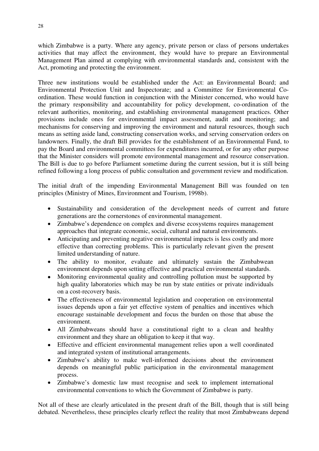which Zimbabwe is a party. Where any agency, private person or class of persons undertakes activities that may affect the environment, they would have to prepare an Environmental Management Plan aimed at complying with environmental standards and, consistent with the Act, promoting and protecting the environment.

Three new institutions would be established under the Act: an Environmental Board; and Environmental Protection Unit and Inspectorate; and a Committee for Environmental Coordination. These would function in conjunction with the Minister concerned, who would have the primary responsibility and accountability for policy development, co-ordination of the relevant authorities, monitoring, and establishing environmental management practices. Other provisions include ones for environmental impact assessment, audit and monitoring; and mechanisms for conserving and improving the environment and natural resources, though such means as setting aside land, constructing conservation works, and serving conservation orders on landowners. Finally, the draft Bill provides for the establishment of an Environmental Fund, to pay the Board and environmental committees for expenditures incurred, or for any other purpose that the Minister considers will promote environmental management and resource conservation. The Bill is due to go before Parliament sometime during the current session, but it is still being refined following a long process of public consultation and government review and modification.

The initial draft of the impending Environmental Management Bill was founded on ten principles (Ministry of Mines, Environment and Tourism, 1998b).

- Sustainability and consideration of the development needs of current and future generations are the cornerstones of environmental management.
- Zimbabwe's dependence on complex and diverse ecosystems requires management approaches that integrate economic, social, cultural and natural environments.
- Anticipating and preventing negative environmental impacts is less costly and more effective than correcting problems. This is particularly relevant given the present limited understanding of nature.
- The ability to monitor, evaluate and ultimately sustain the Zimbabwean environment depends upon setting effective and practical environmental standards.
- Monitoring environmental quality and controlling pollution must be supported by high quality laboratories which may be run by state entities or private individuals on a cost-recovery basis.
- The effectiveness of environmental legislation and cooperation on environmental issues depends upon a fair yet effective system of penalties and incentives which encourage sustainable development and focus the burden on those that abuse the environment.
- All Zimbabweans should have a constitutional right to a clean and healthy environment and they share an obligation to keep it that way.
- Effective and efficient environmental management relies upon a well coordinated and integrated system of institutional arrangements.
- Zimbabwe's ability to make well-informed decisions about the environment depends on meaningful public participation in the environmental management process.
- Zimbabwe's domestic law must recognise and seek to implement international environmental conventions to which the Government of Zimbabwe is party.

Not all of these are clearly articulated in the present draft of the Bill, though that is still being debated. Nevertheless, these principles clearly reflect the reality that most Zimbabweans depend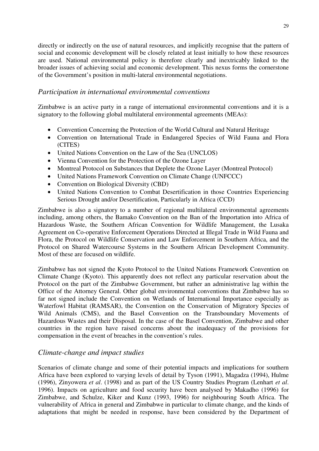directly or indirectly on the use of natural resources, and implicitly recognise that the pattern of social and economic development will be closely related at least initially to how these resources are used. National environmental policy is therefore clearly and inextricably linked to the broader issues of achieving social and economic development. This nexus forms the cornerstone of the Government's position in multi-lateral environmental negotiations.

#### *Participation in international environmental conventions*

Zimbabwe is an active party in a range of international environmental conventions and it is a signatory to the following global multilateral environmental agreements (MEAs):

- Convention Concerning the Protection of the World Cultural and Natural Heritage
- Convention on International Trade in Endangered Species of Wild Fauna and Flora (CITES)
- United Nations Convention on the Law of the Sea (UNCLOS)
- Vienna Convention for the Protection of the Ozone Layer
- Montreal Protocol on Substances that Deplete the Ozone Layer (Montreal Protocol)
- United Nations Framework Convention on Climate Change (UNFCCC)
- Convention on Biological Diversity (CBD)
- United Nations Convention to Combat Desertification in those Countries Experiencing Serious Drought and/or Desertification, Particularly in Africa (CCD)

Zimbabwe is also a signatory to a number of regional multilateral environmental agreements including, among others, the Bamako Convention on the Ban of the Importation into Africa of Hazardous Waste, the Southern African Convention for Wildlife Management, the Lusaka Agreement on Co-operative Enforcement Operations Directed at Illegal Trade in Wild Fauna and Flora, the Protocol on Wildlife Conservation and Law Enforcement in Southern Africa, and the Protocol on Shared Watercourse Systems in the Southern African Development Community. Most of these are focused on wildlife.

Zimbabwe has not signed the Kyoto Protocol to the United Nations Framework Convention on Climate Change (Kyoto). This apparently does not reflect any particular reservation about the Protocol on the part of the Zimbabwe Government, but rather an administrative lag within the Office of the Attorney General. Other global environmental conventions that Zimbabwe has so far not signed include the Convention on Wetlands of International Importance especially as Waterfowl Habitat (RAMSAR), the Convention on the Conservation of Migratory Species of Wild Animals (CMS), and the Basel Convention on the Transboundary Movements of Hazardous Wastes and their Disposal. In the case of the Basel Convention, Zimbabwe and other countries in the region have raised concerns about the inadequacy of the provisions for compensation in the event of breaches in the convention's rules.

#### *Climate-change and impact studies*

Scenarios of climate change and some of their potential impacts and implications for southern Africa have been explored to varying levels of detail by Tyson (1991), Magadza (1994), Hulme (1996), Zinyowera *et al*. (1998) and as part of the US Country Studies Program (Lenhart *et al*. 1996). Impacts on agriculture and food security have been analysed by Makadho (1996) for Zimbabwe, and Schulze, Kiker and Kunz (1993, 1996) for neighbouring South Africa. The vulnerability of Africa in general and Zimbabwe in particular to climate change, and the kinds of adaptations that might be needed in response, have been considered by the Department of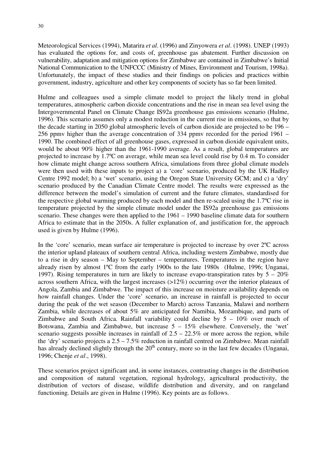Meteorological Services (1994), Matarira *et al*. (1996) and Zinyowera *et al*. (1998). UNEP (1993) has evaluated the options for, and costs of, greenhouse gas abatement. Further discussion on vulnerability, adaptation and mitigation options for Zimbabwe are contained in Zimbabwe's Initial National Communication to the UNFCCC (Ministry of Mines, Environment and Tourism, 1998a). Unfortunately, the impact of these studies and their findings on policies and practices within government, industry, agriculture and other key components of society has so far been limited.

Hulme and colleagues used a simple climate model to project the likely trend in global temperatures, atmospheric carbon dioxide concentrations and the rise in mean sea level using the Intergovernmental Panel on Climate Change IS92a greenhouse gas emissions scenario (Hulme, 1996). This scenario assumes only a modest reduction in the current rise in emissions, so that by the decade starting in 2050 global atmospheric levels of carbon dioxide are projected to be 196 – 256 ppmv higher than the average concentration of 334 ppmv recorded for the period 1961 – 1990. The combined effect of all greenhouse gases, expressed in carbon dioxide equivalent units, would be about 90% higher than the 1961-1990 average. As a result, global temperatures are projected to increase by 1.7ºC on average, while mean sea level could rise by 0.4 m. To consider how climate might change across southern Africa, simulations from three global climate models were then used with these inputs to project a) a 'core' scenario, produced by the UK Hadley Centre 1992 model; b) a 'wet' scenario, using the Oregon State University GCM; and c) a 'dry' scenario produced by the Canadian Climate Centre model. The results were expressed as the difference between the model's simulation of current and the future climates, standardised for the respective global warming produced by each model and then re-scaled using the 1.7ºC rise in temperature projected by the simple climate model under the IS92a greenhouse gas emissions scenario. These changes were then applied to the 1961 – 1990 baseline climate data for southern Africa to estimate that in the 2050s. A fuller explanation of, and justification for, the approach used is given by Hulme (1996).

In the 'core' scenario, mean surface air temperature is projected to increase by over 2ºC across the interior upland plateaux of southern central Africa, including western Zimbabwe, mostly due to a rise in dry season – May to September – temperatures. Temperatures in the region have already risen by almost 1ºC from the early 1900s to the late 1980s (Hulme, 1996; Unganai, 1997). Rising temperatures in turn are likely to increase evapo-transpiration rates by  $5 - 20\%$ across southern Africa, with the largest increases (>12%) occurring over the interior plateaux of Angola, Zambia and Zimbabwe. The impact of this increase on moisture availability depends on how rainfall changes. Under the 'core' scenario, an increase in rainfall is projected to occur during the peak of the wet season (December to March) across Tanzania, Malawi and northern Zambia, while decreases of about 5% are anticipated for Namibia, Mozambique, and parts of Zimbabwe and South Africa. Rainfall variability could decline by  $5 - 10\%$  over much of Botswana, Zambia and Zimbabwe, but increase  $5 - 15\%$  elsewhere. Conversely, the 'wet' scenario suggests possible increases in rainfall of  $2.5 - 22.5\%$  or more across the region, while the 'dry' scenario projects a 2.5 – 7.5% reduction in rainfall centred on Zimbabwe. Mean rainfall has already declined slightly through the  $20<sup>th</sup>$  century, more so in the last few decades (Unganai, 1996; Chenje *et al*., 1998).

These scenarios project significant and, in some instances, contrasting changes in the distribution and composition of natural vegetation, regional hydrology, agricultural productivity, the distribution of vectors of disease, wildlife distribution and diversity, and on rangeland functioning. Details are given in Hulme (1996). Key points are as follows.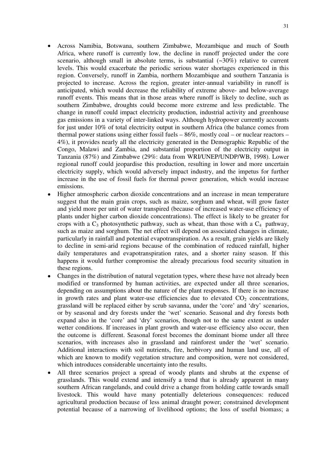- Across Namibia, Botswana, southern Zimbabwe, Mozambique and much of South Africa, where runoff is currently low, the decline in runoff projected under the core scenario, although small in absolute terms, is substantial  $(\sim 30\%)$  relative to current levels. This would exacerbate the periodic serious water shortages experienced in this region. Conversely, runoff in Zambia, northern Mozambique and southern Tanzania is projected to increase. Across the region, greater inter-annual variability in runoff is anticipated, which would decrease the reliability of extreme above- and below-average runoff events. This means that in those areas where runoff is likely to decline, such as southern Zimbabwe, droughts could become more extreme and less predictable. The change in runoff could impact electricity production, industrial activity and greenhouse gas emissions in a variety of inter-linked ways. Although hydropower currently accounts for just under 10% of total electricity output in southern Africa (the balance comes from thermal power stations using either fossil fuels – 86%, mostly coal – or nuclear reactors – 4%), it provides nearly all the electricity generated in the Demographic Republic of the Congo, Malawi and Zambia, and substantial proportion of the electricity output in Tanzania (87%) and Zimbabwe (29%: data from WRI/UNEP/UNDP/WB, 1998). Lower regional runoff could jeopardise this production, resulting in lower and more uncertain electricity supply, which would adversely impact industry, and the impetus for further increase in the use of fossil fuels for thermal power generation, which would increase emissions.
- Higher atmospheric carbon dioxide concentrations and an increase in mean temperature suggest that the main grain crops, such as maize, sorghum and wheat, will grow faster and yield more per unit of water transpired (because of increased water-use efficiency of plants under higher carbon dioxide concentrations). The effect is likely to be greater for crops with a  $C_3$  photosynthetic pathway, such as wheat, than those with a  $C_4$  pathway, such as maize and sorghum. The net effect will depend on associated changes in climate, particularly in rainfall and potential evapotranspiration. As a result, grain yields are likely to decline in semi-arid regions because of the combination of reduced rainfall, higher daily temperatures and evapotranspiration rates, and a shorter rainy season. If this happens it would further compromise the already precarious food security situation in these regions.
- Changes in the distribution of natural vegetation types, where these have not already been modified or transformed by human activities, are expected under all three scenarios, depending on assumptions about the nature of the plant responses. If there is no increase in growth rates and plant water-use efficiencies due to elevated  $CO<sub>2</sub>$  concentrations, grassland will be replaced either by scrub savanna, under the 'core' and 'dry' scenarios, or by seasonal and dry forests under the 'wet' scenario. Seasonal and dry forests both expand also in the 'core' and 'dry' scenarios, though not to the same extent as under wetter conditions. If increases in plant growth and water-use efficiency also occur, then the outcome is different. Seasonal forest becomes the dominant biome under all three scenarios, with increases also in grassland and rainforest under the 'wet' scenario. Additional interactions with soil nutrients, fire, herbivory and human land use, all of which are known to modify vegetation structure and composition, were not considered, which introduces considerable uncertainty into the results.
- All three scenarios project a spread of woody plants and shrubs at the expense of grasslands. This would extend and intensify a trend that is already apparent in many southern African rangelands, and could drive a change from holding cattle towards small livestock. This would have many potentially deleterious consequences: reduced agricultural production because of less animal draught power; constrained development potential because of a narrowing of livelihood options; the loss of useful biomass; a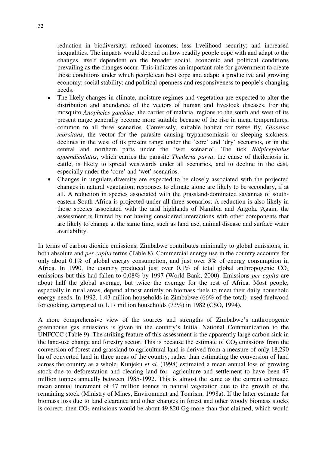reduction in biodiversity; reduced incomes; less livelihood security; and increased inequalities. The impacts would depend on how readily people cope with and adapt to the changes, itself dependent on the broader social, economic and political conditions prevailing as the changes occur. This indicates an important role for government to create those conditions under which people can best cope and adapt: a productive and growing economy; social stability; and political openness and responsiveness to people's changing needs.

- The likely changes in climate, moisture regimes and vegetation are expected to alter the distribution and abundance of the vectors of human and livestock diseases. For the mosquito *Anopheles gambiae*, the carrier of malaria, regions to the south and west of its present range generally become more suitable because of the rise in mean temperatures, common to all three scenarios. Conversely, suitable habitat for tsetse fly, *Glossina morsitans*, the vector for the parasite causing trypanosomiasis or sleeping sickness, declines in the west of its present range under the 'core' and 'dry' scenarios, or in the central and northern parts under the 'wet scenario'. The tick *Rhipicephalus appendiculatus*, which carries the parasite *Theileria parva*, the cause of theileriosis in cattle, is likely to spread westwards under all scenarios, and to decline in the east, especially under the 'core' and 'wet' scenarios.
- Changes in ungulate diversity are expected to be closely associated with the projected changes in natural vegetation; responses to climate alone are likely to be secondary, if at all. A reduction in species associated with the grassland-dominated savannas of southeastern South Africa is projected under all three scenarios. A reduction is also likely in those species associated with the arid highlands of Namibia and Angola. Again, the assessment is limited by not having considered interactions with other components that are likely to change at the same time, such as land use, animal disease and surface water availability.

In terms of carbon dioxide emissions, Zimbabwe contributes minimally to global emissions, in both absolute and *per capita* terms (Table 8). Commercial energy use in the country accounts for only about 0.1% of global energy consumption, and just over 3% of energy consumption in Africa. In 1990, the country produced just over  $0.1\%$  of total global anthropogenic  $CO<sub>2</sub>$ emissions but this had fallen to 0.08% by 1997 (World Bank, 2000). Emissions *per capita* are about half the global average, but twice the average for the rest of Africa. Most people, especially in rural areas, depend almost entirely on biomass fuels to meet their daily household energy needs. In 1992, 1.43 million households in Zimbabwe (66% of the total) used fuelwood for cooking, compared to 1.17 million households (73%) in 1982 (CSO, 1994).

A more comprehensive view of the sources and strengths of Zimbabwe's anthropogenic greenhouse gas emissions is given in the country's Initial National Communication to the UNFCCC (Table 9). The striking feature of this assessment is the apparently large carbon sink in the land-use change and forestry sector. This is because the estimate of  $CO<sub>2</sub>$  emissions from the conversion of forest and grassland to agricultural land is derived from a measure of only 18,290 ha of converted land in three areas of the country, rather than estimating the conversion of land across the country as a whole. Kunjeku *et al*. (1998) estimated a mean annual loss of growing stock due to deforestation and clearing land for agriculture and settlement to have been 47 million tonnes annually between 1985-1992. This is almost the same as the current estimated mean annual increment of 47 million tonnes in natural vegetation due to the growth of the remaining stock (Ministry of Mines, Environment and Tourism, 1998a). If the latter estimate for biomass loss due to land clearance and other changes in forest and other woody biomass stocks is correct, then  $CO<sub>2</sub>$  emissions would be about 49,820 Gg more than that claimed, which would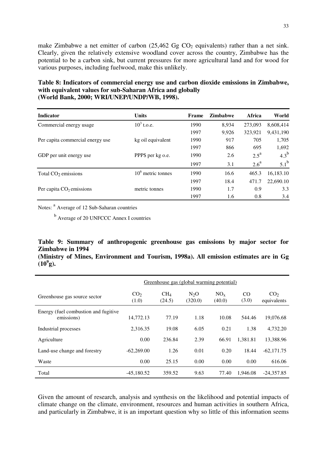make Zimbabwe a net emitter of carbon  $(25,462 \text{ Gg CO}_2)$  equivalents) rather than a net sink. Clearly, given the relatively extensive woodland cover across the country, Zimbabwe has the potential to be a carbon sink, but current pressures for more agricultural land and for wood for various purposes, including fuelwood, make this unlikely.

#### **Table 8: Indicators of commercial energy use and carbon dioxide emissions in Zimbabwe, with equivalent values for sub-Saharan Africa and globally (World Bank, 2000; WRI/UNEP/UNDP/WB, 1998).**

| <b>Indicator</b>                 | <b>Units</b>        | Frame | <b>Zimbabwe</b> | Africa             | World         |
|----------------------------------|---------------------|-------|-----------------|--------------------|---------------|
| Commercial energy usage          | $10^3$ t.o.e.       | 1990  | 8,934           | 273,093            | 8,608,414     |
|                                  |                     | 1997  | 9,926           | 323,921            | 9,431,190     |
| Per capita commercial energy use | kg oil equivalent   | 1990  | 917             | 705                | 1,705         |
|                                  |                     | 1997  | 866             | 695                | 1,692         |
| GDP per unit energy use          | PPP\$ per kg o.e.   | 1990  | 2.6             | $2.5^{\mathrm{a}}$ | $4.3^{\rm b}$ |
|                                  |                     | 1997  | 3.1             | $2.6^{\mathrm{a}}$ | $5.1^{\rm b}$ |
| Total $CO2$ emissions            | $106$ metric tonnes | 1990  | 16.6            | 465.3              | 16,183.10     |
|                                  |                     | 1997  | 18.4            | 471.7              | 22,690.10     |
| Per capita $CO2$ emissions       | metric tonnes       | 1990  | 1.7             | 0.9                | 3.3           |
|                                  |                     | 1997  | 1.6             | 0.8                | 3.4           |

Notes: <sup>a</sup> Average of 12 Sub-Saharan countries

<sup>b</sup> Average of 20 UNFCCC Annex I countries

#### **Table 9: Summary of anthropogenic greenhouse gas emissions by major sector for Zimbabwe in 1994**

|              |  |  | (Ministry of Mines, Environment and Tourism, 1998a). All emission estimates are in Gg |  |  |  |  |
|--------------|--|--|---------------------------------------------------------------------------------------|--|--|--|--|
| $(10^9 g)$ . |  |  |                                                                                       |  |  |  |  |

|                                                    | Greenhouse gas (global warming potential) |                           |                             |                           |             |                                |  |
|----------------------------------------------------|-------------------------------------------|---------------------------|-----------------------------|---------------------------|-------------|--------------------------------|--|
| Greenhouse gas source sector                       | CO <sub>2</sub><br>(1.0)                  | CH <sub>4</sub><br>(24.5) | N <sub>2</sub> O<br>(320.0) | NO <sub>x</sub><br>(40.0) | CO<br>(3.0) | CO <sub>2</sub><br>equivalents |  |
| Energy (fuel combustion and fugitive<br>emissions) | 14,772.13                                 | 77.19                     | 1.18                        | 10.08                     | 544.46      | 19,076.68                      |  |
| Industrial processes                               | 2.316.35                                  | 19.08                     | 6.05                        | 0.21                      | 1.38        | 4.732.20                       |  |
| Agriculture                                        | 0.00                                      | 236.84                    | 2.39                        | 66.91                     | 1,381.81    | 13,388.96                      |  |
| Land-use change and forestry                       | $-62,269,00$                              | 1.26                      | 0.01                        | 0.20                      | 18.44       | $-62,171.75$                   |  |
| Waste                                              | 0.00                                      | 25.15                     | 0.00                        | 0.00                      | 0.00        | 616.06                         |  |
| Total                                              | $-45,180.52$                              | 359.52                    | 9.63                        | 77.40                     | 1,946.08    | $-24,357.85$                   |  |

Given the amount of research, analysis and synthesis on the likelihood and potential impacts of climate change on the climate, environment, resources and human activities in southern Africa, and particularly in Zimbabwe, it is an important question why so little of this information seems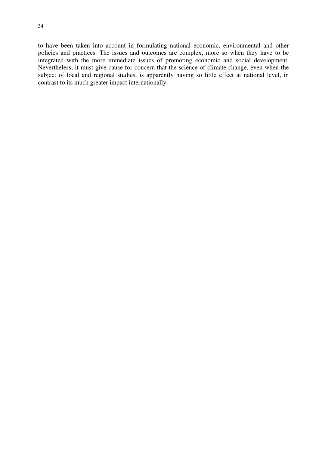to have been taken into account in formulating national economic, environmental and other policies and practices. The issues and outcomes are complex, more so when they have to be integrated with the more immediate issues of promoting economic and social development. Nevertheless, it must give cause for concern that the science of climate change, even when the subject of local and regional studies, is apparently having so little effect at national level, in contrast to its much greater impact internationally.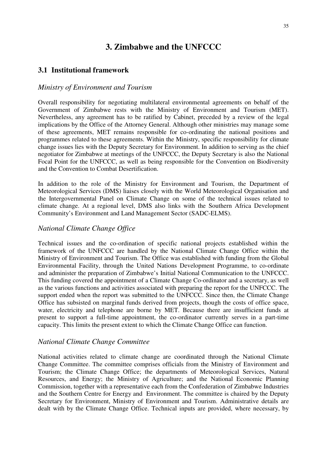## **3. Zimbabwe and the UNFCCC**

#### **3.1 Institutional framework**

#### *Ministry of Environment and Tourism*

Overall responsibility for negotiating multilateral environmental agreements on behalf of the Government of Zimbabwe rests with the Ministry of Environment and Tourism (MET). Nevertheless, any agreement has to be ratified by Cabinet, preceded by a review of the legal implications by the Office of the Attorney General. Although other ministries may manage some of these agreements, MET remains responsible for co-ordinating the national positions and programmes related to these agreements. Within the Ministry, specific responsibility for climate change issues lies with the Deputy Secretary for Environment. In addition to serving as the chief negotiator for Zimbabwe at meetings of the UNFCCC, the Deputy Secretary is also the National Focal Point for the UNFCCC, as well as being responsible for the Convention on Biodiversity and the Convention to Combat Desertification.

In addition to the role of the Ministry for Environment and Tourism, the Department of Meteorological Services (DMS) liaises closely with the World Meteorological Organisation and the Intergovernmental Panel on Climate Change on some of the technical issues related to climate change. At a regional level, DMS also links with the Southern Africa Development Community's Environment and Land Management Sector (SADC-ELMS).

#### *National Climate Change Office*

Technical issues and the co-ordination of specific national projects established within the framework of the UNFCCC are handled by the National Climate Change Office within the Ministry of Environment and Tourism. The Office was established with funding from the Global Environmental Facility, through the United Nations Development Programme, to co-ordinate and administer the preparation of Zimbabwe's Initial National Communication to the UNFCCC. This funding covered the appointment of a Climate Change Co-ordinator and a secretary, as well as the various functions and activities associated with preparing the report for the UNFCCC. The support ended when the report was submitted to the UNFCCC. Since then, the Climate Change Office has subsisted on marginal funds derived from projects, though the costs of office space, water, electricity and telephone are borne by MET. Because there are insufficient funds at present to support a full-time appointment, the co-ordinator currently serves in a part-time capacity. This limits the present extent to which the Climate Change Office can function.

#### *National Climate Change Committee*

National activities related to climate change are coordinated through the National Climate Change Committee. The committee comprises officials from the Ministry of Environment and Tourism; the Climate Change Office; the departments of Meteorological Services, Natural Resources, and Energy; the Ministry of Agriculture; and the National Economic Planning Commission, together with a representative each from the Confederation of Zimbabwe Industries and the Southern Centre for Energy and Environment. The committee is chaired by the Deputy Secretary for Environment, Ministry of Environment and Tourism. Administrative details are dealt with by the Climate Change Office. Technical inputs are provided, where necessary, by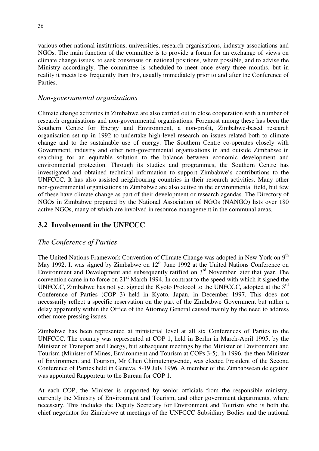various other national institutions, universities, research organisations, industry associations and NGOs. The main function of the committee is to provide a forum for an exchange of views on climate change issues, to seek consensus on national positions, where possible, and to advise the Ministry accordingly. The committee is scheduled to meet once every three months, but in reality it meets less frequently than this, usually immediately prior to and after the Conference of Parties.

#### *Non-governmental organisations*

Climate change activities in Zimbabwe are also carried out in close cooperation with a number of research organisations and non-governmental organisations. Foremost among these has been the Southern Centre for Energy and Environment, a non-profit, Zimbabwe-based research organisation set up in 1992 to undertake high-level research on issues related both to climate change and to the sustainable use of energy. The Southern Centre co-operates closely with Government, industry and other non-governmental organisations in and outside Zimbabwe in searching for an equitable solution to the balance between economic development and environmental protection. Through its studies and programmes, the Southern Centre has investigated and obtained technical information to support Zimbabwe's contributions to the UNFCCC. It has also assisted neighbouring countries in their research activities. Many other non-governmental organisations in Zimbabwe are also active in the environmental field, but few of these have climate change as part of their development or research agendas. The Directory of NGOs in Zimbabwe prepared by the National Association of NGOs (NANGO) lists over 180 active NGOs, many of which are involved in resource management in the communal areas.

### **3.2 Involvement in the UNFCCC**

#### *The Conference of Parties*

The United Nations Framework Convention of Climate Change was adopted in New York on 9<sup>th</sup> May 1992. It was signed by Zimbabwe on  $12<sup>th</sup>$  June 1992 at the United Nations Conference on Environment and Development and subsequently ratified on  $3<sup>rd</sup>$  November later that year. The convention came in to force on 21<sup>st</sup> March 1994. In contrast to the speed with which it signed the UNFCCC, Zimbabwe has not yet signed the Kyoto Protocol to the UNFCCC, adopted at the 3rd Conference of Parties (COP 3) held in Kyoto, Japan, in December 1997. This does not necessarily reflect a specific reservation on the part of the Zimbabwe Government but rather a delay apparently within the Office of the Attorney General caused mainly by the need to address other more pressing issues.

Zimbabwe has been represented at ministerial level at all six Conferences of Parties to the UNFCCC. The country was represented at COP 1, held in Berlin in March-April 1995, by the Minister of Transport and Energy, but subsequent meetings by the Minister of Environment and Tourism (Minister of Mines, Environment and Tourism at COPs 3-5). In 1996, the then Minister of Environment and Tourism, Mr Chen Chimutengwende, was elected President of the Second Conference of Parties held in Geneva, 8-19 July 1996. A member of the Zimbabwean delegation was appointed Rapporteur to the Bureau for COP 1.

At each COP, the Minister is supported by senior officials from the responsible ministry, currently the Ministry of Environment and Tourism, and other government departments, where necessary. This includes the Deputy Secretary for Environment and Tourism who is both the chief negotiator for Zimbabwe at meetings of the UNFCCC Subsidiary Bodies and the national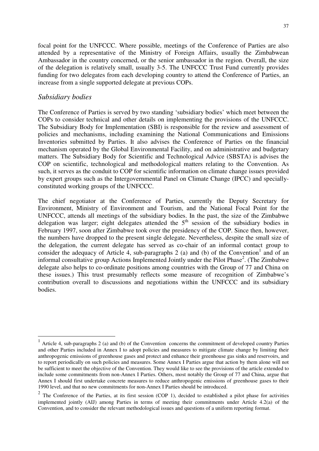focal point for the UNFCCC. Where possible, meetings of the Conference of Parties are also attended by a representative of the Ministry of Foreign Affairs, usually the Zimbabwean Ambassador in the country concerned, or the senior ambassador in the region. Overall, the size of the delegation is relatively small, usually 3-5. The UNFCCC Trust Fund currently provides funding for two delegates from each developing country to attend the Conference of Parties, an increase from a single supported delegate at previous COPs.

#### *Subsidiary bodies*

 $\overline{a}$ 

The Conference of Parties is served by two standing 'subsidiary bodies' which meet between the COPs to consider technical and other details on implementing the provisions of the UNFCCC. The Subsidiary Body for Implementation (SBI) is responsible for the review and assessment of policies and mechanisms, including examining the National Communications and Emissions Inventories submitted by Parties. It also advises the Conference of Parties on the financial mechanism operated by the Global Environmental Facility, and on administrative and budgetary matters. The Subsidiary Body for Scientific and Technological Advice (SBSTA) is advises the COP on scientific, technological and methodological matters relating to the Convention. As such, it serves as the conduit to COP for scientific information on climate change issues provided by expert groups such as the Intergovernmental Panel on Climate Change (IPCC) and speciallyconstituted working groups of the UNFCCC.

The chief negotiator at the Conference of Parties, currently the Deputy Secretary for Environment, Ministry of Environment and Tourism, and the National Focal Point for the UNFCCC, attends all meetings of the subsidiary bodies. In the past, the size of the Zimbabwe delegation was larger; eight delegates attended the  $5<sup>th</sup>$  session of the subsidiary bodies in February 1997, soon after Zimbabwe took over the presidency of the COP. Since then, however, the numbers have dropped to the present single delegate. Nevertheless, despite the small size of the delegation, the current delegate has served as co-chair of an informal contact group to consider the adequacy of Article 4, sub-paragraphs 2 (a) and (b) of the Convention<sup>1</sup> and of an informal consultative group Actions Implemented Jointly under the Pilot Phase<sup>2</sup>. (The Zimbabwe delegate also helps to co-ordinate positions among countries with the Group of 77 and China on these issues.) This trust presumably reflects some measure of recognition of Zimbabwe's contribution overall to discussions and negotiations within the UNFCCC and its subsidiary bodies.

<sup>1</sup> Article 4, sub-paragraphs 2 (a) and (b) of the Convention concerns the commitment of developed country Parties and other Parties included in Annex I to adopt policies and measures to mitigate climate change by limiting their anthropogenic emissions of greenhouse gases and protect and enhance their greenhouse gas sinks and reservoirs, and to report periodically on such policies and measures. Some Annex I Parties argue that action by them alone will not be sufficient to meet the objective of the Convention. They would like to see the provisions of the article extended to include some commitments from non-Annex I Parties. Others, most notably the Group of 77 and China, argue that Annex I should first undertake concrete measures to reduce anthropogenic emissions of greenhouse gases to their 1990 level, and that no new commitments for non-Annex I Parties should be introduced.

 $2$  The Conference of the Parties, at its first session (COP 1), decided to established a pilot phase for activities implemented jointly (AIJ) among Parties in terms of meeting their commitments under Article 4.2(a) of the Convention, and to consider the relevant methodological issues and questions of a uniform reporting format.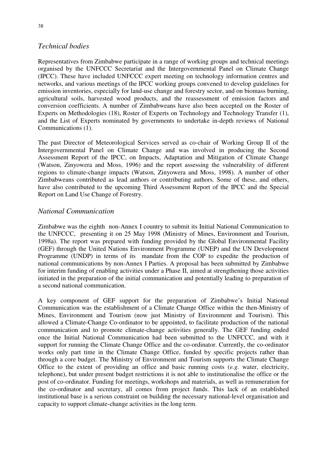## *Technical bodies*

Representatives from Zimbabwe participate in a range of working groups and technical meetings organised by the UNFCCC Secretariat and the Intergovernmental Panel on Climate Change (IPCC). These have included UNFCCC expert meeting on technology information centres and networks, and various meetings of the IPCC working groups convened to develop guidelines for emission inventories, especially for land-use change and forestry sector, and on biomass burning, agricultural soils, harvested wood products, and the reassessment of emission factors and conversion coefficients. A number of Zimbabweans have also been accepted on the Roster of Experts on Methodologies (18), Roster of Experts on Technology and Technology Transfer (1), and the List of Experts nominated by governments to undertake in-depth reviews of National Communications (1).

The past Director of Meteorological Services served as co-chair of Working Group II of the Intergovernmental Panel on Climate Change and was involved in producing the Second Assessment Report of the IPCC, on Impacts, Adaptation and Mitigation of Climate Change (Watson, Zinyowera and Moss, 1996) and the report assessing the vulnerability of different regions to climate-change impacts (Watson, Zinyowera and Moss, 1998). A number of other Zimbabweans contributed as lead authors or contributing authors. Some of these, and others, have also contributed to the upcoming Third Assessment Report of the IPCC and the Special Report on Land Use Change of Forestry.

## *National Communication*

Zimbabwe was the eighth non-Annex I country to submit its Initial National Communication to the UNFCCC, presenting it on 25 May 1998 (Ministry of Mines, Environment and Tourism, 1998a). The report was prepared with funding provided by the Global Environmental Facility (GEF) through the United Nations Environment Programme (UNEP) and the UN Development Programme (UNDP) in terms of its mandate from the COP to expedite the production of national communications by non-Annex I Parties. A proposal has been submitted by Zimbabwe for interim funding of enabling activities under a Phase II, aimed at strengthening those activities initiated in the preparation of the initial communication and potentially leading to preparation of a second national communication.

A key component of GEF support for the preparation of Zimbabwe's Initial National Communication was the establishment of a Climate Change Office within the then-Ministry of Mines, Environment and Tourism (now just Ministry of Environment and Tourism). This allowed a Climate-Change Co-ordinator to be appointed, to facilitate production of the national communication and to promote climate-change activities generally. The GEF funding ended once the Initial National Communication had been submitted to the UNFCCC, and with it support for running the Climate Change Office and the co-ordinator. Currently, the co-ordinator works only part time in the Climate Change Office, funded by specific projects rather than through a core budget. The Ministry of Environment and Tourism supports the Climate Change Office to the extent of providing an office and basic running costs (*e.g.* water, electricity, telephone), but under present budget restrictions it is not able to institutionalise the office or the post of co-ordinator. Funding for meetings, workshops and materials, as well as remuneration for the co-ordinator and secretary, all comes from project funds. This lack of an established institutional base is a serious constraint on building the necessary national-level organisation and capacity to support climate-change activities in the long term.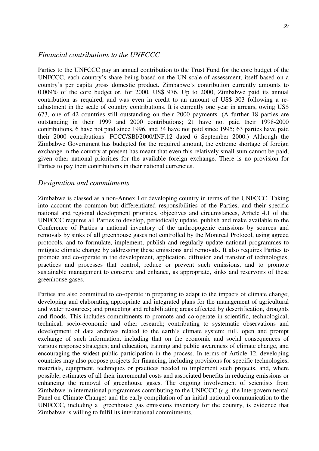#### *Financial contributions to the UNFCCC*

Parties to the UNFCCC pay an annual contribution to the Trust Fund for the core budget of the UNFCCC, each country's share being based on the UN scale of assessment, itself based on a country's per capita gross domestic product. Zimbabwe's contribution currently amounts to 0.009% of the core budget or, for 2000, US\$ 976. Up to 2000, Zimbabwe paid its annual contribution as required, and was even in credit to an amount of US\$ 303 following a readjustment in the scale of country contributions. It is currently one year in arrears, owing US\$ 673, one of 42 countries still outstanding on their 2000 payments. (A further 18 parties are outstanding in their 1999 and 2000 contributions; 21 have not paid their 1998-2000 contributions, 6 have not paid since 1996, and 34 have not paid since 1995; 63 parties have paid their 2000 contributions: FCCC/SBI/2000/INF.12 dated 6 September 2000.) Although the Zimbabwe Government has budgeted for the required amount, the extreme shortage of foreign exchange in the country at present has meant that even this relatively small sum cannot be paid, given other national priorities for the available foreign exchange. There is no provision for Parties to pay their contributions in their national currencies.

#### *Designation and commitments*

Zimbabwe is classed as a non-Annex I or developing country in terms of the UNFCCC. Taking into account the common but differentiated responsibilities of the Parties, and their specific national and regional development priorities, objectives and circumstances, Article 4.1 of the UNFCCC requires all Parties to develop, periodically update, publish and make available to the Conference of Parties a national inventory of the anthropogenic emissions by sources and removals by sinks of all greenhouse gases not controlled by the Montreal Protocol, using agreed protocols, and to formulate, implement, publish and regularly update national programmes to mitigate climate change by addressing these emissions and removals. It also requires Parties to promote and co-operate in the development, application, diffusion and transfer of technologies, practices and processes that control, reduce or prevent such emissions, and to promote sustainable management to conserve and enhance, as appropriate, sinks and reservoirs of these greenhouse gases.

Parties are also committed to co-operate in preparing to adapt to the impacts of climate change; developing and elaborating appropriate and integrated plans for the management of agricultural and water resources; and protecting and rehabilitating areas affected by desertification, droughts and floods. This includes commitments to promote and co-operate in scientific, technological, technical, socio-economic and other research; contributing to systematic observations and development of data archives related to the earth's climate system; full, open and prompt exchange of such information, including that on the economic and social consequences of various response strategies; and education, training and public awareness of climate change, and encouraging the widest public participation in the process. In terms of Article 12, developing countries may also propose projects for financing, including provisions for specific technologies, materials, equipment, techniques or practices needed to implement such projects, and, where possible, estimates of all their incremental costs and associated benefits in reducing emissions or enhancing the removal of greenhouse gases. The ongoing involvement of scientists from Zimbabwe in international programmes contributing to the UNFCCC (*e.g.* the Intergovernmental Panel on Climate Change) and the early compilation of an initial national communication to the UNFCCC, including a greenhouse gas emissions inventory for the country, is evidence that Zimbabwe is willing to fulfil its international commitments.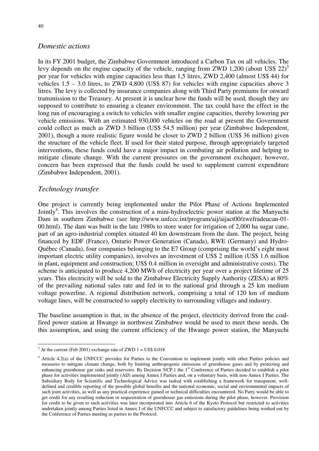### *Domestic actions*

In its FY 2001 budget, the Zimbabwe Government introduced a Carbon Tax on all vehicles. The levy depends on the engine capacity of the vehicle, ranging from ZWD 1,200 (about US\$ 22)<sup>3</sup> per year for vehicles with engine capacities less than 1,5 litres, ZWD 2,400 (almost US\$ 44) for vehicles 1.5 – 3.0 litres, to ZWD 4,800 (US\$ 87) for vehicles with engine capacities above 3 litres. The levy is collected by insurance companies along with Third Party premiums for onward transmission to the Treasury. At present it is unclear how the funds will be used, though they are supposed to contribute to ensuring a cleaner environment. The tax could have the effect in the long run of encouraging a switch to vehicles with smaller engine capacities, thereby lowering per vehicle emissions. With an estimated 930,000 vehicles on the road at present the Government could collect as much as ZWD 3 billion (US\$ 54.5 million) per year (Zimbabwe Independent, 2001), though a more realistic figure would be closer to ZWD 2 billion (US\$ 36 million) given the structure of the vehicle fleet. If used for their stated purpose, through appropriately targeted interventions, these funds could have a major impact in combating air pollution and helping to mitigate climate change. With the current pressures on the government exchequer, however, concern has been expressed that the funds could be used to supplement current expenditure (Zimbabwe Independent, 2001).

### *Technology transfer*

One project is currently being implemented under the Pilot Phase of Actions Implemented Jointly<sup>4</sup>. This involves the construction of a mini-hydroelectric power station at the Manyuchi Dam in southern Zimbabwe (see http://www.unfccc.int/program/aij/aijact00/zwefradeucan-01- 00.html). The dam was built in the late 1980s to store water for irrigation of 2,000 ha sugar cane, part of an agro-industrial complex situated 40 km downstream from the dam. The project, being financed by EDF (France), Ontario Power Generation (Canada), RWE (Germany) and Hydro-Québec (Canada), four companies belonging to the E7 Group (comprising the world's eight most important electric utility companies), involves an investment of US\$ 2 million (US\$ 1.6 million in plant, equipment and construction; US\$ 0.4 million in oversight and administrative costs). The scheme is anticipated to produce 4,200 MWh of electricity per year over a project lifetime of 25 years. This electricity will be sold to the Zimbabwe Electricity Supply Authority (ZESA) at 80% of the prevailing national sales rate and fed in to the national grid through a 25 km medium voltage powerline. A regional distribution network, comprising a total of 120 km of medium voltage lines, will be constructed to supply electricity to surrounding villages and industry.

The baseline assumption is that, in the absence of the project, electricity derived from the coalfired power station at Hwange in northwest Zimbabwe would be used to meet these needs. On this assumption, and using the current efficiency of the Hwange power station, the Manyuchi

 $\frac{3}{4}$  At the current (Feb 2001) exchange rate of ZWD 1 = US\$ 0.018

<sup>&</sup>lt;sup>4</sup> Article 4.2(a) of the UNFCCC provides for Parties to the Convention to implement jointly with other Parties policies and measures to mitigate climate change, both by limiting anthropogenic emissions of greenhouse gases and by protecting and enhancing greenhouse gas sinks and reservoirs. By Decision 5/CP.1 the 1<sup>st</sup> Conference of Parties decided to establish a pilot phase for activities implemented jointly (AIJ) among Annex I Parties and, on a voluntary basis, with non-Annex I Parties. The Subsidiary Body for Scientific and Technological Advice was tasked with establishing a framework for transparent, welldefined and credible reporting of the possible global benefits and the national economic, social and environmental impacts of such joint activities, as well as any practical experience gained or technical difficulties encountered. No Party would be able to get credit for any resulting reduction or sequestration of greenhouse gas emissions during the pilot phase, however. Provision for credit to be given to such activities was later incorporated into Article 6 of the Kyoto Protocol but restricted to activities undertaken jointly among Parties listed in Annex I of the UNFCCC and subject to satisfactory guidelines being worked out by the Conference of Parties meeting as parties to the Protocol.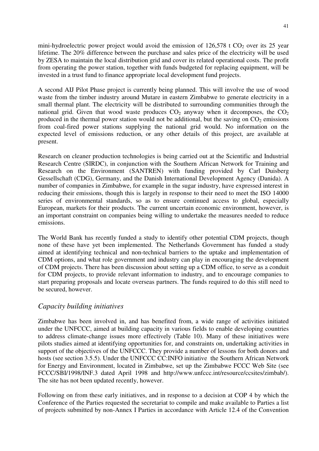mini-hydroelectric power project would avoid the emission of  $126,578$  t CO<sub>2</sub> over its 25 year lifetime. The 20% difference between the purchase and sales price of the electricity will be used by ZESA to maintain the local distribution grid and cover its related operational costs. The profit from operating the power station, together with funds budgeted for replacing equipment, will be invested in a trust fund to finance appropriate local development fund projects.

A second AIJ Pilot Phase project is currently being planned. This will involve the use of wood waste from the timber industry around Mutare in eastern Zimbabwe to generate electricity in a small thermal plant. The electricity will be distributed to surrounding communities through the national grid. Given that wood waste produces  $CO<sub>2</sub>$  anyway when it decomposes, the  $CO<sub>2</sub>$ produced in the thermal power station would not be additional, but the saving on  $CO<sub>2</sub>$  emissions from coal-fired power stations supplying the national grid would. No information on the expected level of emissions reduction, or any other details of this project, are available at present.

Research on cleaner production technologies is being carried out at the Scientific and Industrial Research Centre (SIRDC), in conjunction with the Southern African Network for Training and Research on the Environment (SANTREN) with funding provided by Carl Duisberg Gessellschaft (CDG), Germany, and the Danish International Development Agency (Danida). A number of companies in Zimbabwe, for example in the sugar industry, have expressed interest in reducing their emissions, though this is largely in response to their need to meet the ISO 14000 series of environmental standards, so as to ensure continued access to global, especially European, markets for their products. The current uncertain economic environment, however, is an important constraint on companies being willing to undertake the measures needed to reduce emissions.

The World Bank has recently funded a study to identify other potential CDM projects, though none of these have yet been implemented. The Netherlands Government has funded a study aimed at identifying technical and non-technical barriers to the uptake and implementation of CDM options, and what role government and industry can play in encouraging the development of CDM projects. There has been discussion about setting up a CDM office, to serve as a conduit for CDM projects, to provide relevant information to industry, and to encourage companies to start preparing proposals and locate overseas partners. The funds required to do this still need to be secured, however.

## *Capacity building initiatives*

Zimbabwe has been involved in, and has benefited from, a wide range of activities initiated under the UNFCCC, aimed at building capacity in various fields to enable developing countries to address climate-change issues more effectively (Table 10). Many of these initiatives were pilots studies aimed at identifying opportunities for, and constraints on, undertaking activities in support of the objectives of the UNFCCC. They provide a number of lessons for both donors and hosts (see section 3.5.5). Under the UNFCCC CC:INFO initiative the Southern African Network for Energy and Environment, located in Zimbabwe, set up the Zimbabwe FCCC Web Site (see FCCC/SBI/1998/INF.3 dated April 1998 and http://www.unfccc.int/resource/ccsites/zimbab/). The site has not been updated recently, however.

Following on from these early initiatives, and in response to a decision at COP 4 by which the Conference of the Parties requested the secretariat to compile and make available to Parties a list of projects submitted by non-Annex I Parties in accordance with Article 12.4 of the Convention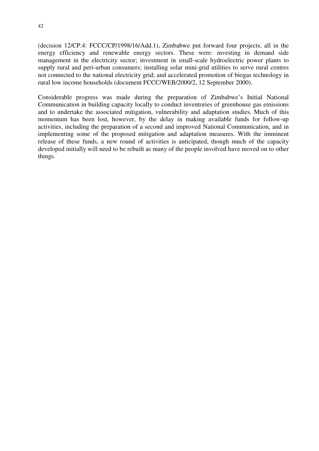(decision 12/CP.4: FCCC/CP/1998/16/Add.1), Zimbabwe put forward four projects, all in the energy efficiency and renewable energy sectors. These were: investing in demand side management in the electricity sector; investment in small-scale hydroelectric power plants to supply rural and peri-urban consumers; installing solar mini-grid utilities to serve rural centres not connected to the national electricity grid; and accelerated promotion of biogas technology in rural low income households (document FCCC/WEB/2000/2, 12 September 2000).

Considerable progress was made during the preparation of Zimbabwe's Initial National Communication in building capacity locally to conduct inventories of greenhouse gas emissions and to undertake the associated mitigation, vulnerability and adaptation studies. Much of this momentum has been lost, however, by the delay in making available funds for follow-up activities, including the preparation of a second and improved National Communication, and in implementing some of the proposed mitigation and adaptation measures. With the imminent release of these funds, a new round of activities is anticipated, though much of the capacity developed initially will need to be rebuilt as many of the people involved have moved on to other things.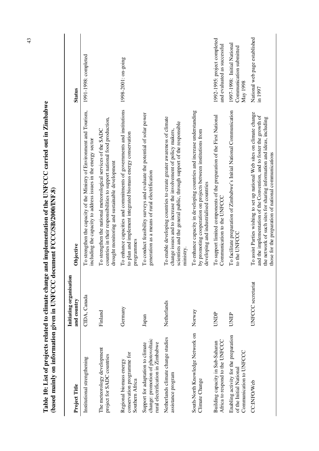| (based mainly on information given in UNFCC document FCCC/SB/2000/INF.8)                                    |                                        |                                                                                                                                                                                                                                                                                     |                                                                    |
|-------------------------------------------------------------------------------------------------------------|----------------------------------------|-------------------------------------------------------------------------------------------------------------------------------------------------------------------------------------------------------------------------------------------------------------------------------------|--------------------------------------------------------------------|
| Project Title                                                                                               | Initiating organisation<br>and country | Objective                                                                                                                                                                                                                                                                           | <b>Status</b>                                                      |
| Institutional strengthening                                                                                 | CIDA, Canada                           | To strengthen the capacity of the Ministry of Environment and Tourism,<br>including the capacity to address issues in the energy sector                                                                                                                                             | 1991-1998: completed                                               |
| The meteorology development<br>project for SADC countries                                                   | Finland                                | countries in their responsibilities to support national food production,<br>To strengthen the national meteorological services of the SADC<br>drought monitoring and sustainable development                                                                                        |                                                                    |
| conservation programme for<br>Regional biomass energy<br>Southern Africa                                    | Germany                                | To enhance capacities and commitments of governments and institutions<br>to plan and implement integrated biomass energy conservation<br>programmes                                                                                                                                 | 1998-2001: on-going                                                |
| change: promotion of photovoltaic<br>rural electrification in Zimbabwe<br>Support for adaptation to climate | Japan                                  | To conduct feasibility surveys and evaluate the potential of solar power<br>generation as a means of rural electrification                                                                                                                                                          |                                                                    |
| Netherlands climate change studies<br>assistance program                                                    | Netherlands                            | To enable developing countries to create greater awareness of climate<br>scientists and the general public, through support of the responsible<br>change issues and to increase the involvement of policy makers,<br>ministry.                                                      |                                                                    |
| South-North Knowledge Network on<br>Climate Change                                                          | Norway                                 | To enhance capacity in developing countries and increase understanding<br>by promoting cooperation on projects between institutions from<br>developing and industrialised countries                                                                                                 |                                                                    |
| Africa to respond to the UNFCCC<br>Building capacity in Sub-Saharan                                         | UNDP                                   | To support limited components of the preparation of the First National<br>Communication to the UNFCCC                                                                                                                                                                               | 1992-1995: project completed<br>and evaluated as successful        |
| Enabling activity for the preparation<br>Communication to UNFCCC<br>of the Initial National                 | UNEP                                   | To facilitate preparation of Zimbabwe's Initial National Communication<br>to the UNFCCC                                                                                                                                                                                             | 1997-1998: Initial National<br>Communication submitted<br>May 1998 |
| CC:INFO/Web                                                                                                 | UNFCCC secretariat                     | To assist Parties wishing to set up national Web sites on climate change<br>and the implementation of the Convention, and to foster the growth of<br>the network of such sites for sharing information and ideas, including<br>those for the preparation of national communications | National web page established<br>in 1997                           |

Table 10: List of projects related to climate change and implementation of the UNFCCC carried out in Zimbabwe **Table 10: List of projects related to climate change and implementation of the UNFCCC carried out in Zimbabwe**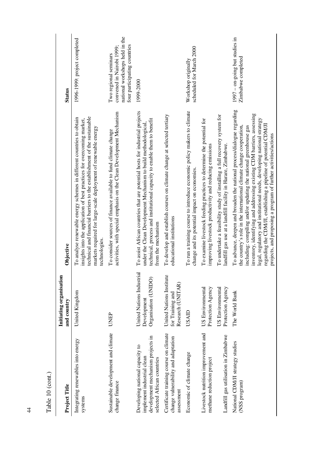| Table 10 (cont.)                                                                                                                 |                                                                   |                                                                                                                                                                                                                                                                                                                                                                                                                                                                                                                |                                                                                                                      |
|----------------------------------------------------------------------------------------------------------------------------------|-------------------------------------------------------------------|----------------------------------------------------------------------------------------------------------------------------------------------------------------------------------------------------------------------------------------------------------------------------------------------------------------------------------------------------------------------------------------------------------------------------------------------------------------------------------------------------------------|----------------------------------------------------------------------------------------------------------------------|
| Project Title                                                                                                                    | Initiating organisation<br>and country                            | Objective                                                                                                                                                                                                                                                                                                                                                                                                                                                                                                      | <b>Status</b>                                                                                                        |
| Integrating renewables into energy<br>systems                                                                                    | United Kingdom                                                    | technical and financial barriers to the establishment of the sustainable<br>To analyse renewable energy schemes in different countries to obtain<br>insights into the application of best practices for overcoming market,<br>markets required for large-scale deployment of renewable energy<br>technologies.                                                                                                                                                                                                 | 1996-1999: project completed                                                                                         |
| Sustainable development and climate<br>change finance                                                                            | UNEP                                                              | activities, with special emphasis on the Clean Development Mechanism<br>To consider sources of finance available to fund climate change                                                                                                                                                                                                                                                                                                                                                                        | national workshops held in the<br>four participating countries<br>convened in Nairobi 1999:<br>Two regional seminars |
| development mechanism projects in<br>Developing national capacity to<br>implement industrial clean<br>selected African countries | United Nations Industrial<br>Organisation (UNIDO)<br>Development  | To assist African countries that are potential hosts for industrial projects<br>technical, process and institutional capacity to enable them to benefit<br>under the Clean Development Mechanism to build methodological,<br>from the mechanism                                                                                                                                                                                                                                                                | 1999-2000                                                                                                            |
| Certificate training course on climate<br>change vulnerability and adaptation<br>assessment                                      | United Nations Institute<br>Research (UNITAR)<br>for Training and | To develop and establish courses on climate change at selected tertiary<br>educational institutions                                                                                                                                                                                                                                                                                                                                                                                                            |                                                                                                                      |
| Economic of climate change                                                                                                       | USAID                                                             | To run a training course to introduce economic policy makers to climate<br>change and its potential impact on economies.                                                                                                                                                                                                                                                                                                                                                                                       | scheduled for March 2000<br>Workshop originally                                                                      |
| Livestock nutrition improvement and<br>methane reduction project                                                                 | US Environmental<br>Protection Agency                             | To examine livestock feeding practices to determine the potential for<br>improving livestock productivity and reducing emissions                                                                                                                                                                                                                                                                                                                                                                               |                                                                                                                      |
| Landfill gas utilisation in Zimbabwe                                                                                             | US Environmental<br>Protection Agency                             | To undertake a feasibility study of installing a full recovery system for<br>landfill gas use at a landfill facility in Harare, Zimbabwe.                                                                                                                                                                                                                                                                                                                                                                      |                                                                                                                      |
| National CDM/JI strategy studies<br>(NSS program)                                                                                | The World Bank                                                    | To advance, deepen and broaden the national process/dialogue regarding<br>inventory, identifying and addressing existing CDM barriers, assessing<br>legal, regulatory and institutional needs, developing national strategy<br>regarding the CDM/JI, establishing a pipeline of potential CDM/JI<br>including: compiling and/or updating the national greenhouse gas<br>the country's role in the international climate change cooperation,<br>projects, and proposing a program of further activities/actions | $1997 -$ on-going but studies in<br>Zimbabwe completed                                                               |

44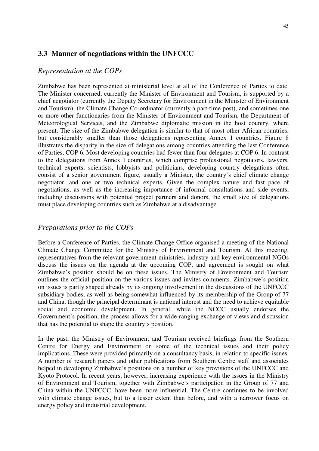### **3.3 Manner of negotiations within the UNFCCC**

#### *Representation at the COPs*

Zimbabwe has been represented at ministerial level at all of the Conference of Parties to date. The Minister concerned, currently the Minister of Environment and Tourism, is supported by a chief negotiator (currently the Deputy Secretary for Environment in the Minister of Environment and Tourism), the Climate Change Co-ordinator (currently a part-time post), and sometimes one or more other functionaries from the Minister of Environment and Tourism, the Department of Meteorological Services, and the Zimbabwe diplomatic mission in the host country, where present. The size of the Zimbabwe delegation is similar to that of most other African countries, but considerably smaller than those delegations representing Annex I countries. Figure 8 illustrates the disparity in the size of delegations among countries attending the last Conference of Parties, COP 6. Most developing countries had fewer than four delegates at COP 6. In contrast to the delegations from Annex I countries, which comprise professional negotiators, lawyers, technical experts, scientists, lobbyists and politicians, developing country delegations often consist of a senior government figure, usually a Minister, the country's chief climate change negotiator, and one or two technical experts. Given the complex nature and fast pace of negotiations, as well as the increasing importance of informal consultations and side events, including discussions with potential project partners and donors, the small size of delegations must place developing countries such as Zimbabwe at a disadvantage.

### *Preparations prior to the COPs*

Before a Conference of Parties, the Climate Change Office organised a meeting of the National Climate Change Committee for the Ministry of Environment and Tourism. At this meeting, representatives from the relevant government ministries, industry and key environmental NGOs discuss the issues on the agenda at the upcoming COP, and agreement is sought on what Zimbabwe's position should be on these issues. The Ministry of Environment and Tourism outlines the official position on the various issues and invites comments. Zimbabwe's position on issues is partly shaped already by its ongoing involvement in the discussions of the UNFCCC subsidiary bodies, as well as being somewhat influenced by its membership of the Group of 77 and China, though the principal determinant is national interest and the need to achieve equitable social and economic development. In general, while the NCCC usually endorses the Government's position, the process allows for a wide-ranging exchange of views and discussion that has the potential to shape the country's position.

In the past, the Ministry of Environment and Tourism received briefings from the Southern Centre for Energy and Environment on some of the technical issues and their policy implications. These were provided primarily on a consultancy basis, in relation to specific issues. A number of research papers and other publications from Southern Centre staff and associates helped in developing Zimbabwe's positions on a number of key provisions of the UNFCCC and Kyoto Protocol. In recent years, however, increasing experience with the issues in the Ministry of Environment and Tourism, together with Zimbabwe's participation in the Group of 77 and China within the UNFCCC, have been more influential. The Centre continues to be involved with climate change issues, but to a lesser extent than before, and with a narrower focus on energy policy and industrial development.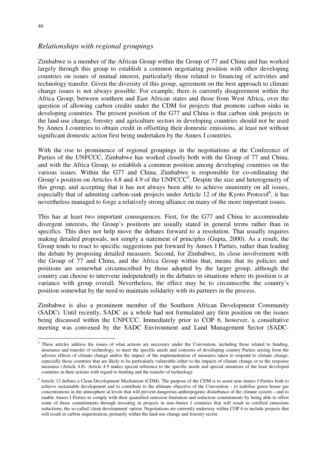$\overline{a}$ 

### *Relationships with regional groupings*

Zimbabwe is a member of the African Group within the Group of 77 and China and has worked largely through this group to establish a common negotiating position with other developing countries on issues of mutual interest, particularly those related to financing of activities and technology transfer. Given the diversity of this group, agreement on the best approach to climate change issues is not always possible. For example, there is currently disagreement within the Africa Group, between southern and East African states and those from West Africa, over the question of allowing carbon credits under the CDM for projects that promote carbon sinks in developing countries. The present position of the G77 and China is that carbon sink projects in the land-use change, forestry and agriculture sectors in developing countries should not be used by Annex I countries to obtain credit in offsetting their domestic emissions, at least not without significant domestic action first being undertaken by the Annex I countries.

With the rise to prominence of regional groupings in the negotiations at the Conference of Parties of the UNFCCC, Zimbabwe has worked closely both with the Group of 77 and China, and with the Africa Group, to establish a common position among developing countries on the various issues. Within the G77 and China, Zimbabwe is responsible for co-ordinating the Group's position on Articles 4.8 and 4.9 of the UNFCCC<sup>5</sup>. Despite the size and heterogeneity of this group, and accepting that it has not always been able to achieve unanimity on all issues, especially that of admitting carbon-sink projects under Article 12 of the Kyoto Protocol<sup>6</sup>, it has nevertheless managed to forge a relatively strong alliance on many of the more important issues.

This has at least two important consequences. First, for the G77 and China to accommodate divergent interests, the Group's positions are usually stated in general terms rather than in specifics. This does not help move the debates forward to a resolution. That usually requires making detailed proposals, not simply a statement of principles (Gupta, 2000). As a result, the Group tends to react to specific suggestions put forward by Annex I Parties, rather than leading the debate by proposing detailed measures. Second, for Zimbabwe, its close involvement with the Group of 77 and China, and the Africa Group within that, means that its policies and positions are somewhat circumscribed by those adopted by the larger group, although the country can choose to intervene independently in the debates in situations where its position is at variance with group overall. Nevertheless, the effect may be to circumscribe the country's position somewhat by the need to maintain solidarity with its partners in the process.

Zimbabwe is also a prominent member of the Southern African Development Community (SADC). Until recently, SADC as a whole had not formulated any firm position on the issues being discussed within the UNFCCC. Immediately prior to COP 6, however, a consultative meeting was convened by the SADC Environment and Land Management Sector (SADC-

 $5$  These articles address the issues of what actions are necessary under the Convention, including those related to funding, insurance and transfer of technology, to meet the specific needs and concerns of developing country Parties arising from the adverse effects of climate change and/or the impact of the implementation of measures taken to respond to climate change, especially those countries that are likely to be particularly vulnerable either to the impacts of climate change or to the response measures (Article 4.8). Article 4.9 makes special reference to the specific needs and special situations of the least developed countries in their actions with regard to funding and the transfer of technology.

<sup>&</sup>lt;sup>6</sup> Article 12 defines a Clean Development Mechanism (CDM). The purpose of the CDM is to assist non-Annex I Parties both to achieve sustainable development and to contribute to the ultimate objective of the Convention – to stabilise green house gas concentrations in the atmosphere at levels that will prevent dangerous anthropogenic disturbance of the climate system – and to enable Annex I Parties to comply with their quantified emission limitation and reduction commitments by being able to offset some of those commitments through investing in projects in non-Annex I countries that will result in certified emissions reductions, the so-called 'clean development' option. Negotiations are currently underway within COP 6 to include projects that will result in carbon sequestration, primarily within the land-use change and forestry sector.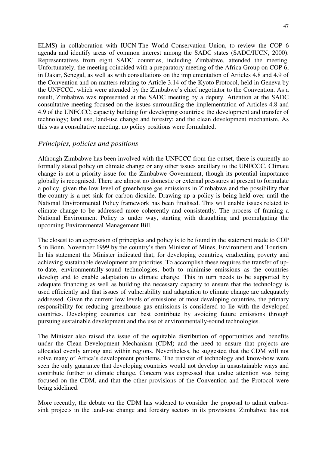ELMS) in collaboration with IUCN-The World Conservation Union, to review the COP 6 agenda and identify areas of common interest among the SADC states (SADC/IUCN, 2000). Representatives from eight SADC countries, including Zimbabwe, attended the meeting. Unfortunately, the meeting coincided with a preparatory meeting of the Africa Group on COP 6, in Dakar, Senegal, as well as with consultations on the implementation of Articles 4.8 and 4.9 of the Convention and on matters relating to Article 3.14 of the Kyoto Protocol, held in Geneva by the UNFCCC, which were attended by the Zimbabwe's chief negotiator to the Convention. As a result, Zimbabwe was represented at the SADC meeting by a deputy. Attention at the SADC consultative meeting focused on the issues surrounding the implementation of Articles 4.8 and 4.9 of the UNFCCC; capacity building for developing countries; the development and transfer of technology; land use, land-use change and forestry; and the clean development mechanism. As this was a consultative meeting, no policy positions were formulated.

### *Principles, policies and positions*

Although Zimbabwe has been involved with the UNFCCC from the outset, there is currently no formally stated policy on climate change or any other issues ancillary to the UNFCCC. Climate change is not a priority issue for the Zimbabwe Government, though its potential importance globally is recognised. There are almost no domestic or external pressures at present to formulate a policy, given the low level of greenhouse gas emissions in Zimbabwe and the possibility that the country is a net sink for carbon dioxide. Drawing up a policy is being held over until the National Environmental Policy framework has been finalised. This will enable issues related to climate change to be addressed more coherently and consistently. The process of framing a National Environment Policy is under way, starting with draughting and promulgating the upcoming Environmental Management Bill.

The closest to an expression of principles and policy is to be found in the statement made to COP 5 in Bonn, November 1999 by the country's then Minister of Mines, Environment and Tourism. In his statement the Minister indicated that, for developing countries, eradicating poverty and achieving sustainable development are priorities. To accomplish these requires the transfer of upto-date, environmentally-sound technologies, both to minimise emissions as the countries develop and to enable adaptation to climate change. This in turn needs to be supported by adequate financing as well as building the necessary capacity to ensure that the technology is used efficiently and that issues of vulnerability and adaptation to climate change are adequately addressed. Given the current low levels of emissions of most developing countries, the primary responsibility for reducing greenhouse gas emissions is considered to lie with the developed countries. Developing countries can best contribute by avoiding future emissions through pursuing sustainable development and the use of environmentally-sound technologies.

The Minister also raised the issue of the equitable distribution of opportunities and benefits under the Clean Development Mechanism (CDM) and the need to ensure that projects are allocated evenly among and within regions. Nevertheless, he suggested that the CDM will not solve many of Africa's development problems. The transfer of technology and know-how were seen the only guarantee that developing countries would not develop in unsustainable ways and contribute further to climate change. Concern was expressed that undue attention was being focused on the CDM, and that the other provisions of the Convention and the Protocol were being sidelined.

More recently, the debate on the CDM has widened to consider the proposal to admit carbonsink projects in the land-use change and forestry sectors in its provisions. Zimbabwe has not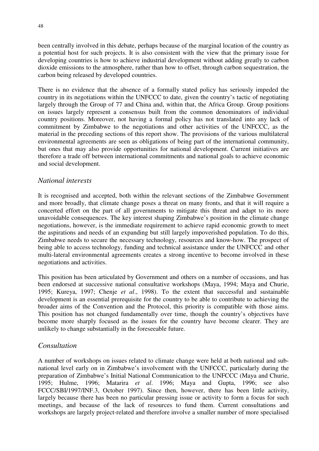been centrally involved in this debate, perhaps because of the marginal location of the country as a potential host for such projects. It is also consistent with the view that the primary issue for developing countries is how to achieve industrial development without adding greatly to carbon dioxide emissions to the atmosphere, rather than how to offset, through carbon sequestration, the carbon being released by developed countries.

There is no evidence that the absence of a formally stated policy has seriously impeded the country in its negotiations within the UNFCCC to date, given the country's tactic of negotiating largely through the Group of 77 and China and, within that, the Africa Group. Group positions on issues largely represent a consensus built from the common denominators of individual country positions. Moreover, not having a formal policy has not translated into any lack of commitment by Zimbabwe to the negotiations and other activities of the UNFCCC, as the material in the preceding sections of this report show. The provisions of the various multilateral environmental agreements are seen as obligations of being part of the international community, but ones that may also provide opportunities for national development. Current initiatives are therefore a trade off between international commitments and national goals to achieve economic and social development.

### *National interests*

It is recognised and accepted, both within the relevant sections of the Zimbabwe Government and more broadly, that climate change poses a threat on many fronts, and that it will require a concerted effort on the part of all governments to mitigate this threat and adapt to its more unavoidable consequences. The key interest shaping Zimbabwe's position in the climate change negotiations, however, is the immediate requirement to achieve rapid economic growth to meet the aspirations and needs of an expanding but still largely impoverished population. To do this, Zimbabwe needs to secure the necessary technology, resources and know-how. The prospect of being able to access technology, funding and technical assistance under the UNFCCC and other multi-lateral environmental agreements creates a strong incentive to become involved in these negotiations and activities.

This position has been articulated by Government and others on a number of occasions, and has been endorsed at successive national consultative workshops (Maya, 1994; Maya and Churie, 1995; Kureya, 1997; Chenje *et al*., 1998). To the extent that successful and sustainable development is an essential prerequisite for the country to be able to contribute to achieving the broader aims of the Convention and the Protocol, this priority is compatible with those aims. This position has not changed fundamentally over time, though the country's objectives have become more sharply focused as the issues for the country have become clearer. They are unlikely to change substantially in the foreseeable future.

### *Consultation*

A number of workshops on issues related to climate change were held at both national and subnational level early on in Zimbabwe's involvement with the UNFCCC, particularly during the preparation of Zimbabwe's Initial National Communication to the UNFCCC (Maya and Churie, 1995; Hulme, 1996; Matarira *et al*. 1996; Maya and Gupta, 1996; see also FCCC/SBI/1997/INF.3, October 1997). Since then, however, there has been little activity, largely because there has been no particular pressing issue or activity to form a focus for such meetings, and because of the lack of resources to fund them. Current consultations and workshops are largely project-related and therefore involve a smaller number of more specialised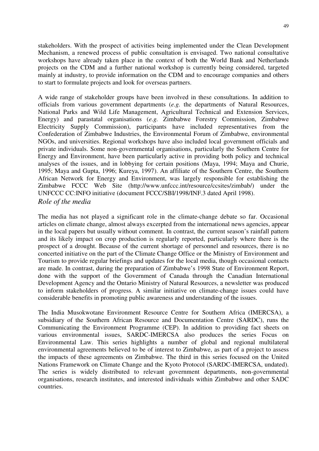stakeholders. With the prospect of activities being implemented under the Clean Development Mechanism, a renewed process of public consultation is envisaged. Two national consultative workshops have already taken place in the context of both the World Bank and Netherlands projects on the CDM and a further national workshop is currently being considered, targeted mainly at industry, to provide information on the CDM and to encourage companies and others to start to formulate projects and look for overseas partners.

A wide range of stakeholder groups have been involved in these consultations. In addition to officials from various government departments (*e.g.* the departments of Natural Resources, National Parks and Wild Life Management, Agricultural Technical and Extension Services, Energy) and parastatal organisations (*e.g.* Zimbabwe Forestry Commission, Zimbabwe Electricity Supply Commission), participants have included representatives from the Confederation of Zimbabwe Industries, the Environmental Forum of Zimbabwe, environmental NGOs, and universities. Regional workshops have also included local government officials and private individuals. Some non-governmental organisations, particularly the Southern Centre for Energy and Environment, have been particularly active in providing both policy and technical analyses of the issues, and in lobbying for certain positions (Maya, 1994; Maya and Churie, 1995; Maya and Gupta, 1996; Kureya, 1997). An affiliate of the Southern Centre, the Southern African Network for Energy and Environment, was largely responsible for establishing the Zimbabwe FCCC Web Site (http://www.unfccc.int/resource/ccsites/zimbab/) under the UNFCCC CC:INFO initiative (document FCCC/SBI/1998/INF.3 dated April 1998). *Role of the media*

The media has not played a significant role in the climate-change debate so far. Occasional articles on climate change, almost always excerpted from the international news agencies, appear in the local papers but usually without comment. In contrast, the current season's rainfall pattern and its likely impact on crop production is regularly reported, particularly where there is the prospect of a drought. Because of the current shortage of personnel and resources, there is no concerted initiative on the part of the Climate Change Office or the Ministry of Environment and Tourism to provide regular briefings and updates for the local media, though occasional contacts are made. In contrast, during the preparation of Zimbabwe's 1998 State of Environment Report, done with the support of the Government of Canada through the Canadian International Development Agency and the Ontario Ministry of Natural Resources, a newsletter was produced to inform stakeholders of progress. A similar initiative on climate-change issues could have considerable benefits in promoting public awareness and understanding of the issues.

The India Musokwotane Environment Resource Centre for Southern Africa (IMERCSA), a subsidiary of the Southern African Resource and Documentation Centre (SARDC), runs the Communicating the Environment Programme (CEP). In addition to providing fact sheets on various environmental issues, SARDC-IMERCSA also produces the series Focus on Environmental Law. This series highlights a number of global and regional multilateral environmental agreements believed to be of interest to Zimbabwe, as part of a project to assess the impacts of these agreements on Zimbabwe. The third in this series focused on the United Nations Framework on Climate Change and the Kyoto Protocol (SARDC-IMERCSA, undated). The series is widely distributed to relevant government departments, non-governmental organisations, research institutes, and interested individuals within Zimbabwe and other SADC countries.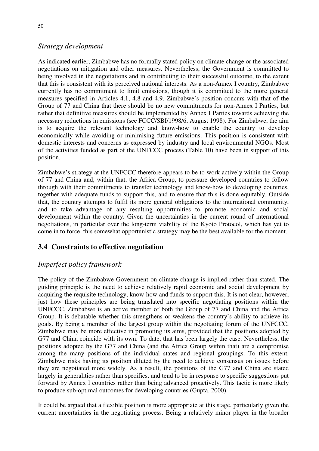### *Strategy development*

As indicated earlier, Zimbabwe has no formally stated policy on climate change or the associated negotiations on mitigation and other measures. Nevertheless, the Government is committed to being involved in the negotiations and in contributing to their successful outcome, to the extent that this is consistent with its perceived national interests. As a non-Annex I country, Zimbabwe currently has no commitment to limit emissions, though it is committed to the more general measures specified in Articles 4.1, 4.8 and 4.9. Zimbabwe's position concurs with that of the Group of 77 and China that there should be no new commitments for non-Annex I Parties, but rather that definitive measures should be implemented by Annex I Parties towards achieving the necessary reductions in emissions (see FCCC/SBI/1998/6, August 1998). For Zimbabwe, the aim is to acquire the relevant technology and know-how to enable the country to develop economically while avoiding or minimising future emissions. This position is consistent with domestic interests and concerns as expressed by industry and local environmental NGOs. Most of the activities funded as part of the UNFCCC process (Table 10) have been in support of this position.

Zimbabwe's strategy at the UNFCCC therefore appears to be to work actively within the Group of 77 and China and, within that, the Africa Group, to pressure developed countries to follow through with their commitments to transfer technology and know-how to developing countries, together with adequate funds to support this, and to ensure that this is done equitably. Outside that, the country attempts to fulfil its more general obligations to the international community, and to take advantage of any resulting opportunities to promote economic and social development within the country. Given the uncertainties in the current round of international negotiations, in particular over the long-term viability of the Kyoto Protocol, which has yet to come in to force, this somewhat opportunistic strategy may be the best available for the moment.

## **3.4 Constraints to effective negotiation**

## *Imperfect policy framework*

The policy of the Zimbabwe Government on climate change is implied rather than stated. The guiding principle is the need to achieve relatively rapid economic and social development by acquiring the requisite technology, know-how and funds to support this. It is not clear, however, just how these principles are being translated into specific negotiating positions within the UNFCCC. Zimbabwe is an active member of both the Group of 77 and China and the Africa Group. It is debatable whether this strengthens or weakens the country's ability to achieve its goals. By being a member of the largest group within the negotiating forum of the UNFCCC, Zimbabwe may be more effective in promoting its aims, provided that the positions adopted by G77 and China coincide with its own. To date, that has been largely the case. Nevertheless, the positions adopted by the G77 and China (and the Africa Group within that) are a compromise among the many positions of the individual states and regional groupings. To this extent, Zimbabwe risks having its position diluted by the need to achieve consensus on issues before they are negotiated more widely. As a result, the positions of the G77 and China are stated largely in generalities rather than specifics, and tend to be in response to specific suggestions put forward by Annex I countries rather than being advanced proactively. This tactic is more likely to produce sub-optimal outcomes for developing countries (Gupta, 2000).

It could be argued that a flexible position is more appropriate at this stage, particularly given the current uncertainties in the negotiating process. Being a relatively minor player in the broader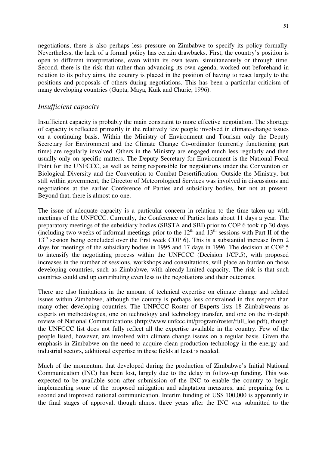negotiations, there is also perhaps less pressure on Zimbabwe to specify its policy formally. Nevertheless, the lack of a formal policy has certain drawbacks. First, the country's position is open to different interpretations, even within its own team, simultaneously or through time. Second, there is the risk that rather than advancing its own agenda, worked out beforehand in relation to its policy aims, the country is placed in the position of having to react largely to the positions and proposals of others during negotiations. This has been a particular criticism of many developing countries (Gupta, Maya, Kuik and Churie, 1996).

#### *Insufficient capacity*

Insufficient capacity is probably the main constraint to more effective negotiation. The shortage of capacity is reflected primarily in the relatively few people involved in climate-change issues on a continuing basis. Within the Ministry of Environment and Tourism only the Deputy Secretary for Environment and the Climate Change Co-ordinator (currently functioning part time) are regularly involved. Others in the Ministry are engaged much less regularly and then usually only on specific matters. The Deputy Secretary for Environment is the National Focal Point for the UNFCCC, as well as being responsible for negotiations under the Convention on Biological Diversity and the Convention to Combat Desertification. Outside the Ministry, but still within government, the Director of Meteorological Services was involved in discussions and negotiations at the earlier Conference of Parties and subsidiary bodies, but not at present. Beyond that, there is almost no-one.

The issue of adequate capacity is a particular concern in relation to the time taken up with meetings of the UNFCCC. Currently, the Conference of Parties lasts about 11 days a year. The preparatory meetings of the subsidiary bodies (SBSTA and SBI) prior to COP 6 took up 30 days (including two weeks of informal meetings prior to the  $12<sup>th</sup>$  and  $13<sup>th</sup>$  sessions with Part II of the  $13<sup>th</sup>$  session being concluded over the first week COP 6). This is a substantial increase from 2 days for meetings of the subsidiary bodies in 1995 and 17 days in 1996. The decision at COP 5 to intensify the negotiating process within the UNFCCC (Decision 1/CP.5), with proposed increases in the number of sessions, workshops and consultations, will place an burden on those developing countries, such as Zimbabwe, with already-limited capacity. The risk is that such countries could end up contributing even less to the negotiations and their outcomes.

There are also limitations in the amount of technical expertise on climate change and related issues within Zimbabwe, although the country is perhaps less constrained in this respect than many other developing countries. The UNFCCC Roster of Experts lists 18 Zimbabweans as experts on methodologies, one on technology and technology transfer, and one on the in-depth review of National Communications (http://www.unfccc.int/program/roster/full\_loe.pdf), though the UNFCCC list does not fully reflect all the expertise available in the country. Few of the people listed, however, are involved with climate change issues on a regular basis. Given the emphasis in Zimbabwe on the need to acquire clean production technology in the energy and industrial sectors, additional expertise in these fields at least is needed.

Much of the momentum that developed during the production of Zimbabwe's Initial National Communication (INC) has been lost, largely due to the delay in follow-up funding. This was expected to be available soon after submission of the INC to enable the country to begin implementing some of the proposed mitigation and adaptation measures, and preparing for a second and improved national communication. Interim funding of US\$ 100,000 is apparently in the final stages of approval, though almost three years after the INC was submitted to the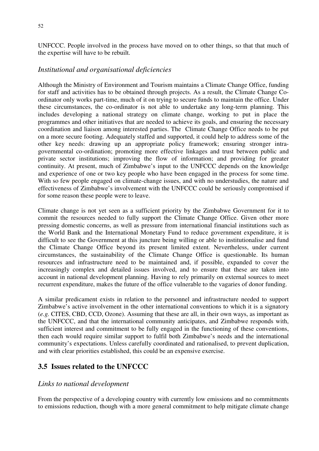52

UNFCCC. People involved in the process have moved on to other things, so that that much of the expertise will have to be rebuilt.

## *Institutional and organisational deficiencies*

Although the Ministry of Environment and Tourism maintains a Climate Change Office, funding for staff and activities has to be obtained through projects. As a result, the Climate Change Coordinator only works part-time, much of it on trying to secure funds to maintain the office. Under these circumstances, the co-ordinator is not able to undertake any long-term planning. This includes developing a national strategy on climate change, working to put in place the programmes and other initiatives that are needed to achieve its goals, and ensuring the necessary coordination and liaison among interested parties. The Climate Change Office needs to be put on a more secure footing. Adequately staffed and supported, it could help to address some of the other key needs: drawing up an appropriate policy framework; ensuring stronger intragovernmental co-ordination; promoting more effective linkages and trust between public and private sector institutions; improving the flow of information; and providing for greater continuity. At present, much of Zimbabwe's input to the UNFCCC depends on the knowledge and experience of one or two key people who have been engaged in the process for some time. With so few people engaged on climate-change issues, and with no understudies, the nature and effectiveness of Zimbabwe's involvement with the UNFCCC could be seriously compromised if for some reason these people were to leave.

Climate change is not yet seen as a sufficient priority by the Zimbabwe Government for it to commit the resources needed to fully support the Climate Change Office. Given other more pressing domestic concerns, as well as pressure from international financial institutions such as the World Bank and the International Monetary Fund to reduce government expenditure, it is difficult to see the Government at this juncture being willing or able to institutionalise and fund the Climate Change Office beyond its present limited extent. Nevertheless, under current circumstances, the sustainability of the Climate Change Office is questionable. Its human resources and infrastructure need to be maintained and, if possible, expanded to cover the increasingly complex and detailed issues involved, and to ensure that these are taken into account in national development planning. Having to rely primarily on external sources to meet recurrent expenditure, makes the future of the office vulnerable to the vagaries of donor funding.

A similar predicament exists in relation to the personnel and infrastructure needed to support Zimbabwe's active involvement in the other international conventions to which it is a signatory (*e.g.* CITES, CBD, CCD, Ozone). Assuming that these are all, in their own ways, as important as the UNFCCC, and that the international community anticipates, and Zimbabwe responds with, sufficient interest and commitment to be fully engaged in the functioning of these conventions, then each would require similar support to fulfil both Zimbabwe's needs and the international community's expectations. Unless carefully coordinated and rationalised, to prevent duplication, and with clear priorities established, this could be an expensive exercise.

## **3.5 Issues related to the UNFCCC**

## *Links to national development*

From the perspective of a developing country with currently low emissions and no commitments to emissions reduction, though with a more general commitment to help mitigate climate change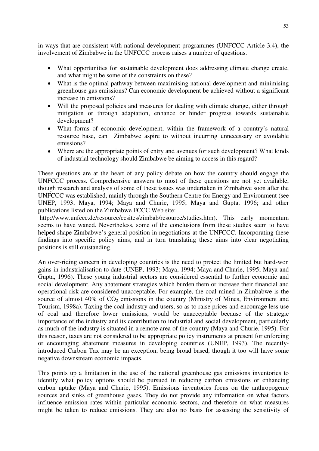in ways that are consistent with national development programmes (UNFCCC Article 3.4), the involvement of Zimbabwe in the UNFCCC process raises a number of questions.

- What opportunities for sustainable development does addressing climate change create, and what might be some of the constraints on these?
- What is the optimal pathway between maximising national development and minimising greenhouse gas emissions? Can economic development be achieved without a significant increase in emissions?
- Will the proposed policies and measures for dealing with climate change, either through mitigation or through adaptation, enhance or hinder progress towards sustainable development?
- What forms of economic development, within the framework of a country's natural resource base, can Zimbabwe aspire to without incurring unnecessary or avoidable emissions?
- Where are the appropriate points of entry and avenues for such development? What kinds of industrial technology should Zimbabwe be aiming to access in this regard?

These questions are at the heart of any policy debate on how the country should engage the UNFCCC process. Comprehensive answers to most of these questions are not yet available, though research and analysis of some of these issues was undertaken in Zimbabwe soon after the UNFCCC was established, mainly through the Southern Centre for Energy and Environment (see UNEP, 1993; Maya, 1994; Maya and Churie, 1995; Maya and Gupta, 1996; and other publications listed on the Zimbabwe FCCC Web site:

 http://www.unfccc.de/resource/ccsites/zimbab/resource/studies.htm). This early momentum seems to have waned. Nevertheless, some of the conclusions from these studies seem to have helped shape Zimbabwe's general position in negotiations at the UNFCCC. Incorporating these findings into specific policy aims, and in turn translating these aims into clear negotiating positions is still outstanding.

An over-riding concern in developing countries is the need to protect the limited but hard-won gains in industrialisation to date (UNEP, 1993; Maya, 1994; Maya and Churie, 1995; Maya and Gupta, 1996). These young industrial sectors are considered essential to further economic and social development. Any abatement strategies which burden them or increase their financial and operational risk are considered unacceptable. For example, the coal mined in Zimbabwe is the source of almost  $40\%$  of  $CO<sub>2</sub>$  emissions in the country (Ministry of Mines, Environment and Tourism, 1998a). Taxing the coal industry and users, so as to raise prices and encourage less use of coal and therefore lower emissions, would be unacceptable because of the strategic importance of the industry and its contribution to industrial and social development, particularly as much of the industry is situated in a remote area of the country (Maya and Churie, 1995). For this reason, taxes are not considered to be appropriate policy instruments at present for enforcing or encouraging abatement measures in developing countries (UNEP, 1993). The recentlyintroduced Carbon Tax may be an exception, being broad based, though it too will have some negative downstream economic impacts.

This points up a limitation in the use of the national greenhouse gas emissions inventories to identify what policy options should be pursued in reducing carbon emissions or enhancing carbon uptake (Maya and Churie, 1995). Emissions inventories focus on the anthropogenic sources and sinks of greenhouse gases. They do not provide any information on what factors influence emission rates within particular economic sectors, and therefore on what measures might be taken to reduce emissions. They are also no basis for assessing the sensitivity of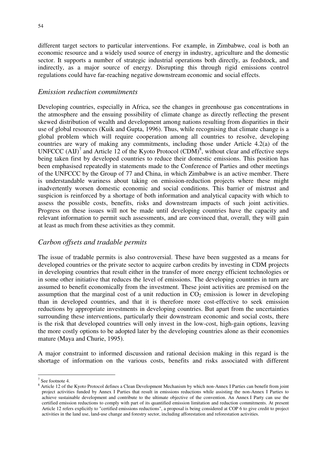different target sectors to particular interventions. For example, in Zimbabwe, coal is both an economic resource and a widely used source of energy in industry, agriculture and the domestic sector. It supports a number of strategic industrial operations both directly, as feedstock, and indirectly, as a major source of energy. Disrupting this through rigid emissions control regulations could have far-reaching negative downstream economic and social effects.

#### *Emission reduction commitments*

Developing countries, especially in Africa, see the changes in greenhouse gas concentrations in the atmosphere and the ensuing possibility of climate change as directly reflecting the present skewed distribution of wealth and development among nations resulting from disparities in their use of global resources (Kuik and Gupta, 1996). Thus, while recognising that climate change is a global problem which will require cooperation among all countries to resolve, developing countries are wary of making any commitments, including those under Article 4.2(a) of the UNFCCC (AIJ)<sup>7</sup> and Article 12 of the Kyoto Protocol (CDM)<sup>8</sup>, without clear and effective steps being taken first by developed countries to reduce their domestic emissions. This position has been emphasised repeatedly in statements made to the Conference of Parties and other meetings of the UNFCCC by the Group of 77 and China, in which Zimbabwe is an active member. There is understandable wariness about taking on emission-reduction projects where these might inadvertently worsen domestic economic and social conditions. This barrier of mistrust and suspicion is reinforced by a shortage of both information and analytical capacity with which to assess the possible costs, benefits, risks and downstream impacts of such joint activities. Progress on these issues will not be made until developing countries have the capacity and relevant information to permit such assessments, and are convinced that, overall, they will gain at least as much from these activities as they commit.

#### *Carbon offsets and tradable permits*

The issue of tradable permits is also controversial. These have been suggested as a means for developed countries or the private sector to acquire carbon credits by investing in CDM projects in developing countries that result either in the transfer of more energy efficient technologies or in some other initiative that reduces the level of emissions. The developing countries in turn are assumed to benefit economically from the investment. These joint activities are premised on the assumption that the marginal cost of a unit reduction in  $CO<sub>2</sub>$  emission is lower in developing than in developed countries, and that it is therefore more cost-effective to seek emission reductions by appropriate investments in developing countries. But apart from the uncertainties surrounding these interventions, particularly their downstream economic and social costs, there is the risk that developed countries will only invest in the low-cost, high-gain options, leaving the more costly options to be adopted later by the developing countries alone as their economies mature (Maya and Churie, 1995).

A major constraint to informed discussion and rational decision making in this regard is the shortage of information on the various costs, benefits and risks associated with different

 $\overline{a}$ 

 $7$  See footnote 4.

<sup>&</sup>lt;sup>8</sup> Article 12 of the Kyoto Protocol defines a Clean Development Mechanism by which non-Annex I Parties can benefit from joint project activities funded by Annex I Parties that result in emissions reductions while assisting the non-Annex I Parties to achieve sustainable development and contribute to the ultimate objective of the convention. An Annex I Party can use the certified emission reductions to comply with part of its quantified emission limitation and reduction commitments. At present Article 12 refers explicitly to "certified emissions reductions", a proposal is being considered at COP 6 to give credit to project activities in the land use, land-use change and forestry sector, including afforestation and reforestation activities.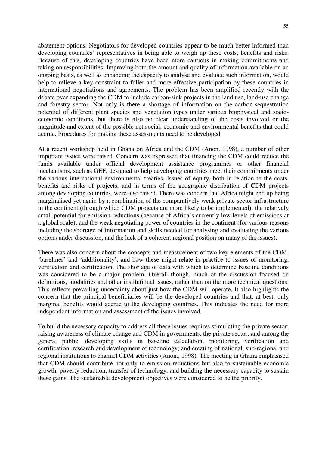abatement options. Negotiators for developed countries appear to be much better informed than developing countries' representatives in being able to weigh up these costs, benefits and risks. Because of this, developing countries have been more cautious in making commitments and taking on responsibilities. Improving both the amount and quality of information available on an ongoing basis, as well as enhancing the capacity to analyse and evaluate such information, would help to relieve a key constraint to fuller and more effective participation by these countries in international negotiations and agreements. The problem has been amplified recently with the debate over expanding the CDM to include carbon-sink projects in the land use, land-use change and forestry sector. Not only is there a shortage of information on the carbon-sequestration potential of different plant species and vegetation types under various biophysical and socioeconomic conditions, but there is also no clear understanding of the costs involved or the magnitude and extent of the possible net social, economic and environmental benefits that could accrue. Procedures for making these assessments need to be developed.

At a recent workshop held in Ghana on Africa and the CDM (Anon. 1998), a number of other important issues were raised. Concern was expressed that financing the CDM could reduce the funds available under official development assistance programmes or other financial mechanisms, such as GEF, designed to help developing countries meet their commitments under the various international environmental treaties. Issues of equity, both in relation to the costs, benefits and risks of projects, and in terms of the geographic distribution of CDM projects among developing countries, were also raised. There was concern that Africa might end up being marginalised yet again by a combination of the comparatively weak private-sector infrastructure in the continent (through which CDM projects are more likely to be implemented); the relatively small potential for emission reductions (because of Africa's currently low levels of emissions at a global scale); and the weak negotiating power of countries in the continent (for various reasons including the shortage of information and skills needed for analysing and evaluating the various options under discussion, and the lack of a coherent regional position on many of the issues).

There was also concern about the concepts and measurement of two key elements of the CDM, 'baselines' and 'additionality', and how these might relate in practice to issues of monitoring, verification and certification. The shortage of data with which to determine baseline conditions was considered to be a major problem. Overall though, much of the discussion focused on definitions, modalities and other institutional issues, rather than on the more technical questions. This reflects prevailing uncertainty about just how the CDM will operate. It also highlights the concern that the principal beneficiaries will be the developed countries and that, at best, only marginal benefits would accrue to the developing countries. This indicates the need for more independent information and assessment of the issues involved.

To build the necessary capacity to address all these issues requires stimulating the private sector; raising awareness of climate change and CDM in governments, the private sector, and among the general public; developing skills in baseline calculation, monitoring, verification and certification; research and development of technology; and creating of national, sub-regional and regional institutions to channel CDM activities (Anon., 1998). The meeting in Ghana emphasised that CDM should contribute not only to emission reductions but also to sustainable economic growth, poverty reduction, transfer of technology, and building the necessary capacity to sustain these gains. The sustainable development objectives were considered to be the priority.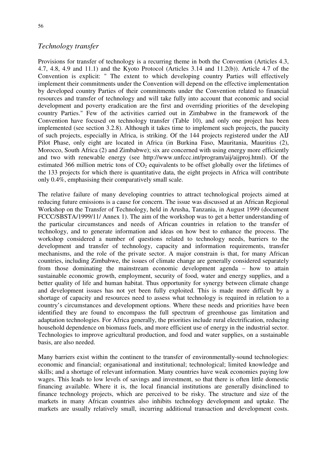### *Technology transfer*

Provisions for transfer of technology is a recurring theme in both the Convention (Articles 4.3, 4.7, 4.8, 4.9 and 11.1) and the Kyoto Protocol (Articles 3.14 and 11.2(b)). Article 4.7 of the Convention is explicit: " The extent to which developing country Parties will effectively implement their commitments under the Convention will depend on the effective implementation by developed country Parties of their commitments under the Convention related to financial resources and transfer of technology and will take fully into account that economic and social development and poverty eradication are the first and overriding priorities of the developing country Parties." Few of the activities carried out in Zimbabwe in the framework of the Convention have focused on technology transfer (Table 10), and only one project has been implemented (see section 3.2.8). Although it takes time to implement such projects, the paucity of such projects, especially in Africa, is striking. Of the 144 projects registered under the AIJ Pilot Phase, only eight are located in Africa (in Burkina Faso, Mauritania, Mauritius (2), Morocco, South Africa (2) and Zimbabwe); six are concerned with using energy more efficiently and two with renewable energy (see http://www.unfccc.int/program/aij/aijproj.html). Of the estimated 366 million metric tons of  $CO<sub>2</sub>$  equivalents to be offset globally over the lifetimes of the 133 projects for which there is quantitative data, the eight projects in Africa will contribute only 0.4%, emphasising their comparatively small scale.

The relative failure of many developing countries to attract technological projects aimed at reducing future emissions is a cause for concern. The issue was discussed at an African Regional Workshop on the Transfer of Technology, held in Arusha, Tanzania, in August 1999 (document FCCC/SBSTA/1999/11/ Annex 1). The aim of the workshop was to get a better understanding of the particular circumstances and needs of African countries in relation to the transfer of technology, and to generate information and ideas on how best to enhance the process. The workshop considered a number of questions related to technology needs, barriers to the development and transfer of technology, capacity and information requirements, transfer mechanisms, and the role of the private sector. A major constrain is that, for many African countries, including Zimbabwe, the issues of climate change are generally considered separately from those dominating the mainstream economic development agenda – how to attain sustainable economic growth, employment, security of food, water and energy supplies, and a better quality of life and human habitat. Thus opportunity for synergy between climate change and development issues has not yet been fully exploited. This is made more difficult by a shortage of capacity and resources need to assess what technology is required in relation to a country's circumstances and development options. Where these needs and priorities have been identified they are found to encompass the full spectrum of greenhouse gas limitation and adaptation technologies. For Africa generally, the priorities include rural electrification, reducing household dependence on biomass fuels, and more efficient use of energy in the industrial sector. Technologies to improve agricultural production, and food and water supplies, on a sustainable basis, are also needed.

Many barriers exist within the continent to the transfer of environmentally-sound technologies: economic and financial; organisational and institutional; technological; limited knowledge and skills; and a shortage of relevant information. Many countries have weak economies paying low wages. This leads to low levels of savings and investment, so that there is often little domestic financing available. Where it is, the local financial institutions are generally disinclined to finance technology projects, which are perceived to be risky. The structure and size of the markets in many African countries also inhibits technology development and uptake. The markets are usually relatively small, incurring additional transaction and development costs.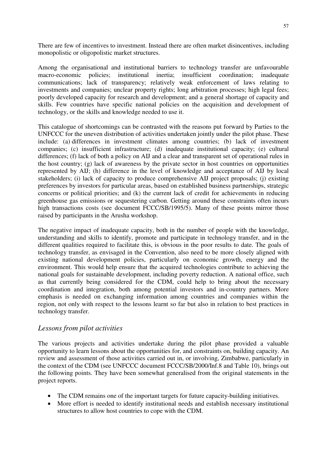There are few of incentives to investment. Instead there are often market disincentives, including monopolistic or oligopolistic market structures.

Among the organisational and institutional barriers to technology transfer are unfavourable macro-economic policies; institutional inertia; insufficient coordination; inadequate communications; lack of transparency; relatively weak enforcement of laws relating to investments and companies; unclear property rights; long arbitration processes; high legal fees; poorly developed capacity for research and development; and a general shortage of capacity and skills. Few countries have specific national policies on the acquisition and development of technology, or the skills and knowledge needed to use it.

This catalogue of shortcomings can be contrasted with the reasons put forward by Parties to the UNFCCC for the uneven distribution of activities undertaken jointly under the pilot phase. These include: (a) differences in investment climates among countries; (b) lack of investment companies; (c) insufficient infrastructure; (d) inadequate institutional capacity; (e) cultural differences; (f) lack of both a policy on AIJ and a clear and transparent set of operational rules in the host country; (g) lack of awareness by the private sector in host countries on opportunities represented by AIJ; (h) difference in the level of knowledge and acceptance of AIJ by local stakeholders; (i) lack of capacity to produce comprehensive AIJ project proposals; (j) existing preferences by investors for particular areas, based on established business partnerships, strategic concerns or political priorities; and (k) the current lack of credit for achievements in reducing greenhouse gas emissions or sequestering carbon. Getting around these constraints often incurs high transactions costs (see document FCCC/SB/1995/5). Many of these points mirror those raised by participants in the Arusha workshop.

The negative impact of inadequate capacity, both in the number of people with the knowledge, understanding and skills to identify, promote and participate in technology transfer, and in the different qualities required to facilitate this, is obvious in the poor results to date. The goals of technology transfer, as envisaged in the Convention, also need to be more closely aligned with existing national development policies, particularly on economic growth, energy and the environment. This would help ensure that the acquired technologies contribute to achieving the national goals for sustainable development, including poverty reduction. A national office, such as that currently being considered for the CDM, could help to bring about the necessary coordination and integration, both among potential investors and in-country partners. More emphasis is needed on exchanging information among countries and companies within the region, not only with respect to the lessons learnt so far but also in relation to best practices in technology transfer.

### *Lessons from pilot activities*

The various projects and activities undertake during the pilot phase provided a valuable opportunity to learn lessons about the opportunities for, and constraints on, building capacity. An review and assessment of those activities carried out in, or involving, Zimbabwe, particularly in the context of the CDM (see UNFCCC document FCCC/SB/2000/Inf.8 and Table 10), brings out the following points. They have been somewhat generalised from the original statements in the project reports.

- The CDM remains one of the important targets for future capacity-building initiatives.
- More effort is needed to identify institutional needs and establish necessary institutional structures to allow host countries to cope with the CDM.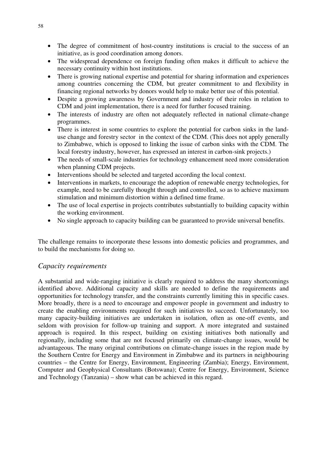- The degree of commitment of host-country institutions is crucial to the success of an initiative, as is good coordination among donors.
- The widespread dependence on foreign funding often makes it difficult to achieve the necessary continuity within host institutions.
- There is growing national expertise and potential for sharing information and experiences among countries concerning the CDM, but greater commitment to and flexibility in financing regional networks by donors would help to make better use of this potential.
- Despite a growing awareness by Government and industry of their roles in relation to CDM and joint implementation, there is a need for further focused training.
- The interests of industry are often not adequately reflected in national climate-change programmes.
- There is interest in some countries to explore the potential for carbon sinks in the landuse change and forestry sector in the context of the CDM. (This does not apply generally to Zimbabwe, which is opposed to linking the issue of carbon sinks with the CDM. The local forestry industry, however, has expressed an interest in carbon-sink projects.)
- The needs of small-scale industries for technology enhancement need more consideration when planning CDM projects.
- Interventions should be selected and targeted according the local context.
- Interventions in markets, to encourage the adoption of renewable energy technologies, for example, need to be carefully thought through and controlled, so as to achieve maximum stimulation and minimum distortion within a defined time frame.
- The use of local expertise in projects contributes substantially to building capacity within the working environment.
- No single approach to capacity building can be guaranteed to provide universal benefits.

The challenge remains to incorporate these lessons into domestic policies and programmes, and to build the mechanisms for doing so.

### *Capacity requirements*

A substantial and wide-ranging initiative is clearly required to address the many shortcomings identified above. Additional capacity and skills are needed to define the requirements and opportunities for technology transfer, and the constraints currently limiting this in specific cases. More broadly, there is a need to encourage and empower people in government and industry to create the enabling environments required for such initiatives to succeed. Unfortunately, too many capacity-building initiatives are undertaken in isolation, often as one-off events, and seldom with provision for follow-up training and support. A more integrated and sustained approach is required. In this respect, building on existing initiatives both nationally and regionally, including some that are not focused primarily on climate-change issues, would be advantageous. The many original contributions on climate-change issues in the region made by the Southern Centre for Energy and Environment in Zimbabwe and its partners in neighbouring countries – the Centre for Energy, Environment, Engineering (Zambia); Energy, Environment, Computer and Geophysical Consultants (Botswana); Centre for Energy, Environment, Science and Technology (Tanzania) – show what can be achieved in this regard.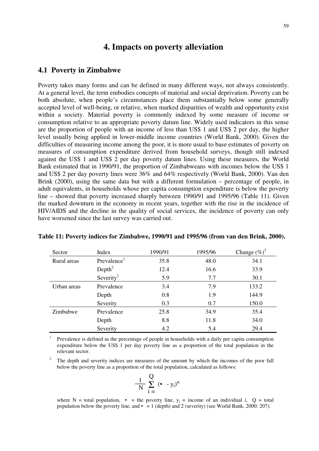## **4. Impacts on poverty alleviation**

#### **4.1 Poverty in Zimbabwe**

Poverty takes many forms and can be defined in many different ways, not always consistently. At a general level, the term embodies concepts of material and social deprivation. Poverty can be both absolute, when people's circumstances place them substantially below some generally accepted level of well-being, or relative, when marked disparities of wealth and opportunity exist within a society. Material poverty is commonly indexed by some measure of income or consumption relative to an appropriate poverty datum line. Widely used indicators in this sense are the proportion of people with an income of less than US\$ 1 and US\$ 2 per day, the higher level usually being applied in lower-middle income countries (World Bank, 2000). Given the difficulties of measuring income among the poor, it is more usual to base estimates of poverty on measures of consumption expenditure derived from household surveys, though still indexed against the US\$ 1 and US\$ 2 per day poverty datum lines. Using these measures, the World Bank estimated that in 1990/91, the proportion of Zimbabweans with incomes below the US\$ 1 and US\$ 2 per day poverty lines were 36% and 64% respectively (World Bank, 2000). Van den Brink (2000), using the same data but with a different formulation – percentage of people, in adult equivalents, in households whose per capita consumption expenditure is below the poverty line – showed that poverty increased sharply between 1990/91 and 1995/96 (Table 11). Given the marked downturn in the economy in recent years, together with the rise in the incidence of HIV/AIDS and the decline in the quality of social services, the incidence of poverty can only have worsened since the last survey was carried out.

| Sector      | Index                   | 1990/91 | 1995/96 | Change $(\%)^3$ |
|-------------|-------------------------|---------|---------|-----------------|
| Rural areas | Prevalence <sup>1</sup> | 35.8    | 48.0    | 34.1            |
|             | Depth <sup>2</sup>      | 12.4    | 16.6    | 33.9            |
|             | Severity <sup>2</sup>   | 5.9     | 7.7     | 30.1            |
| Urban areas | Prevalence              | 3.4     | 7.9     | 133.2           |
|             | Depth                   | 0.8     | 1.9     | 144.9           |
|             | Severity                | 0.3     | 0.7     | 150.0           |
| Zimbabwe    | Prevalence              | 25.8    | 34.9    | 35.4            |
|             | Depth                   | 8.8     | 11.8    | 34.0            |
|             | Severity                | 4.2     | 5.4     | 29.4            |

#### **Table 11: Poverty indices for Zimbabwe, 1990/91 and 1995/96 (from van den Brink, 2000).**

<sup>1</sup> Prevalence is defined as the percentage of people in households with a daily per capita consumption expenditure below the US\$ 1 per day poverty line as a proportion of the total population in the relevant sector.

2 The depth and severity indices are measures of the amount by which the incomes of the poor fall below the poverty line as a proportion of the total population, calculated as follows:

$$
\frac{1}{N} \sum_{i=1}^{N} (\bullet - y_i)^{\alpha}
$$

where  $N =$  total population,  $\bullet$  = the poverty line,  $y_i$  = income of an individual *i*,  $Q =$  total population below the poverty line, and  $\bullet$  = 1 (depth) and 2 (severity) (see World Bank, 2000: 207).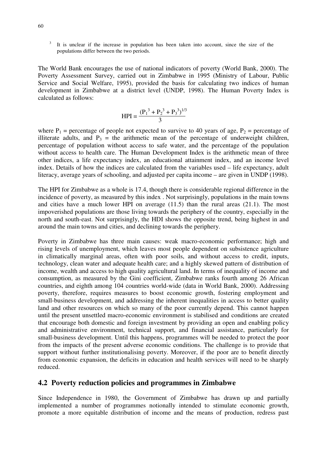It is unclear if the increase in population has been taken into account, since the size of the populations differ between the two periods.

The World Bank encourages the use of national indicators of poverty (World Bank, 2000). The Poverty Assessment Survey, carried out in Zimbabwe in 1995 (Ministry of Labour, Public Service and Social Welfare, 1995), provided the basis for calculating two indices of human development in Zimbabwe at a district level (UNDP, 1998). The Human Poverty Index is calculated as follows:

$$
HPI = \frac{(P_1^3 + P_2^3 + P_3^3)^{1/3}}{3}
$$

where  $P_1$  = percentage of people not expected to survive to 40 years of age,  $P_2$  = percentage of illiterate adults, and  $P_3$  = the arithmetic mean of the percentage of underweight children, percentage of population without access to safe water, and the percentage of the population without access to health care. The Human Development Index is the arithmetic mean of three other indices, a life expectancy index, an educational attainment index, and an income level index. Details of how the indices are calculated from the variables used – life expectancy, adult literacy, average years of schooling, and adjusted per capita income – are given in UNDP (1998).

The HPI for Zimbabwe as a whole is 17.4, though there is considerable regional difference in the incidence of poverty, as measured by this index . Not surprisingly, populations in the main towns and cities have a much lower HPI on average (11.5) than the rural areas (21.1). The most impoverished populations are those living towards the periphery of the country, especially in the north and south-east. Not surprisingly, the HDI shows the opposite trend, being highest in and around the main towns and cities, and declining towards the periphery.

Poverty in Zimbabwe has three main causes: weak macro-economic performance; high and rising levels of unemployment, which leaves most people dependent on subsistence agriculture in climatically marginal areas, often with poor soils, and without access to credit, inputs, technology, clean water and adequate health care; and a highly skewed pattern of distribution of income, wealth and access to high quality agricultural land. In terms of inequality of income and consumption, as measured by the Gini coefficient, Zimbabwe ranks fourth among 26 African countries, and eighth among 104 countries world-wide (data in World Bank, 2000). Addressing poverty, therefore, requires measures to boost economic growth, fostering employment and small-business development, and addressing the inherent inequalities in access to better quality land and other resources on which so many of the poor currently depend. This cannot happen until the present unsettled macro-economic environment is stabilised and conditions are created that encourage both domestic and foreign investment by providing an open and enabling policy and administrative environment, technical support, and financial assistance, particularly for small-business development. Until this happens, programmes will be needed to protect the poor from the impacts of the present adverse economic conditions. The challenge is to provide that support without further institutionalising poverty. Moreover, if the poor are to benefit directly from economic expansion, the deficits in education and health services will need to be sharply reduced.

## **4.2 Poverty reduction policies and programmes in Zimbabwe**

Since Independence in 1980, the Government of Zimbabwe has drawn up and partially implemented a number of programmes notionally intended to stimulate economic growth, promote a more equitable distribution of income and the means of production, redress past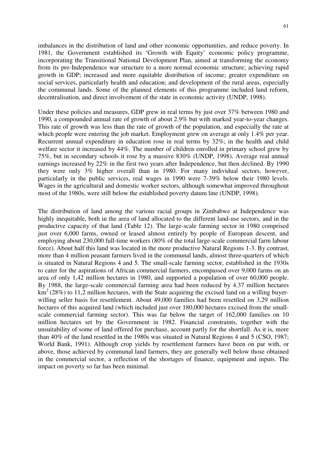imbalances in the distribution of land and other economic opportunities, and reduce poverty. In 1981, the Government established its 'Growth with Equity' economic policy programme, incorporating the Transitional National Development Plan, aimed at transforming the economy from its pre-Independence war structure to a more normal economic structure; achieving rapid growth in GDP; increased and more equitable distribution of income; greater expenditure on social services, particularly health and education; and development of the rural areas, especially the communal lands. Some of the planned elements of this programme included land reform, decentralisation, and direct involvement of the state in economic activity (UNDP, 1998).

Under these policies and measures, GDP grew in real terms by just over 37% between 1980 and 1990, a compounded annual rate of growth of about 2.9% but with marked year-to-year changes. This rate of growth was less than the rate of growth of the population, and especially the rate at which people were entering the job market. Employment grew on average at only 1.4% per year. Recurrent annual expenditure in education rose in real terms by 32%; in the health and child welfare sector it increased by 44%. The number of children enrolled in primary school grew by 75%, but in secondary schools it rose by a massive 830% (UNDP, 1998). Average real annual earnings increased by 22% in the first two years after Independence, but then declined. By 1990 they were only 3% higher overall than in 1980. For many individual sectors, however, particularly in the public services, real wages in 1990 were 7-39% below their 1980 levels. Wages in the agricultural and domestic worker sectors, although somewhat improved throughout most of the 1980s, were still below the established poverty datum line (UNDP, 1998).

The distribution of land among the various racial groups in Zimbabwe at Independence was highly inequitable, both in the area of land allocated to the different land-use sectors, and in the productive capacity of that land (Table 12). The large-scale farming sector in 1980 comprised just over 6,000 farms, owned or leased almost entirely by people of European descent, and employing about 230,000 full-time workers (80% of the total large-scale commercial farm labour force). About half this land was located in the more productive Natural Regions 1-3. By contrast, more than 4 million peasant farmers lived in the communal lands, almost three-quarters of which is situated in Natural Regions 4 and 5. The small-scale farming sector, established in the 1930s to cater for the aspirations of African commercial farmers, encompassed over 9,000 farms on an area of only 1,42 million hectares in 1980, and supported a population of over 60,000 people. By 1988, the large-scale commercial farming area had been reduced by 4.37 million hectares  $km^2$  (28%) to 11,2 million hectares, with the State acquiring the excised land on a willing buyerwilling seller basis for resettlement. About 49,000 families had been resettled on 3,29 million hectares of this acquired land (which included just over 180,000 hectares excised from the smallscale commercial farming sector). This was far below the target of 162,000 families on 10 million hectares set by the Government in 1982. Financial constraints, together with the unsuitability of some of land offered for purchase, account partly for the shortfall. As it is, more than 40% of the land resettled in the 1980s was situated in Natural Regions 4 and 5 (CSO, 1987; World Bank, 1991). Although crop yields by resettlement farmers have been on par with, or above, those achieved by communal land farmers, they are generally well below those obtained in the commercial sector, a reflection of the shortages of finance, equipment and inputs. The impact on poverty so far has been minimal.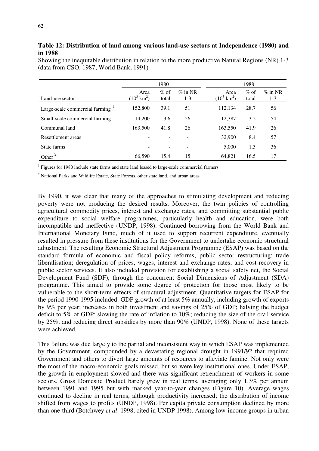### **Table 12: Distribution of land among various land-use sectors at Independence (1980) and in 1988**

Showing the inequitable distribution in relation to the more productive Natural Regions (NR) 1-3 (data from CSO, 1987; World Bank, 1991)

|                                | 1980                          |                          |                     | 1988                          |                  |                     |
|--------------------------------|-------------------------------|--------------------------|---------------------|-------------------------------|------------------|---------------------|
| Land-use sector                | Area<br>$(10^3 \text{ km}^2)$ | $\%$ of<br>total         | $\%$ in NR<br>$1-3$ | Area<br>$(10^3 \text{ km}^2)$ | $\%$ of<br>total | $\%$ in NR<br>$1-3$ |
| Large-scale commercial farming | 152,800                       | 39.1                     | 51                  | 112,134                       | 28.7             | 56                  |
| Small-scale commercial farming | 14,200                        | 3.6                      | 56                  | 12,387                        | 3.2              | 54                  |
| Communal land                  | 163,500                       | 41.8                     | 26                  | 163,550                       | 41.9             | 26                  |
| Resettlement areas             |                               | $\overline{\phantom{a}}$ |                     | 32,900                        | 8.4              | 57                  |
| State farms                    |                               |                          |                     | 5,000                         | 1.3              | 36                  |
| Other                          | 66,590                        | 15.4                     | 15                  | 64,821                        | 16.5             | 17                  |

<sup>1</sup> Figures for 1980 include state farms and state land leased to large-scale commercial farmers

<sup>2</sup> National Parks and Wildlife Estate, State Forests, other state land, and urban areas

By 1990, it was clear that many of the approaches to stimulating development and reducing poverty were not producing the desired results. Moreover, the twin policies of controlling agricultural commodity prices, interest and exchange rates, and committing substantial public expenditure to social welfare programmes, particularly health and education, were both incompatible and ineffective (UNDP, 1998). Continued borrowing from the World Bank and International Monetary Fund, much of it used to support recurrent expenditure, eventually resulted in pressure from these institutions for the Government to undertake economic structural adjustment. The resulting Economic Structural Adjustment Programme (ESAP) was based on the standard formula of economic and fiscal policy reforms; public sector restructuring; trade liberalisation; deregulation of prices, wages, interest and exchange rates; and cost-recovery in public sector services. It also included provision for establishing a social safety net, the Social Development Fund (SDF), through the concurrent Social Dimensions of Adjustment (SDA) programme. This aimed to provide some degree of protection for those most likely to be vulnerable to the short-term effects of structural adjustment. Quantitative targets for ESAP for the period 1990-1995 included: GDP growth of at least 5% annually, including growth of exports by 9% per year; increases in both investment and savings of 25% of GDP; halving the budget deficit to 5% of GDP; slowing the rate of inflation to 10%; reducing the size of the civil service by 25%; and reducing direct subsidies by more than 90% (UNDP, 1998). None of these targets were achieved.

This failure was due largely to the partial and inconsistent way in which ESAP was implemented by the Government, compounded by a devastating regional drought in 1991/92 that required Government and others to divert large amounts of resources to alleviate famine. Not only were the most of the macro-economic goals missed, but so were key institutional ones. Under ESAP, the growth in employment slowed and there was significant retrenchment of workers in some sectors. Gross Domestic Product barely grew in real terms, averaging only 1.3% per annum between 1991 and 1995 but with marked year-to-year changes (Figure 10). Average wages continued to decline in real terms, although productivity increased; the distribution of income shifted from wages to profits (UNDP, 1998). Per capita private consumption declined by more than one-third (Botchwey *et al*. 1998, cited in UNDP 1998). Among low-income groups in urban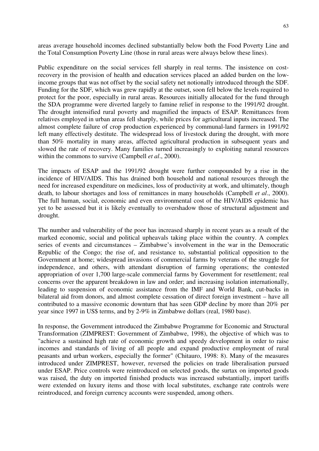areas average household incomes declined substantially below both the Food Poverty Line and the Total Consumption Poverty Line (those in rural areas were always below these lines).

Public expenditure on the social services fell sharply in real terms. The insistence on costrecovery in the provision of health and education services placed an added burden on the lowincome groups that was not offset by the social safety net notionally introduced through the SDF. Funding for the SDF, which was grew rapidly at the outset, soon fell below the levels required to protect for the poor, especially in rural areas. Resources initially allocated for the fund through the SDA programme were diverted largely to famine relief in response to the 1991/92 drought. The drought intensified rural poverty and magnified the impacts of ESAP. Remittances from relatives employed in urban areas fell sharply, while prices for agricultural inputs increased. The almost complete failure of crop production experienced by communal-land farmers in 1991/92 left many effectively destitute. The widespread loss of livestock during the drought, with more than 50% mortality in many areas, affected agricultural production in subsequent years and slowed the rate of recovery. Many families turned increasingly to exploiting natural resources within the commons to survive (Campbell *et al*., 2000).

The impacts of ESAP and the 1991/92 drought were further compounded by a rise in the incidence of HIV/AIDS. This has drained both household and national resources through the need for increased expenditure on medicines, loss of productivity at work, and ultimately, though death, to labour shortages and loss of remittances in many households (Campbell *et al*., 2000). The full human, social, economic and even environmental cost of the HIV/AIDS epidemic has yet to be assessed but it is likely eventually to overshadow those of structural adjustment and drought.

The number and vulnerability of the poor has increased sharply in recent years as a result of the marked economic, social and political upheavals taking place within the country. A complex series of events and circumstances – Zimbabwe's involvement in the war in the Democratic Republic of the Congo; the rise of, and resistance to, substantial political opposition to the Government at home; widespread invasions of commercial farms by veterans of the struggle for independence, and others, with attendant disruption of farming operations; the contested appropriation of over 1,700 large-scale commercial farms by Government for resettlement; real concerns over the apparent breakdown in law and order; and increasing isolation internationally, leading to suspension of economic assistance from the IMF and World Bank, cut-backs in bilateral aid from donors, and almost complete cessation of direct foreign investment – have all contributed to a massive economic downturn that has seen GDP decline by more than 20% per year since 1997 in US\$ terms, and by 2-9% in Zimbabwe dollars (real, 1980 base).

In response, the Government introduced the Zimbabwe Programme for Economic and Structural Transformation (ZIMPREST: Government of Zimbabwe, 1998), the objective of which was to "achieve a sustained high rate of economic growth and speedy development in order to raise incomes and standards of living of all people and expand productive employment of rural peasants and urban workers, especially the former" (Chitauro, 1998: 8). Many of the measures introduced under ZIMPREST, however, reversed the policies on trade liberalisation pursued under ESAP. Price controls were reintroduced on selected goods, the surtax on imported goods was raised, the duty on imported finished products was increased substantially, import tariffs were extended on luxury items and those with local substitutes, exchange rate controls were reintroduced, and foreign currency accounts were suspended, among others.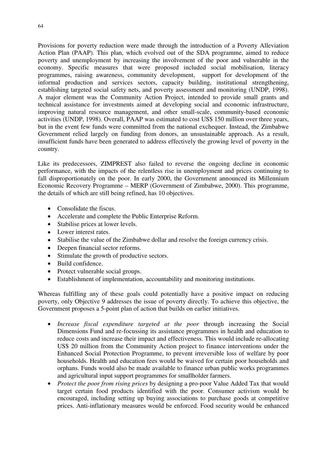Provisions for poverty reduction were made through the introduction of a Poverty Alleviation Action Plan (PAAP). This plan, which evolved out of the SDA programme, aimed to reduce poverty and unemployment by increasing the involvement of the poor and vulnerable in the economy. Specific measures that were proposed included social mobilisation, literacy programmes, raising awareness, community development, support for development of the informal production and services sectors, capacity building, institutional strengthening, establishing targeted social safety nets, and poverty assessment and monitoring (UNDP, 1998). A major element was the Community Action Project, intended to provide small grants and technical assistance for investments aimed at developing social and economic infrastructure, improving natural resource management, and other small-scale, community-based economic activities (UNDP, 1998). Overall, PAAP was estimated to cost US\$ 150 million over three years, but in the event few funds were committed from the national exchequer. Instead, the Zimbabwe Government relied largely on funding from donors, an unsustainable approach. As a result, insufficient funds have been generated to address effectively the growing level of poverty in the country.

Like its predecessors, ZIMPREST also failed to reverse the ongoing decline in economic performance, with the impacts of the relentless rise in unemployment and prices continuing to fall disproportionately on the poor. In early 2000, the Government announced its Millennium Economic Recovery Programme – MERP (Government of Zimbabwe, 2000). This programme, the details of which are still being refined, has 10 objectives.

- Consolidate the fiscus.
- Accelerate and complete the Public Enterprise Reform.
- Stabilise prices at lower levels.
- Lower interest rates.
- Stabilise the value of the Zimbabwe dollar and resolve the foreign currency crisis.
- Deepen financial sector reforms.
- Stimulate the growth of productive sectors.
- Build confidence.
- Protect vulnerable social groups.
- Establishment of implementation, accountability and monitoring institutions.

Whereas fulfilling any of these goals could potentially have a positive impact on reducing poverty, only Objective 9 addresses the issue of poverty directly. To achieve this objective, the Government proposes a 5-point plan of action that builds on earlier initiatives.

- *Increase fiscal expenditure targeted at the poor* through increasing the Social Dimensions Fund and re-focussing its assistance programmes in health and education to reduce costs and increase their impact and effectiveness. This would include re-allocating US\$ 20 million from the Community Action project to finance interventions under the Enhanced Social Protection Programme, to prevent irreversible loss of welfare by poor households. Health and education fees would be waived for certain poor households and orphans. Funds would also be made available to finance urban public works programmes and agricultural input support programmes for smallholder farmers.
- *Protect the poor from rising prices* by designing a pro-poor Value Added Tax that would target certain food products identified with the poor. Consumer activism would be encouraged, including setting up buying associations to purchase goods at competitive prices. Anti-inflationary measures would be enforced. Food security would be enhanced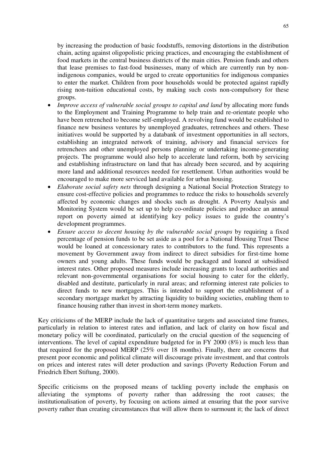by increasing the production of basic foodstuffs, removing distortions in the distribution chain, acting against oligopolistic pricing practices, and encouraging the establishment of food markets in the central business districts of the main cities. Pension funds and others that lease premises to fast-food businesses, many of which are currently run by nonindigenous companies, would be urged to create opportunities for indigenous companies to enter the market. Children from poor households would be protected against rapidly rising non-tuition educational costs, by making such costs non-compulsory for these groups.

- *Improve access of vulnerable social groups to capital and land* by allocating more funds to the Employment and Training Programme to help train and re-orientate people who have been retrenched to become self-employed. A revolving fund would be established to finance new business ventures by unemployed graduates, retrenchees and others. These initiatives would be supported by a databank of investment opportunities in all sectors, establishing an integrated network of training, advisory and financial services for retrenchees and other unemployed persons planning or undertaking income-generating projects. The programme would also help to accelerate land reform, both by servicing and establishing infrastructure on land that has already been secured, and by acquiring more land and additional resources needed for resettlement. Urban authorities would be encouraged to make more serviced land available for urban housing.
- *Elaborate social safety nets* through designing a National Social Protection Strategy to ensure cost-effective policies and programmes to reduce the risks to households severely affected by economic changes and shocks such as drought. A Poverty Analysis and Monitoring System would be set up to help co-ordinate policies and produce an annual report on poverty aimed at identifying key policy issues to guide the country's development programmes.
- *Ensure access to decent housing by the vulnerable social groups* by requiring a fixed percentage of pension funds to be set aside as a pool for a National Housing Trust These would be loaned at concessionary rates to contributors to the fund. This represents a movement by Government away from indirect to direct subsidies for first-time home owners and young adults. These funds would be packaged and loaned at subsidised interest rates. Other proposed measures include increasing grants to local authorities and relevant non-governmental organisations for social housing to cater for the elderly, disabled and destitute, particularly in rural areas; and reforming interest rate policies to direct funds to new mortgages. This is intended to support the establishment of a secondary mortgage market by attracting liquidity to building societies, enabling them to finance housing rather than invest in short-term money markets.

Key criticisms of the MERP include the lack of quantitative targets and associated time frames, particularly in relation to interest rates and inflation, and lack of clarity on how fiscal and monetary policy will be coordinated, particularly on the crucial question of the sequencing of interventions. The level of capital expenditure budgeted for in FY 2000 (8%) is much less than that required for the proposed MERP (25% over 18 months). Finally, there are concerns that present poor economic and political climate will discourage private investment, and that controls on prices and interest rates will deter production and savings (Poverty Reduction Forum and Friedrich Ebert Stiftung, 2000).

Specific criticisms on the proposed means of tackling poverty include the emphasis on alleviating the symptoms of poverty rather than addressing the root causes; the institutionalisation of poverty, by focusing on actions aimed at ensuring that the poor survive poverty rather than creating circumstances that will allow them to surmount it; the lack of direct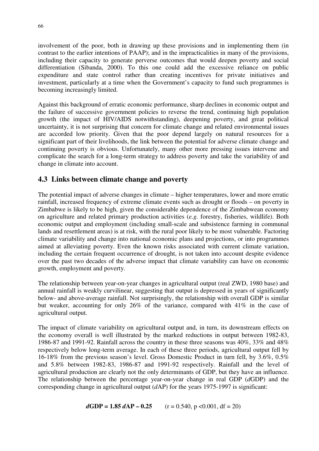involvement of the poor, both in drawing up these provisions and in implementing them (in contrast to the earlier intentions of PAAP); and in the impracticalities in many of the provisions, including their capacity to generate perverse outcomes that would deepen poverty and social differentiation (Sibanda, 2000). To this one could add the excessive reliance on public expenditure and state control rather than creating incentives for private initiatives and investment, particularly at a time when the Government's capacity to fund such programmes is becoming increasingly limited.

Against this background of erratic economic performance, sharp declines in economic output and the failure of successive government policies to reverse the trend, continuing high population growth (the impact of HIV/AIDS notwithstanding), deepening poverty, and great political uncertainty, it is not surprising that concern for climate change and related environmental issues are accorded low priority. Given that the poor depend largely on natural resources for a significant part of their livelihoods, the link between the potential for adverse climate change and continuing poverty is obvious. Unfortunately, many other more pressing issues intervene and complicate the search for a long-term strategy to address poverty and take the variability of and change in climate into account.

## **4.3 Links between climate change and poverty**

The potential impact of adverse changes in climate – higher temperatures, lower and more erratic rainfall, increased frequency of extreme climate events such as drought or floods – on poverty in Zimbabwe is likely to be high, given the considerable dependence of the Zimbabwean economy on agriculture and related primary production activities (*e.g.* forestry, fisheries, wildlife). Both economic output and employment (including small-scale and subsistence farming in communal lands and resettlement areas) is at risk, with the rural poor likely to be most vulnerable. Factoring climate variability and change into national economic plans and projections, or into programmes aimed at alleviating poverty. Even the known risks associated with current climate variation, including the certain frequent occurrence of drought, is not taken into account despite evidence over the past two decades of the adverse impact that climate variability can have on economic growth, employment and poverty.

The relationship between year-on-year changes in agricultural output (real ZWD, 1980 base) and annual rainfall is weakly curvilinear, suggesting that output is depressed in years of significantly below- and above-average rainfall. Not surprisingly, the relationship with overall GDP is similar but weaker, accounting for only 26% of the variance, compared with 41% in the case of agricultural output.

The impact of climate variability on agricultural output and, in turn, its downstream effects on the economy overall is well illustrated by the marked reductions in output between 1982-83, 1986-87 and 1991-92. Rainfall across the country in these three seasons was 40%, 33% and 48% respectively below long-term average. In each of these three periods, agricultural output fell by 16-18% from the previous season's level. Gross Domestic Product in turn fell, by 3.6%, 0.5% and 5.8% between 1982-83, 1986-87 and 1991-92 respectively. Rainfall and the level of agricultural production are clearly not the only determinants of GDP, but they have an influence. The relationship between the percentage year-on-year change in real GDP (*d*GDP) and the corresponding change in agricultural output (*d*AP) for the years 1975-1997 is significant:

$$
dGDP = 1.85 \, dAP - 0.25 \qquad (r = 0.540, p < 0.001, df = 20)
$$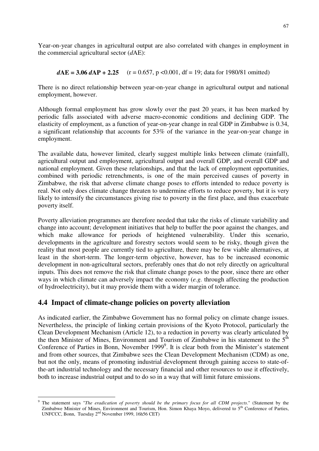Year-on-year changes in agricultural output are also correlated with changes in employment in the commercial agricultural sector (*d*AE):

$$
dAE = 3.06 \, dAP + 2.25 \quad (r = 0.657, p < 0.001, df = 19; data for 1980/81 omitted)
$$

There is no direct relationship between year-on-year change in agricultural output and national employment, however.

Although formal employment has grow slowly over the past 20 years, it has been marked by periodic falls associated with adverse macro-economic conditions and declining GDP. The elasticity of employment, as a function of year-on-year change in real GDP in Zimbabwe is 0.34, a significant relationship that accounts for 53% of the variance in the year-on-year change in employment.

The available data, however limited, clearly suggest multiple links between climate (rainfall), agricultural output and employment, agricultural output and overall GDP, and overall GDP and national employment. Given these relationships, and that the lack of employment opportunities, combined with periodic retrenchments, is one of the main perceived causes of poverty in Zimbabwe, the risk that adverse climate change poses to efforts intended to reduce poverty is real. Not only does climate change threaten to undermine efforts to reduce poverty, but it is very likely to intensify the circumstances giving rise to poverty in the first place, and thus exacerbate poverty itself.

Poverty alleviation programmes are therefore needed that take the risks of climate variability and change into account; development initiatives that help to buffer the poor against the changes, and which make allowance for periods of heightened vulnerability. Under this scenario, developments in the agriculture and forestry sectors would seem to be risky, though given the reality that most people are currently tied to agriculture, there may be few viable alternatives, at least in the short-term. The longer-term objective, however, has to be increased economic development in non-agricultural sectors, preferably ones that do not rely directly on agricultural inputs. This does not remove the risk that climate change poses to the poor, since there are other ways in which climate can adversely impact the economy (*e.g.* through affecting the production of hydroelectricity), but it may provide them with a wider margin of tolerance.

## **4.4 Impact of climate-change policies on poverty alleviation**

 $\overline{a}$ 

As indicated earlier, the Zimbabwe Government has no formal policy on climate change issues. Nevertheless, the principle of linking certain provisions of the Kyoto Protocol, particularly the Clean Development Mechanism (Article 12), to a reduction in poverty was clearly articulated by the then Minister of Mines, Environment and Tourism of Zimbabwe in his statement to the  $5<sup>th</sup>$ Conference of Parties in Bonn, November 1999<sup>9</sup>. It is clear both from the Minister's statement and from other sources, that Zimbabwe sees the Clean Development Mechanism (CDM) as one, but not the only, means of promoting industrial development through gaining access to state-ofthe-art industrial technology and the necessary financial and other resources to use it effectively, both to increase industrial output and to do so in a way that will limit future emissions.

<sup>9</sup> The statement says "*The eradication of poverty should be the primary focus for all CDM projects*." (Statement by the Zimbabwe Minister of Mines, Environment and Tourism, Hon. Simon Khaya Moyo, delivered to 5<sup>th</sup> Conference of Parties, UNFCCC, Bonn, Tuesday 2nd November 1999, 16h56 CET)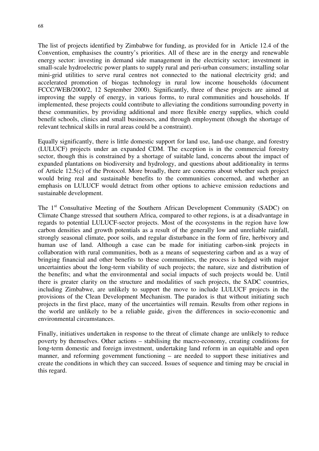68

The list of projects identified by Zimbabwe for funding, as provided for in Article 12.4 of the Convention, emphasises the country's priorities. All of these are in the energy and renewable energy sector: investing in demand side management in the electricity sector; investment in small-scale hydroelectric power plants to supply rural and peri-urban consumers; installing solar mini-grid utilities to serve rural centres not connected to the national electricity grid; and accelerated promotion of biogas technology in rural low income households (document FCCC/WEB/2000/2, 12 September 2000). Significantly, three of these projects are aimed at improving the supply of energy, in various forms, to rural communities and households. If implemented, these projects could contribute to alleviating the conditions surrounding poverty in these communities, by providing additional and more flexible energy supplies, which could benefit schools, clinics and small businesses, and through employment (though the shortage of relevant technical skills in rural areas could be a constraint).

Equally significantly, there is little domestic support for land use, land-use change, and forestry (LULUCF) projects under an expanded CDM. The exception is in the commercial forestry sector, though this is constrained by a shortage of suitable land, concerns about the impact of expanded plantations on biodiversity and hydrology, and questions about additionality in terms of Article 12.5(c) of the Protocol. More broadly, there are concerns about whether such project would bring real and sustainable benefits to the communities concerned, and whether an emphasis on LULUCF would detract from other options to achieve emission reductions and sustainable development.

The 1<sup>st</sup> Consultative Meeting of the Southern African Development Community (SADC) on Climate Change stressed that southern Africa, compared to other regions, is at a disadvantage in regards to potential LULUCF-sector projects. Most of the ecosystems in the region have low carbon densities and growth potentials as a result of the generally low and unreliable rainfall, strongly seasonal climate, poor soils, and regular disturbance in the form of fire, herbivory and human use of land. Although a case can be made for initiating carbon-sink projects in collaboration with rural communities, both as a means of sequestering carbon and as a way of bringing financial and other benefits to these communities, the process is hedged with major uncertainties about the long-term viability of such projects; the nature, size and distribution of the benefits; and what the environmental and social impacts of such projects would be. Until there is greater clarity on the structure and modalities of such projects, the SADC countries, including Zimbabwe, are unlikely to support the move to include LULUCF projects in the provisions of the Clean Development Mechanism. The paradox is that without initiating such projects in the first place, many of the uncertainties will remain. Results from other regions in the world are unlikely to be a reliable guide, given the differences in socio-economic and environmental circumstances.

Finally, initiatives undertaken in response to the threat of climate change are unlikely to reduce poverty by themselves. Other actions – stabilising the macro-economy, creating conditions for long-term domestic and foreign investment, undertaking land reform in an equitable and open manner, and reforming government functioning – are needed to support these initiatives and create the conditions in which they can succeed. Issues of sequence and timing may be crucial in this regard.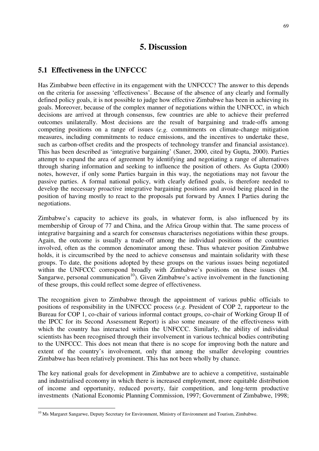# **5. Discussion**

### **5.1 Effectiveness in the UNFCCC**

Has Zimbabwe been effective in its engagement with the UNFCCC? The answer to this depends on the criteria for assessing 'effectiveness'. Because of the absence of any clearly and formally defined policy goals, it is not possible to judge how effective Zimbabwe has been in achieving its goals. Moreover, because of the complex manner of negotiations within the UNFCCC, in which decisions are arrived at through consensus, few countries are able to achieve their preferred outcomes unilaterally. Most decisions are the result of bargaining and trade-offs among competing positions on a range of issues (*e.g.* commitments on climate-change mitigation measures, including commitments to reduce emissions, and the incentives to undertake these, such as carbon-offset credits and the prospects of technology transfer and financial assistance). This has been described as 'integrative bargaining' (Saner, 2000, cited by Gupta, 2000). Parties attempt to expand the area of agreement by identifying and negotiating a range of alternatives through sharing information and seeking to influence the position of others. As Gupta (2000) notes, however, if only some Parties bargain in this way, the negotiations may not favour the passive parties. A formal national policy, with clearly defined goals, is therefore needed to develop the necessary proactive integrative bargaining positions and avoid being placed in the position of having mostly to react to the proposals put forward by Annex I Parties during the negotiations.

Zimbabwe's capacity to achieve its goals, in whatever form, is also influenced by its membership of Group of 77 and China, and the Africa Group within that. The same process of integrative bargaining and a search for consensus characterises negotiations within these groups. Again, the outcome is usually a trade-off among the individual positions of the countries involved, often as the common denominator among these. Thus whatever position Zimbabwe holds, it is circumscribed by the need to achieve consensus and maintain solidarity with these groups. To date, the positions adopted by these groups on the various issues being negotiated within the UNFCCC correspond broadly with Zimbabwe's positions on these issues (M. Sangarwe, personal communication<sup>10</sup>). Given Zimbabwe's active involvement in the functioning of these groups, this could reflect some degree of effectiveness.

The recognition given to Zimbabwe through the appointment of various public officials to positions of responsibility in the UNFCCC process (*e.g.* President of COP 2, rapporteur to the Bureau for COP 1, co-chair of various informal contact groups, co-chair of Working Group II of the IPCC for its Second Assessment Report) is also some measure of the effectiveness with which the country has interacted within the UNFCCC. Similarly, the ability of individual scientists has been recognised through their involvement in various technical bodies contributing to the UNFCCC. This does not mean that there is no scope for improving both the nature and extent of the country's involvement, only that among the smaller developing countries Zimbabwe has been relatively prominent. This has not been wholly by chance.

The key national goals for development in Zimbabwe are to achieve a competitive, sustainable and industrialised economy in which there is increased employment, more equitable distribution of income and opportunity, reduced poverty, fair competition, and long-term productive investments (National Economic Planning Commission, 1997; Government of Zimbabwe, 1998;

 $\overline{a}$ 

 $10$  Ms Margaret Sangarwe, Deputy Secretary for Environment, Ministry of Environment and Tourism, Zimbabwe.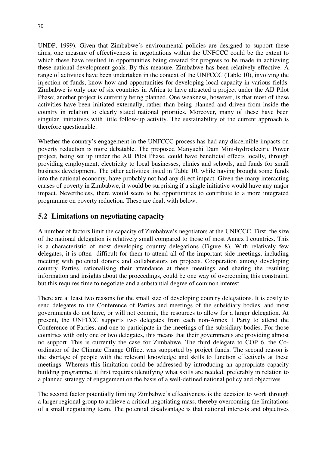UNDP, 1999). Given that Zimbabwe's environmental policies are designed to support these aims, one measure of effectiveness in negotiations within the UNFCCC could be the extent to which these have resulted in opportunities being created for progress to be made in achieving these national development goals. By this measure, Zimbabwe has been relatively effective. A range of activities have been undertaken in the context of the UNFCCC (Table 10), involving the injection of funds, know-how and opportunities for developing local capacity in various fields. Zimbabwe is only one of six countries in Africa to have attracted a project under the AIJ Pilot Phase; another project is currently being planned. One weakness, however, is that most of these activities have been initiated externally, rather than being planned and driven from inside the country in relation to clearly stated national priorities. Moreover, many of these have been singular initiatives with little follow-up activity. The sustainability of the current approach is therefore questionable.

Whether the country's engagement in the UNFCCC process has had any discernible impacts on poverty reduction is more debatable. The proposed Manyuchi Dam Mini-hydroelectric Power project, being set up under the AIJ Pilot Phase, could have beneficial effects locally, through providing employment, electricity to local businesses, clinics and schools, and funds for small business development. The other activities listed in Table 10, while having brought some funds into the national economy, have probably not had any direct impact. Given the many interacting causes of poverty in Zimbabwe, it would be surprising if a single initiative would have any major impact. Nevertheless, there would seem to be opportunities to contribute to a more integrated programme on poverty reduction. These are dealt with below.

## **5.2 Limitations on negotiating capacity**

A number of factors limit the capacity of Zimbabwe's negotiators at the UNFCCC. First, the size of the national delegation is relatively small compared to those of most Annex I countries. This is a characteristic of most developing country delegations (Figure 8). With relatively few delegates, it is often difficult for them to attend all of the important side meetings, including meeting with potential donors and collaborators on projects. Cooperation among developing country Parties, rationalising their attendance at these meetings and sharing the resulting information and insights about the proceedings, could be one way of overcoming this constraint, but this requires time to negotiate and a substantial degree of common interest.

There are at least two reasons for the small size of developing country delegations. It is costly to send delegates to the Conference of Parties and meetings of the subsidiary bodies, and most governments do not have, or will not commit, the resources to allow for a larger delegation. At present, the UNFCCC supports two delegates from each non-Annex I Party to attend the Conference of Parties, and one to participate in the meetings of the subsidiary bodies. For those countries with only one or two delegates, this means that their governments are providing almost no support. This is currently the case for Zimbabwe. The third delegate to COP 6, the Coordinator of the Climate Change Office, was supported by project funds. The second reason is the shortage of people with the relevant knowledge and skills to function effectively at these meetings. Whereas this limitation could be addressed by introducing an appropriate capacity building programme, it first requires identifying what skills are needed, preferably in relation to a planned strategy of engagement on the basis of a well-defined national policy and objectives.

The second factor potentially limiting Zimbabwe's effectiveness is the decision to work through a larger regional group to achieve a critical negotiating mass, thereby overcoming the limitations of a small negotiating team. The potential disadvantage is that national interests and objectives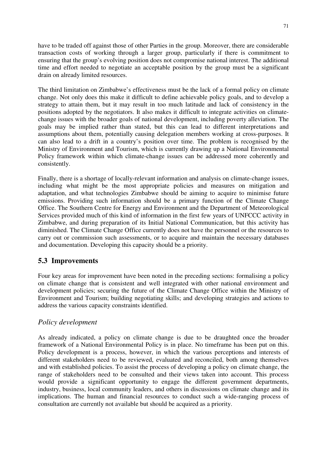have to be traded off against those of other Parties in the group. Moreover, there are considerable transaction costs of working through a larger group, particularly if there is commitment to ensuring that the group's evolving position does not compromise national interest. The additional time and effort needed to negotiate an acceptable position by the group must be a significant drain on already limited resources.

The third limitation on Zimbabwe's effectiveness must be the lack of a formal policy on climate change. Not only does this make it difficult to define achievable policy goals, and to develop a strategy to attain them, but it may result in too much latitude and lack of consistency in the positions adopted by the negotiators. It also makes it difficult to integrate activities on climatechange issues with the broader goals of national development, including poverty alleviation. The goals may be implied rather than stated, but this can lead to different interpretations and assumptions about them, potentially causing delegation members working at cross-purposes. It can also lead to a drift in a country's position over time. The problem is recognised by the Ministry of Environment and Tourism, which is currently drawing up a National Environmental Policy framework within which climate-change issues can be addressed more coherently and consistently.

Finally, there is a shortage of locally-relevant information and analysis on climate-change issues, including what might be the most appropriate policies and measures on mitigation and adaptation, and what technologies Zimbabwe should be aiming to acquire to minimise future emissions. Providing such information should be a primary function of the Climate Change Office. The Southern Centre for Energy and Environment and the Department of Meteorological Services provided much of this kind of information in the first few years of UNFCCC activity in Zimbabwe, and during preparation of its Initial National Communication, but this activity has diminished. The Climate Change Office currently does not have the personnel or the resources to carry out or commission such assessments, or to acquire and maintain the necessary databases and documentation. Developing this capacity should be a priority.

## **5.3 Improvements**

Four key areas for improvement have been noted in the preceding sections: formalising a policy on climate change that is consistent and well integrated with other national environment and development policies; securing the future of the Climate Change Office within the Ministry of Environment and Tourism; building negotiating skills; and developing strategies and actions to address the various capacity constraints identified.

### *Policy development*

As already indicated, a policy on climate change is due to be draughted once the broader framework of a National Environmental Policy is in place. No timeframe has been put on this. Policy development is a process, however, in which the various perceptions and interests of different stakeholders need to be reviewed, evaluated and reconciled, both among themselves and with established policies. To assist the process of developing a policy on climate change, the range of stakeholders need to be consulted and their views taken into account. This process would provide a significant opportunity to engage the different government departments, industry, business, local community leaders, and others in discussions on climate change and its implications. The human and financial resources to conduct such a wide-ranging process of consultation are currently not available but should be acquired as a priority.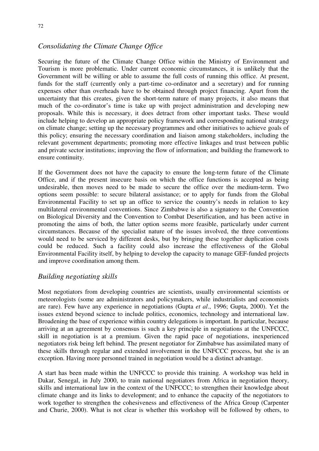## *Consolidating the Climate Change Office*

Securing the future of the Climate Change Office within the Ministry of Environment and Tourism is more problematic. Under current economic circumstances, it is unlikely that the Government will be willing or able to assume the full costs of running this office. At present, funds for the staff (currently only a part-time co-ordinator and a secretary) and for running expenses other than overheads have to be obtained through project financing. Apart from the uncertainty that this creates, given the short-term nature of many projects, it also means that much of the co-ordinator's time is take up with project administration and developing new proposals. While this is necessary, it does detract from other important tasks. These would include helping to develop an appropriate policy framework and corresponding national strategy on climate change; setting up the necessary programmes and other initiatives to achieve goals of this policy; ensuring the necessary coordination and liaison among stakeholders, including the relevant government departments; promoting more effective linkages and trust between public and private sector institutions; improving the flow of information; and building the framework to ensure continuity.

If the Government does not have the capacity to ensure the long-term future of the Climate Office, and if the present insecure basis on which the office functions is accepted as being undesirable, then moves need to be made to secure the office over the medium-term. Two options seem possible: to secure bilateral assistance; or to apply for funds from the Global Environmental Facility to set up an office to service the country's needs in relation to key multilateral environmental conventions. Since Zimbabwe is also a signatory to the Convention on Biological Diversity and the Convention to Combat Desertification, and has been active in promoting the aims of both, the latter option seems more feasible, particularly under current circumstances. Because of the specialist nature of the issues involved, the three conventions would need to be serviced by different desks, but by bringing these together duplication costs could be reduced. Such a facility could also increase the effectiveness of the Global Environmental Facility itself, by helping to develop the capacity to manage GEF-funded projects and improve coordination among them.

### *Building negotiating skills*

Most negotiators from developing countries are scientists, usually environmental scientists or meteorologists (some are administrators and policymakers, while industrialists and economists are rare). Few have any experience in negotiations (Gupta *et al*., 1996; Gupta, 2000). Yet the issues extend beyond science to include politics, economics, technology and international law. Broadening the base of experience within country delegations is important. In particular, because arriving at an agreement by consensus is such a key principle in negotiations at the UNFCCC, skill in negotiation is at a premium. Given the rapid pace of negotiations, inexperienced negotiators risk being left behind. The present negotiator for Zimbabwe has assimilated many of these skills through regular and extended involvement in the UNFCCC process, but she is an exception. Having more personnel trained in negotiation would be a distinct advantage.

A start has been made within the UNFCCC to provide this training. A workshop was held in Dakar, Senegal, in July 2000, to train national negotiators from Africa in negotiation theory, skills and international law in the context of the UNFCCC; to strengthen their knowledge about climate change and its links to development; and to enhance the capacity of the negotiators to work together to strengthen the cohesiveness and effectiveness of the Africa Group (Carpenter and Churie, 2000). What is not clear is whether this workshop will be followed by others, to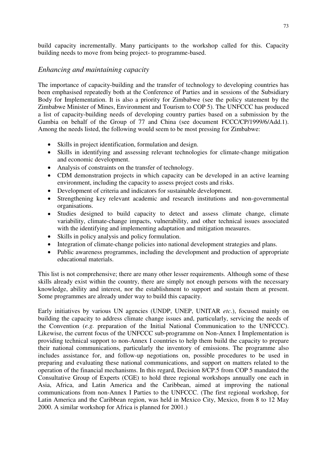build capacity incrementally. Many participants to the workshop called for this. Capacity building needs to move from being project- to programme-based.

## *Enhancing and maintaining capacity*

The importance of capacity-building and the transfer of technology to developing countries has been emphasised repeatedly both at the Conference of Parties and in sessions of the Subsidiary Body for Implementation. It is also a priority for Zimbabwe (see the policy statement by the Zimbabwe Minister of Mines, Environment and Tourism to COP 5). The UNFCCC has produced a list of capacity-building needs of developing country parties based on a submission by the Gambia on behalf of the Group of 77 and China (see document FCCC/CP/1999/6/Add.1). Among the needs listed, the following would seem to be most pressing for Zimbabwe:

- Skills in project identification, formulation and design.
- Skills in identifying and assessing relevant technologies for climate-change mitigation and economic development.
- Analysis of constraints on the transfer of technology.
- CDM demonstration projects in which capacity can be developed in an active learning environment, including the capacity to assess project costs and risks.
- Development of criteria and indicators for sustainable development.
- Strengthening key relevant academic and research institutions and non-governmental organisations.
- Studies designed to build capacity to detect and assess climate change, climate variability, climate-change impacts, vulnerability, and other technical issues associated with the identifying and implementing adaptation and mitigation measures.
- Skills in policy analysis and policy formulation.
- Integration of climate-change policies into national development strategies and plans.
- Public awareness programmes, including the development and production of appropriate educational materials.

This list is not comprehensive; there are many other lesser requirements. Although some of these skills already exist within the country, there are simply not enough persons with the necessary knowledge, ability and interest, nor the establishment to support and sustain them at present. Some programmes are already under way to build this capacity.

Early initiatives by various UN agencies (UNDP, UNEP, UNITAR *etc*.), focused mainly on building the capacity to address climate change issues and, particularly, servicing the needs of the Convention (*e.g.* preparation of the Initial National Communication to the UNFCCC). Likewise, the current focus of the UNFCCC sub-programme on Non-Annex I Implementation is providing technical support to non-Annex I countries to help them build the capacity to prepare their national communications, particularly the inventory of emissions. The programme also includes assistance for, and follow-up negotiations on, possible procedures to be used in preparing and evaluating these national communications, and support on matters related to the operation of the financial mechanisms. In this regard, Decision 8/CP.5 from COP 5 mandated the Consultative Group of Experts (CGE) to hold three regional workshops annually one each in Asia, Africa, and Latin America and the Caribbean, aimed at improving the national communications from non-Annex I Parties to the UNFCCC. (The first regional workshop, for Latin America and the Caribbean region, was held in Mexico City, Mexico, from 8 to 12 May 2000. A similar workshop for Africa is planned for 2001.)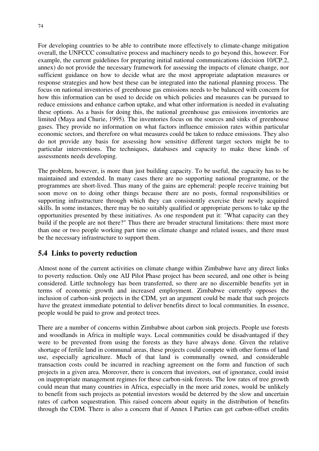For developing countries to be able to contribute more effectively to climate-change mitigation overall, the UNFCCC consultative process and machinery needs to go beyond this, however. For example, the current guidelines for preparing initial national communications (decision 10/CP.2, annex) do not provide the necessary framework for assessing the impacts of climate change, nor sufficient guidance on how to decide what are the most appropriate adaptation measures or response strategies and how best these can be integrated into the national planning process. The focus on national inventories of greenhouse gas emissions needs to be balanced with concern for how this information can be used to decide on which policies and measures can be pursued to reduce emissions and enhance carbon uptake, and what other information is needed in evaluating these options. As a basis for doing this, the national greenhouse gas emissions inventories are limited (Maya and Churie, 1995). The inventories focus on the sources and sinks of greenhouse gases. They provide no information on what factors influence emission rates within particular economic sectors, and therefore on what measures could be taken to reduce emissions. They also do not provide any basis for assessing how sensitive different target sectors might be to particular interventions. The techniques, databases and capacity to make these kinds of assessments needs developing.

The problem, however, is more than just building capacity. To be useful, the capacity has to be maintained and extended. In many cases there are no supporting national programme, or the programmes are short-lived. Thus many of the gains are ephemeral: people receive training but soon move on to doing other things because there are no posts, formal responsibilities or supporting infrastructure through which they can consistently exercise their newly acquired skills. In some instances, there may be no suitably qualified or appropriate persons to take up the opportunities presented by these initiatives. As one respondent put it: "What capacity can they build if the people are not there?" Thus there are broader structural limitations: there must more than one or two people working part time on climate change and related issues, and there must be the necessary infrastructure to support them.

## **5.4 Links to poverty reduction**

Almost none of the current activities on climate change within Zimbabwe have any direct links to poverty reduction. Only one AIJ Pilot Phase project has been secured, and one other is being considered. Little technology has been transferred, so there are no discernible benefits yet in terms of economic growth and increased employment. Zimbabwe currently opposes the inclusion of carbon-sink projects in the CDM, yet an argument could be made that such projects have the greatest immediate potential to deliver benefits direct to local communities. In essence, people would be paid to grow and protect trees.

There are a number of concerns within Zimbabwe about carbon sink projects. People use forests and woodlands in Africa in multiple ways. Local communities could be disadvantaged if they were to be prevented from using the forests as they have always done. Given the relative shortage of fertile land in communal areas, these projects could compete with other forms of land use, especially agriculture. Much of that land is communally owned, and considerable transaction costs could be incurred in reaching agreement on the form and function of such projects in a given area. Moreover, there is concern that investors, out of ignorance, could insist on inappropriate management regimes for these carbon-sink forests. The low rates of tree growth could mean that many countries in Africa, especially in the more arid zones, would be unlikely to benefit from such projects as potential investors would be deterred by the slow and uncertain rates of carbon sequestration. This raised concern about equity in the distribution of benefits through the CDM. There is also a concern that if Annex I Parties can get carbon-offset credits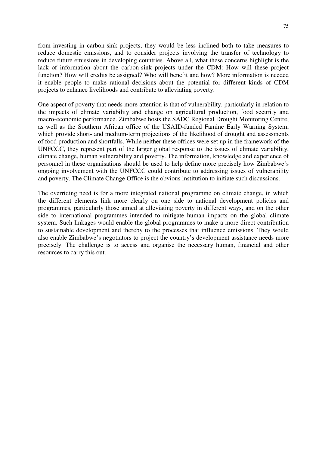75

from investing in carbon-sink projects, they would be less inclined both to take measures to reduce domestic emissions, and to consider projects involving the transfer of technology to reduce future emissions in developing countries. Above all, what these concerns highlight is the lack of information about the carbon-sink projects under the CDM: How will these project function? How will credits be assigned? Who will benefit and how? More information is needed it enable people to make rational decisions about the potential for different kinds of CDM projects to enhance livelihoods and contribute to alleviating poverty.

One aspect of poverty that needs more attention is that of vulnerability, particularly in relation to the impacts of climate variability and change on agricultural production, food security and macro-economic performance. Zimbabwe hosts the SADC Regional Drought Monitoring Centre, as well as the Southern African office of the USAID-funded Famine Early Warning System, which provide short- and medium-term projections of the likelihood of drought and assessments of food production and shortfalls. While neither these offices were set up in the framework of the UNFCCC, they represent part of the larger global response to the issues of climate variability, climate change, human vulnerability and poverty. The information, knowledge and experience of personnel in these organisations should be used to help define more precisely how Zimbabwe's ongoing involvement with the UNFCCC could contribute to addressing issues of vulnerability and poverty. The Climate Change Office is the obvious institution to initiate such discussions.

The overriding need is for a more integrated national programme on climate change, in which the different elements link more clearly on one side to national development policies and programmes, particularly those aimed at alleviating poverty in different ways, and on the other side to international programmes intended to mitigate human impacts on the global climate system. Such linkages would enable the global programmes to make a more direct contribution to sustainable development and thereby to the processes that influence emissions. They would also enable Zimbabwe's negotiators to project the country's development assistance needs more precisely. The challenge is to access and organise the necessary human, financial and other resources to carry this out.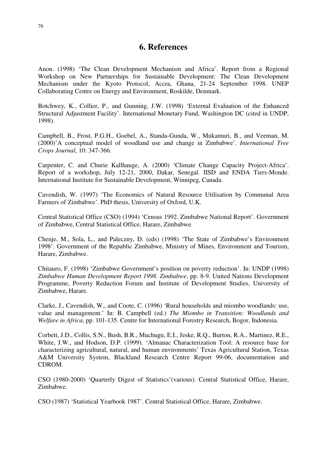## **6. References**

Anon. (1998) 'The Clean Development Mechanism and Africa'. Report from a Regional Workshop on New Partnerships for Sustainable Development: The Clean Development Mechanism under the Kyoto Protocol, Accra, Ghana, 21-24 September 1998. UNEP Collaborating Centre on Energy and Environment, Roskilde, Denmark.

Botchwey, K., Collier, P., and Gunning, J.W. (1998) 'External Evaluation of the Enhanced Structural Adjustment Facility'. International Monetary Fund, Washington DC (cited in UNDP, 1998).

Campbell, B., Frost, P.G.H., Goebel, A., Standa-Gunda, W., Mukamuri, B., and Veeman, M. (2000)'A conceptual model of woodland use and change in Zimbabwe'. *International Tree Crops Journal*, 10: 347-366.

Carpenter, C. and Churie Kallhauge, A. (2000) 'Climate Change Capacity Project-Africa'. Report of a workshop, July 12-21, 2000, Dakar, Senegal. IISD and ENDA Tiers-Monde. International Institute for Sustainable Development, Winnipeg, Canada.

Cavendish, W. (1997) 'The Economics of Natural Resource Utilisation by Communal Area Farmers of Zimbabwe*'*. PhD thesis, University of Oxford, U.K.

Central Statistical Office (CSO) (1994) 'Census 1992. Zimbabwe National Report'. Government of Zimbabwe, Central Statistical Office, Harare, Zimbabwe.

Chenje, M., Sola, L., and Paleczny, D. (eds) (1998) 'The State of Zimbabwe's Environment 1998'. Government of the Republic Zimbabwe, Ministry of Mines, Environment and Tourism, Harare, Zimbabwe.

Chitauro, F. (1998) 'Zimbabwe Government's position on poverty reduction'. In: UNDP (1998) *Zimbabwe Human Development Report 1998. Zimbabwe*, pp. 8-9. United Nations Development Programme, Poverty Reduction Forum and Institute of Development Studies, University of Zimbabwe, Harare.

Clarke, J., Cavendish, W., and Coote, C. (1996) 'Rural households and miombo woodlands: use, value and management.' In: B. Campbell (ed.) *The Miombo in Transition: Woodlands and Welfare in Africa*, pp. 101-135. Centre for International Forestry Research, Bogor, Indonesia.

Corbett, J.D., Collis, S.N., Bush, B.R., Muchugu, E.I., Jeske, R.Q., Burton, R.A., Martinez, R.E., White, J.W., and Hodson, D.P. (1999). 'Almanac Characterization Tool: A resource base for characterizing agricultural, natural, and human environments' Texas Agricultural Station, Texas A&M University System, Blackland Research Centre Report 99-06, documentation and CDROM.

CSO (1980-2000) 'Quarterly Digest of Statistics'(various). Central Statistical Office, Harare, Zimbabwe.

CSO (1987) 'Statistical Yearbook 1987'. Central Statistical Office, Harare, Zimbabwe.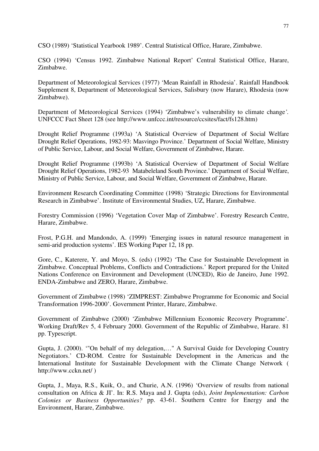CSO (1989) 'Statistical Yearbook 1989'. Central Statistical Office, Harare, Zimbabwe.

CSO (1994) 'Census 1992. Zimbabwe National Report' Central Statistical Office, Harare, Zimbabwe.

Department of Meteorological Services (1977) 'Mean Rainfall in Rhodesia'. Rainfall Handbook Supplement 8, Department of Meteorological Services, Salisbury (now Harare), Rhodesia (now Zimbabwe).

Department of Meteorological Services (1994) 'Zimbabwe's vulnerability to climate change*'.* UNFCCC Fact Sheet 128 (see http://www.unfccc.int/resource/ccsites/fact/fs128.htm)

Drought Relief Programme (1993a) 'A Statistical Overview of Department of Social Welfare Drought Relief Operations, 1982-93: Masvingo Province.' Department of Social Welfare, Ministry of Public Service, Labour, and Social Welfare, Government of Zimbabwe, Harare.

Drought Relief Programme (1993b) 'A Statistical Overview of Department of Social Welfare Drought Relief Operations, 1982-93 Matabeleland South Province.' Department of Social Welfare, Ministry of Public Service, Labour, and Social Welfare, Government of Zimbabwe, Harare.

Environment Research Coordinating Committee (1998) 'Strategic Directions for Environmental Research in Zimbabwe'. Institute of Environmental Studies, UZ, Harare, Zimbabwe.

Forestry Commission (1996) 'Vegetation Cover Map of Zimbabwe'. Forestry Research Centre, Harare, Zimbabwe.

Frost, P.G.H. and Mandondo, A. (1999) 'Emerging issues in natural resource management in semi-arid production systems'. IES Working Paper 12, 18 pp.

Gore, C., Katerere, Y. and Moyo, S. (eds) (1992) 'The Case for Sustainable Development in Zimbabwe. Conceptual Problems, Conflicts and Contradictions.' Report prepared for the United Nations Conference on Environment and Development (UNCED), Rio de Janeiro, June 1992. ENDA-Zimbabwe and ZERO, Harare, Zimbabwe.

Government of Zimbabwe (1998) 'ZIMPREST: Zimbabwe Programme for Economic and Social Transformation 1996-2000'. Government Printer, Harare, Zimbabwe.

Government of Zimbabwe (2000) 'Zimbabwe Millennium Economic Recovery Programme'. Working Draft/Rev 5, 4 February 2000. Government of the Republic of Zimbabwe, Harare. 81 pp. Typescript.

Gupta, J. (2000). '"On behalf of my delegation,…" A Survival Guide for Developing Country Negotiators.' CD-ROM. Centre for Sustainable Development in the Americas and the International Institute for Sustainable Development with the Climate Change Network ( http://www.cckn.net/ )

Gupta, J., Maya, R.S., Kuik, O., and Churie, A.N. (1996) 'Overview of results from national consultation on Africa & JI'. In: R.S. Maya and J. Gupta (eds), *Joint Implementation: Carbon Colonies or Business Opportunities?* pp. 43-61. Southern Centre for Energy and the Environment, Harare, Zimbabwe.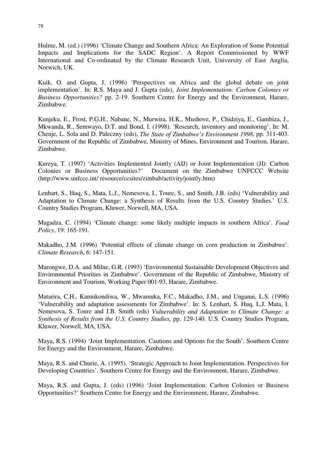Hulme, M. (ed.) (1996) 'Climate Change and Southern Africa: An Exploration of Some Potential Impacts and Implications for the SADC Region'*.* A Report Commissioned by WWF International and Co-ordinated by the Climate Research Unit, University of East Anglia, Norwich, UK.

Kuik, O. and Gupta, J. (1996) 'Perspectives on Africa and the global debate on joint implementation'. In: R.S. Maya and J. Gupta (eds), *Joint Implementation: Carbon Colonies or Business Opportunities?* pp. 2-19. Southern Centre for Energy and the Environment, Harare, Zimbabwe.

Kunjeku, E., Frost, P.G.H., Nabane, N., Murwira, H.K., Mushove, P., Chidziya, E., Gambiza, J., Mkwanda, R., Semwayo, D.T. and Bond, I. (1998). 'Research, inventory and monitoring'. In: M. Chenje, L. Sola and D. Paleczny (eds), *The State of Zimbabwe's Environment 1998*, pp. 311-403. Government of the Republic of Zimbabwe, Ministry of Mines, Environment and Tourism, Harare, Zimbabwe.

Kureya, T. (1997) 'Activities Implemented Jointly (AIJ) or Joint Implementation (JI): Carbon Colonies or Business Opportunities?' Document on the Zimbabwe UNFCCC Website Document on the Zimbabwe UNFCCC Website (http://www.unfccc.int/ resource/ccsites/zimbab/activity/jointly.htm)

Lenhart, S., Huq, S., Mata, L.J., Nemesova, I., Toure, S., and Smith, J.B. (eds) 'Vulnerability and Adaptation to Climate Change: a Synthesis of Results from the U.S. Country Studies.' U.S. Country Studies Program, Kluwer, Norwell, MA, USA.

Magadza, C. (1994) 'Climate change: some likely multiple impacts in southern Africa'. *Food Policy*, 19: 165-191.

Makadho, J.M. (1996) 'Potential effects of climate change on corn production in Zimbabwe'. *Climate Research*, 6: 147-151.

Marongwe, D.A. and Milne, G.R. (1993) 'Environmental Sustainable Development Objectives and Environmental Priorities in Zimbabwe'. Government of the Republic of Zimbabwe, Ministry of Environment and Tourism, Working Paper 001-93, Harare, Zimbabwe.

Matarira, C.H., Kamukondiwa, W., Mwamuka, F.C., Makadho, J.M., and Unganai, L.S. (1996) 'Vulnerability and adaptation assessments for Zimbabwe'. In: S. Lenhart, S. Huq, L.J. Mata, I. Nemesova, S. Toure and J.B. Smith (eds) *Vulnerability and Adaptation to Climate Change: a Synthesis of Results from the U.S. Country Studies*, pp. 129-140. U.S. Country Studies Program, Kluwer, Norwell, MA, USA.

Maya, R.S. (1994) 'Joint Implementation. Cautions and Options for the South'. Southern Centre for Energy and the Environment, Harare, Zimbabwe.

Maya, R.S. and Churie, A. (1995). 'Strategic Approach to Joint Implementation. Perspectives for Developing Countries'. Southern Centre for Energy and the Environment, Harare, Zimbabwe.

Maya, R.S. and Gupta, J. (eds) (1996) 'Joint Implementation: Carbon Colonies or Business Opportunities?*'* Southern Centre for Energy and the Environment, Harare, Zimbabwe.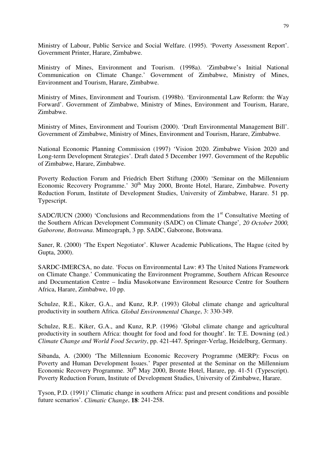Ministry of Labour, Public Service and Social Welfare. (1995). 'Poverty Assessment Report'. Government Printer, Harare, Zimbabwe.

Ministry of Mines, Environment and Tourism. (1998a). 'Zimbabwe's Initial National Communication on Climate Change.' Government of Zimbabwe, Ministry of Mines, Environment and Tourism, Harare, Zimbabwe.

Ministry of Mines, Environment and Tourism. (1998b). 'Environmental Law Reform: the Way Forward'. Government of Zimbabwe, Ministry of Mines, Environment and Tourism, Harare, Zimbabwe.

Ministry of Mines, Environment and Tourism (2000). 'Draft Environmental Management Bill'. Government of Zimbabwe, Ministry of Mines, Environment and Tourism, Harare, Zimbabwe.

National Economic Planning Commission (1997) 'Vision 2020. Zimbabwe Vision 2020 and Long-term Development Strategies'. Draft dated 5 December 1997. Government of the Republic of Zimbabwe, Harare, Zimbabwe.

Poverty Reduction Forum and Friedrich Ebert Stiftung (2000) 'Seminar on the Millennium Economic Recovery Programme.' 30<sup>th</sup> May 2000, Bronte Hotel, Harare, Zimbabwe. Poverty Reduction Forum, Institute of Development Studies, University of Zimbabwe, Harare. 51 pp. Typescript.

SADC/IUCN (2000) 'Conclusions and Recommendations from the  $1<sup>st</sup>$  Consultative Meeting of the Southern African Development Community (SADC) on Climate Change'*, 20 October 2000, Gaborone, Botswana*. Mimeograph, 3 pp. SADC, Gaborone, Botswana.

Saner, R. (2000) 'The Expert Negotiator'. Kluwer Academic Publications, The Hague (cited by Gupta, 2000).

SARDC-IMERCSA, no date. 'Focus on Environmental Law: #3 The United Nations Framework on Climate Change.' Communicating the Environment Programme, Southern African Resource and Documentation Centre – India Musokotwane Environment Resource Centre for Southern Africa, Harare, Zimbabwe, 10 pp.

Schulze, R.E., Kiker, G.A., and Kunz, R.P. (1993) Global climate change and agricultural productivity in southern Africa. *Global Environmental Change*, 3: 330-349.

Schulze, R.E.. Kiker, G.A., and Kunz, R.P. (1996) 'Global climate change and agricultural productivity in southern Africa: thought for food and food for thought'. In: T.E. Downing (ed.) *Climate Change and World Food Security*, pp. 421-447. Springer-Verlag, Heidelburg, Germany.

Sibanda, A. (2000) 'The Millennium Economic Recovery Programme (MERP): Focus on Poverty and Human Development Issues.' Paper presented at the Seminar on the Millennium Economic Recovery Programme. 30<sup>th</sup> May 2000, Bronte Hotel, Harare, pp. 41-51 (Typescript). Poverty Reduction Forum, Institute of Development Studies, University of Zimbabwe, Harare.

Tyson, P.D. (1991)' Climatic change in southern Africa: past and present conditions and possible future scenarios'. *Climatic Change*, **18**: 241-258.